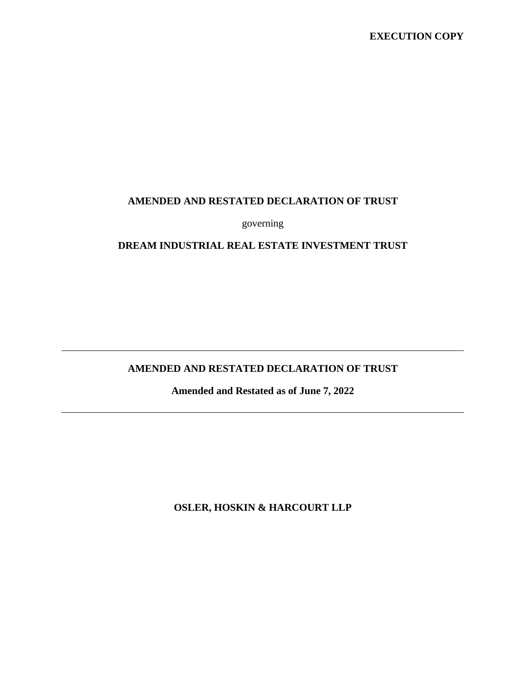### **EXECUTION COPY**

### **AMENDED AND RESTATED DECLARATION OF TRUST**

governing

# **DREAM INDUSTRIAL REAL ESTATE INVESTMENT TRUST**

### **AMENDED AND RESTATED DECLARATION OF TRUST**

**Amended and Restated as of June 7, 2022**

**OSLER, HOSKIN & HARCOURT LLP**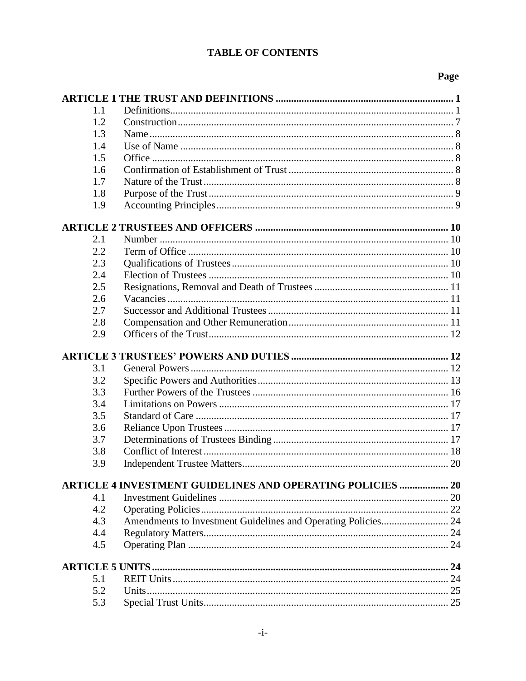## Page

| 1.1 |                                                                   |  |
|-----|-------------------------------------------------------------------|--|
| 1.2 |                                                                   |  |
| 1.3 |                                                                   |  |
| 1.4 |                                                                   |  |
| 1.5 |                                                                   |  |
| 1.6 |                                                                   |  |
| 1.7 |                                                                   |  |
| 1.8 |                                                                   |  |
| 1.9 |                                                                   |  |
|     |                                                                   |  |
| 2.1 |                                                                   |  |
| 2.2 |                                                                   |  |
| 2.3 |                                                                   |  |
| 2.4 |                                                                   |  |
| 2.5 |                                                                   |  |
| 2.6 |                                                                   |  |
| 2.7 |                                                                   |  |
| 2.8 |                                                                   |  |
| 2.9 |                                                                   |  |
|     |                                                                   |  |
| 3.1 |                                                                   |  |
| 3.2 |                                                                   |  |
| 3.3 |                                                                   |  |
|     |                                                                   |  |
| 3.4 |                                                                   |  |
| 3.5 |                                                                   |  |
| 3.6 |                                                                   |  |
| 3.7 |                                                                   |  |
| 3.8 |                                                                   |  |
| 3.9 |                                                                   |  |
|     | <b>ARTICLE 4 INVESTMENT GUIDELINES AND OPERATING POLICIES  20</b> |  |
| 4.1 |                                                                   |  |
| 4.2 |                                                                   |  |
| 4.3 |                                                                   |  |
| 4.4 |                                                                   |  |
| 4.5 |                                                                   |  |
|     |                                                                   |  |
| 5.1 |                                                                   |  |
| 5.2 |                                                                   |  |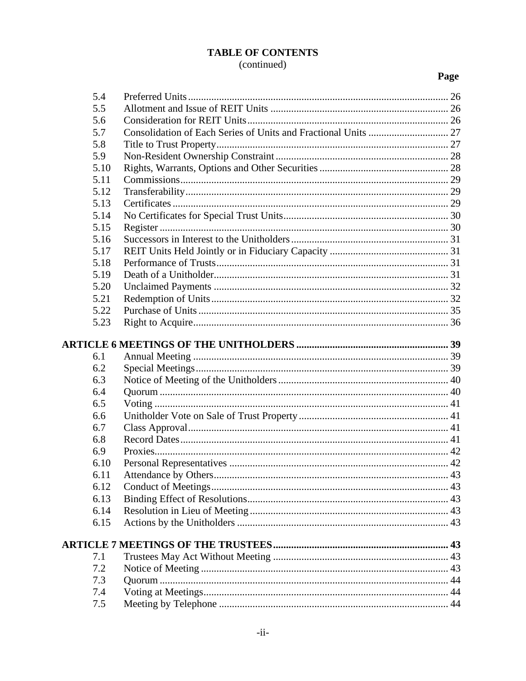# (continued)

## Page

| 5.4        |      |  |
|------------|------|--|
| 5.5        |      |  |
| 5.6        |      |  |
| 5.7        |      |  |
| 5.8        |      |  |
| 5.9        |      |  |
|            | 5.10 |  |
| 5.11       |      |  |
|            | 5.12 |  |
|            | 5.13 |  |
|            | 5.14 |  |
|            | 5.15 |  |
|            | 5.16 |  |
|            | 5.17 |  |
| 5.18       |      |  |
|            | 5.19 |  |
|            | 5.20 |  |
| 5.21       |      |  |
|            | 5.22 |  |
|            | 5.23 |  |
|            |      |  |
| 6.1        |      |  |
| 6.2        |      |  |
| 6.3        |      |  |
| 6.4        |      |  |
| 6.5        |      |  |
| 6.6        |      |  |
| 6.7        |      |  |
| 6.8        |      |  |
| 6.9        |      |  |
|            | 6.10 |  |
| 6.11       |      |  |
|            | 6.12 |  |
|            | 6.13 |  |
|            | 6.14 |  |
|            | 6.15 |  |
|            |      |  |
|            |      |  |
| 7.1<br>7.2 |      |  |
| 7.3        |      |  |
|            |      |  |
| 7.4<br>7.5 |      |  |
|            |      |  |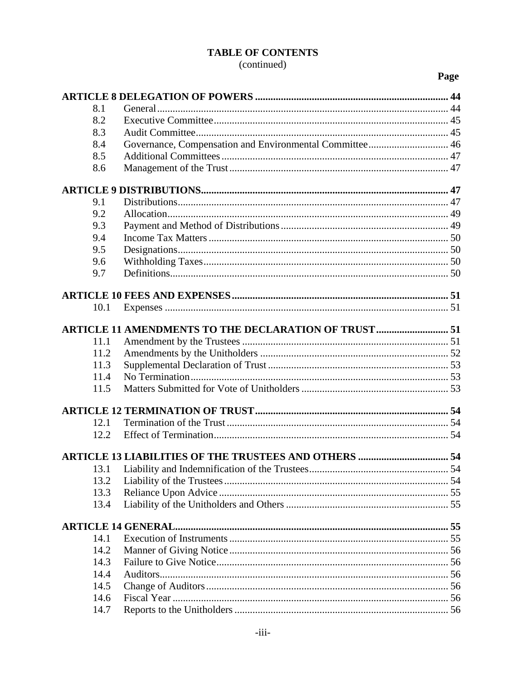### (continued)

Page

#### 8.1 8.2 8.3 8.4 8.5 8.6 9.1  $9.2$  $9.3$ 9.4 9.5 9.6 9.7 10.1  $11.1$ 11.2 11.3 11.4  $11.5$ Matters Submitted for Vote of Unitholders (2008)  $12.1$  $122$  $13.1$ 13.2 13.3 13.4  $14.1$ 14.2 14.3  $14.4$ 14.5  $14.6$ Fiscal Year  $\sim$  56 14.7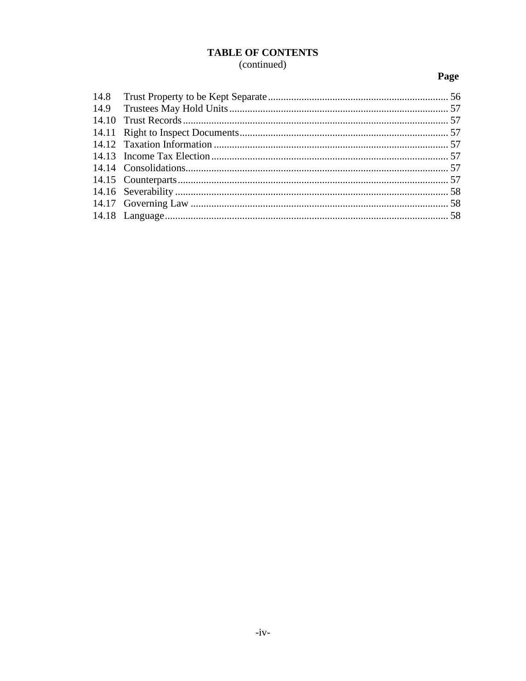# (continued)

## Page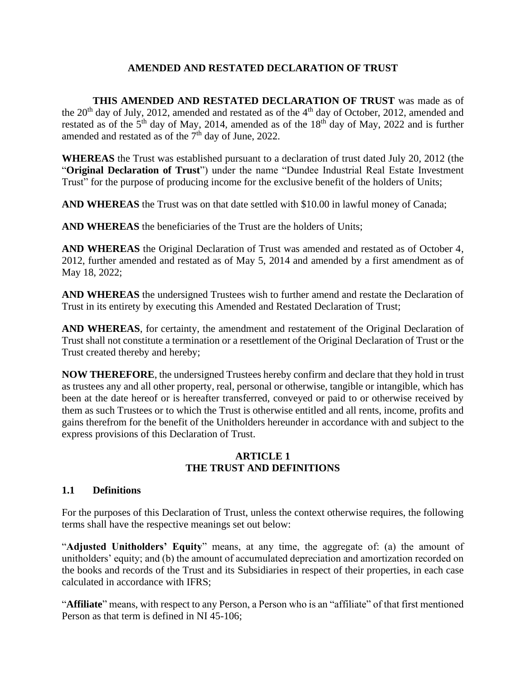### **AMENDED AND RESTATED DECLARATION OF TRUST**

**THIS AMENDED AND RESTATED DECLARATION OF TRUST** was made as of the  $20<sup>th</sup>$  day of July, 2012, amended and restated as of the  $4<sup>th</sup>$  day of October, 2012, amended and restated as of the  $5<sup>th</sup>$  day of May, 2014, amended as of the  $18<sup>th</sup>$  day of May, 2022 and is further amended and restated as of the  $7<sup>th</sup>$  day of June, 2022.

**WHEREAS** the Trust was established pursuant to a declaration of trust dated July 20, 2012 (the "**Original Declaration of Trust**") under the name "Dundee Industrial Real Estate Investment Trust" for the purpose of producing income for the exclusive benefit of the holders of Units;

**AND WHEREAS** the Trust was on that date settled with \$10.00 in lawful money of Canada;

**AND WHEREAS** the beneficiaries of the Trust are the holders of Units;

**AND WHEREAS** the Original Declaration of Trust was amended and restated as of October 4, 2012, further amended and restated as of May 5, 2014 and amended by a first amendment as of May 18, 2022;

**AND WHEREAS** the undersigned Trustees wish to further amend and restate the Declaration of Trust in its entirety by executing this Amended and Restated Declaration of Trust;

**AND WHEREAS**, for certainty, the amendment and restatement of the Original Declaration of Trust shall not constitute a termination or a resettlement of the Original Declaration of Trust or the Trust created thereby and hereby;

**NOW THEREFORE**, the undersigned Trustees hereby confirm and declare that they hold in trust as trustees any and all other property, real, personal or otherwise, tangible or intangible, which has been at the date hereof or is hereafter transferred, conveyed or paid to or otherwise received by them as such Trustees or to which the Trust is otherwise entitled and all rents, income, profits and gains therefrom for the benefit of the Unitholders hereunder in accordance with and subject to the express provisions of this Declaration of Trust.

### **ARTICLE 1 THE TRUST AND DEFINITIONS**

### <span id="page-5-1"></span><span id="page-5-0"></span>**1.1 Definitions**

For the purposes of this Declaration of Trust, unless the context otherwise requires, the following terms shall have the respective meanings set out below:

"**Adjusted Unitholders' Equity**" means, at any time, the aggregate of: (a) the amount of unitholders' equity; and (b) the amount of accumulated depreciation and amortization recorded on the books and records of the Trust and its Subsidiaries in respect of their properties, in each case calculated in accordance with IFRS;

"**Affiliate**" means, with respect to any Person, a Person who is an "affiliate" of that first mentioned Person as that term is defined in NI 45-106;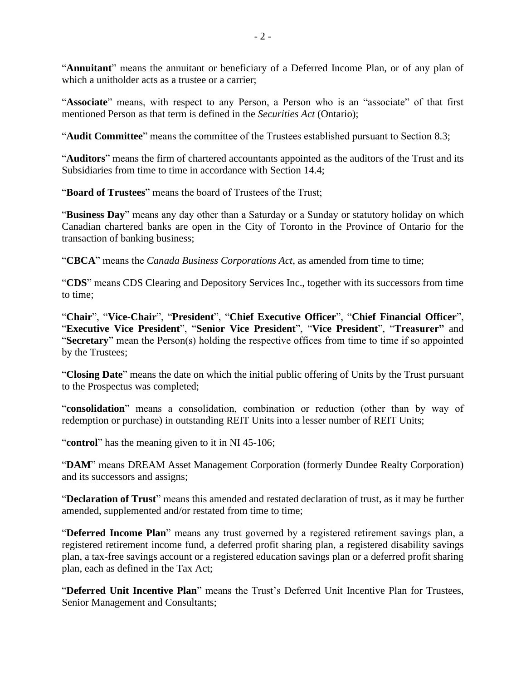"**Annuitant**" means the annuitant or beneficiary of a Deferred Income Plan, or of any plan of which a unitholder acts as a trustee or a carrier;

"Associate" means, with respect to any Person, a Person who is an "associate" of that first mentioned Person as that term is defined in the *Securities Act* (Ontario);

"**Audit Committee**" means the committee of the Trustees established pursuant to Section [8.3;](#page-49-1)

"**Auditors**" means the firm of chartered accountants appointed as the auditors of the Trust and its Subsidiaries from time to time in accordance with Section [14.4;](#page-60-2)

"**Board of Trustees**" means the board of Trustees of the Trust;

"**Business Day**" means any day other than a Saturday or a Sunday or statutory holiday on which Canadian chartered banks are open in the City of Toronto in the Province of Ontario for the transaction of banking business;

"**CBCA**" means the *Canada Business Corporations Act*, as amended from time to time;

"**CDS**" means CDS Clearing and Depository Services Inc., together with its successors from time to time;

"**Chair**", "**Vice-Chair**", "**President**", "**Chief Executive Officer**", "**Chief Financial Officer**", "**Executive Vice President**", "**Senior Vice President**", "**Vice President**", "**Treasurer"** and "**Secretary**" mean the Person(s) holding the respective offices from time to time if so appointed by the Trustees;

"**Closing Date**" means the date on which the initial public offering of Units by the Trust pursuant to the Prospectus was completed;

"**consolidation**" means a consolidation, combination or reduction (other than by way of redemption or purchase) in outstanding REIT Units into a lesser number of REIT Units;

"**control**" has the meaning given to it in NI 45-106;

"**DAM**" means DREAM Asset Management Corporation (formerly Dundee Realty Corporation) and its successors and assigns;

"**Declaration of Trust**" means this amended and restated declaration of trust, as it may be further amended, supplemented and/or restated from time to time;

"**Deferred Income Plan**" means any trust governed by a registered retirement savings plan, a registered retirement income fund, a deferred profit sharing plan, a registered disability savings plan, a tax-free savings account or a registered education savings plan or a deferred profit sharing plan, each as defined in the Tax Act;

"**Deferred Unit Incentive Plan**" means the Trust's Deferred Unit Incentive Plan for Trustees, Senior Management and Consultants;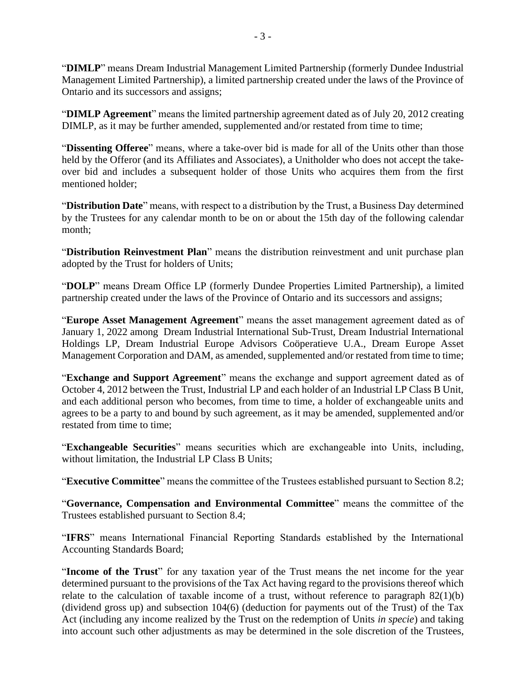"**DIMLP**" means Dream Industrial Management Limited Partnership (formerly Dundee Industrial Management Limited Partnership), a limited partnership created under the laws of the Province of Ontario and its successors and assigns;

"**DIMLP Agreement**" means the limited partnership agreement dated as of July 20, 2012 creating DIMLP, as it may be further amended, supplemented and/or restated from time to time;

"**Dissenting Offeree**" means, where a take-over bid is made for all of the Units other than those held by the Offeror (and its Affiliates and Associates), a Unitholder who does not accept the takeover bid and includes a subsequent holder of those Units who acquires them from the first mentioned holder;

"**Distribution Date**" means, with respect to a distribution by the Trust, a Business Day determined by the Trustees for any calendar month to be on or about the 15th day of the following calendar month;

"**Distribution Reinvestment Plan**" means the distribution reinvestment and unit purchase plan adopted by the Trust for holders of Units;

"**DOLP**" means Dream Office LP (formerly Dundee Properties Limited Partnership), a limited partnership created under the laws of the Province of Ontario and its successors and assigns;

"**Europe Asset Management Agreement**" means the asset management agreement dated as of January 1, 2022 among Dream Industrial International Sub-Trust, Dream Industrial International Holdings LP, Dream Industrial Europe Advisors Coöperatieve U.A., Dream Europe Asset Management Corporation and DAM, as amended, supplemented and/or restated from time to time;

"**Exchange and Support Agreement**" means the exchange and support agreement dated as of October 4, 2012 between the Trust, Industrial LP and each holder of an Industrial LP Class B Unit, and each additional person who becomes, from time to time, a holder of exchangeable units and agrees to be a party to and bound by such agreement, as it may be amended, supplemented and/or restated from time to time;

"**Exchangeable Securities**" means securities which are exchangeable into Units, including, without limitation, the Industrial LP Class B Units;

"**Executive Committee**" means the committee of the Trustees established pursuant to Section [8.2;](#page-49-0)

"**Governance, Compensation and Environmental Committee**" means the committee of the Trustees established pursuant to Section [8.4;](#page-50-0)

"**IFRS**" means International Financial Reporting Standards established by the International Accounting Standards Board;

"**Income of the Trust**" for any taxation year of the Trust means the net income for the year determined pursuant to the provisions of the Tax Act having regard to the provisions thereof which relate to the calculation of taxable income of a trust, without reference to paragraph  $82(1)(b)$ (dividend gross up) and subsection 104(6) (deduction for payments out of the Trust) of the Tax Act (including any income realized by the Trust on the redemption of Units *in specie*) and taking into account such other adjustments as may be determined in the sole discretion of the Trustees,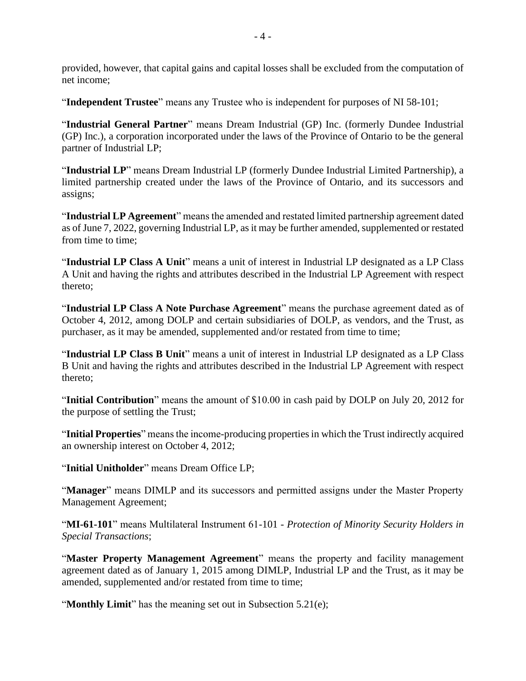provided, however, that capital gains and capital losses shall be excluded from the computation of net income;

"**Independent Trustee**" means any Trustee who is independent for purposes of NI 58-101;

"**Industrial General Partner**" means Dream Industrial (GP) Inc. (formerly Dundee Industrial (GP) Inc.), a corporation incorporated under the laws of the Province of Ontario to be the general partner of Industrial LP;

"**Industrial LP**" means Dream Industrial LP (formerly Dundee Industrial Limited Partnership), a limited partnership created under the laws of the Province of Ontario, and its successors and assigns;

"**Industrial LP Agreement**" means the amended and restated limited partnership agreement dated as of June 7, 2022, governing Industrial LP, as it may be further amended, supplemented or restated from time to time;

"**Industrial LP Class A Unit**" means a unit of interest in Industrial LP designated as a LP Class A Unit and having the rights and attributes described in the Industrial LP Agreement with respect thereto;

"**Industrial LP Class A Note Purchase Agreement**" means the purchase agreement dated as of October 4, 2012, among DOLP and certain subsidiaries of DOLP, as vendors, and the Trust, as purchaser, as it may be amended, supplemented and/or restated from time to time;

"**Industrial LP Class B Unit**" means a unit of interest in Industrial LP designated as a LP Class B Unit and having the rights and attributes described in the Industrial LP Agreement with respect thereto;

"**Initial Contribution**" means the amount of \$10.00 in cash paid by DOLP on July 20, 2012 for the purpose of settling the Trust;

"**Initial Properties**" means the income-producing properties in which the Trust indirectly acquired an ownership interest on October 4, 2012;

"**Initial Unitholder**" means Dream Office LP;

"Manager" means DIMLP and its successors and permitted assigns under the Master Property Management Agreement;

"**MI-61-101**" means Multilateral Instrument 61-101 - *Protection of Minority Security Holders in Special Transactions*;

"**Master Property Management Agreement**" means the property and facility management agreement dated as of January 1, 2015 among DIMLP, Industrial LP and the Trust, as it may be amended, supplemented and/or restated from time to time;

"**Monthly Limit**" has the meaning set out in Subsection [5.21\(e\);](#page-38-0)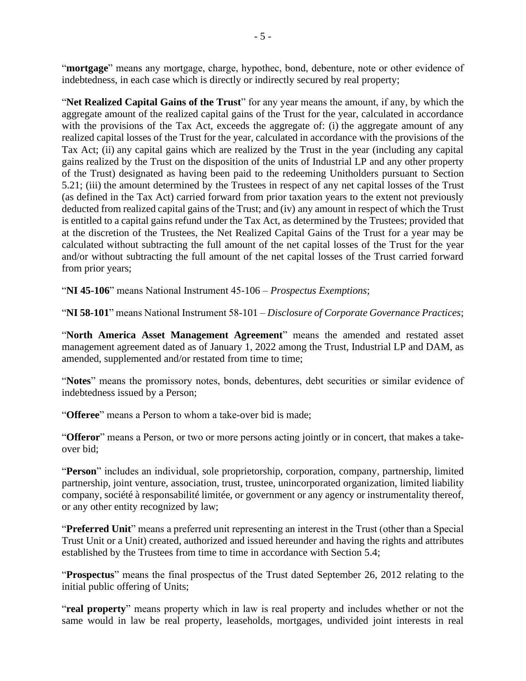"**mortgage**" means any mortgage, charge, hypothec, bond, debenture, note or other evidence of indebtedness, in each case which is directly or indirectly secured by real property;

"**Net Realized Capital Gains of the Trust**" for any year means the amount, if any, by which the aggregate amount of the realized capital gains of the Trust for the year, calculated in accordance with the provisions of the Tax Act, exceeds the aggregate of: (i) the aggregate amount of any realized capital losses of the Trust for the year, calculated in accordance with the provisions of the Tax Act; (ii) any capital gains which are realized by the Trust in the year (including any capital gains realized by the Trust on the disposition of the units of Industrial LP and any other property of the Trust) designated as having been paid to the redeeming Unitholders pursuant to Section [5.21;](#page-36-1) (iii) the amount determined by the Trustees in respect of any net capital losses of the Trust (as defined in the Tax Act) carried forward from prior taxation years to the extent not previously deducted from realized capital gains of the Trust; and (iv) any amount in respect of which the Trust is entitled to a capital gains refund under the Tax Act, as determined by the Trustees; provided that at the discretion of the Trustees, the Net Realized Capital Gains of the Trust for a year may be calculated without subtracting the full amount of the net capital losses of the Trust for the year and/or without subtracting the full amount of the net capital losses of the Trust carried forward from prior years;

"**NI 45-106**" means National Instrument 45-106 – *Prospectus Exemptions*;

"**NI 58-101**" means National Instrument 58-101 – *Disclosure of Corporate Governance Practices*;

"**North America Asset Management Agreement**" means the amended and restated asset management agreement dated as of January 1, 2022 among the Trust, Industrial LP and DAM, as amended, supplemented and/or restated from time to time;

"**Notes**" means the promissory notes, bonds, debentures, debt securities or similar evidence of indebtedness issued by a Person;

"**Offeree**" means a Person to whom a take-over bid is made;

"**Offeror**" means a Person, or two or more persons acting jointly or in concert, that makes a takeover bid;

"**Person**" includes an individual, sole proprietorship, corporation, company, partnership, limited partnership, joint venture, association, trust, trustee, unincorporated organization, limited liability company, société à responsabilité limitée, or government or any agency or instrumentality thereof, or any other entity recognized by law;

"**Preferred Unit**" means a preferred unit representing an interest in the Trust (other than a Special Trust Unit or a Unit) created, authorized and issued hereunder and having the rights and attributes established by the Trustees from time to time in accordance with Section 5.4;

"**Prospectus**" means the final prospectus of the Trust dated September 26, 2012 relating to the initial public offering of Units;

"**real property**" means property which in law is real property and includes whether or not the same would in law be real property, leaseholds, mortgages, undivided joint interests in real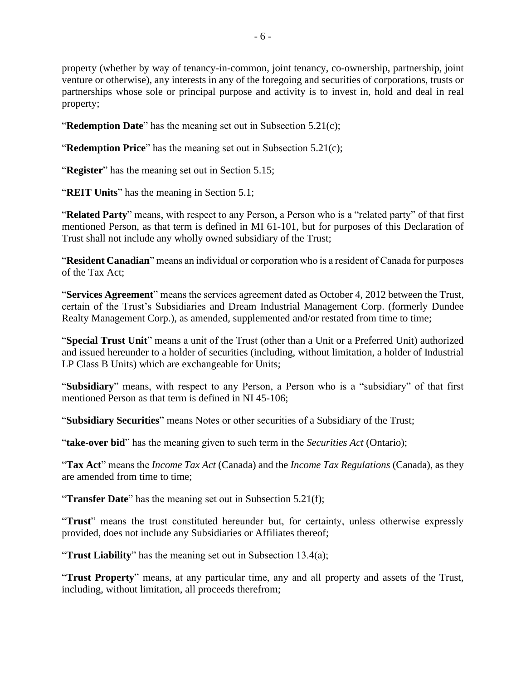property (whether by way of tenancy-in-common, joint tenancy, co-ownership, partnership, joint venture or otherwise), any interests in any of the foregoing and securities of corporations, trusts or partnerships whose sole or principal purpose and activity is to invest in, hold and deal in real property;

"**Redemption Date**" has the meaning set out in Subsection [5.21\(c\);](#page-36-2)

"**Redemption Price**" has the meaning set out in Subsection [5.21\(c\);](#page-36-2)

"**Register**" has the meaning set out in Section [5.15;](#page-34-1)

"**REIT Units**" has the meaning in Section [5.1;](#page-28-4)

"**Related Party**" means, with respect to any Person, a Person who is a "related party" of that first mentioned Person, as that term is defined in MI 61-101, but for purposes of this Declaration of Trust shall not include any wholly owned subsidiary of the Trust;

"**Resident Canadian**" means an individual or corporation who is a resident of Canada for purposes of the Tax Act;

"**Services Agreement**" means the services agreement dated as October 4, 2012 between the Trust, certain of the Trust's Subsidiaries and Dream Industrial Management Corp. (formerly Dundee Realty Management Corp.), as amended, supplemented and/or restated from time to time;

"**Special Trust Unit**" means a unit of the Trust (other than a Unit or a Preferred Unit) authorized and issued hereunder to a holder of securities (including, without limitation, a holder of Industrial LP Class B Units) which are exchangeable for Units;

"**Subsidiary**" means, with respect to any Person, a Person who is a "subsidiary" of that first mentioned Person as that term is defined in NI 45-106;

"**Subsidiary Securities**" means Notes or other securities of a Subsidiary of the Trust;

"**take-over bid**" has the meaning given to such term in the *Securities Act* (Ontario);

"**Tax Act**" means the *Income Tax Act* (Canada) and the *Income Tax Regulations* (Canada), as they are amended from time to time;

"**Transfer Date**" has the meaning set out in Subsection 5.21(f);

"**Trust**" means the trust constituted hereunder but, for certainty, unless otherwise expressly provided, does not include any Subsidiaries or Affiliates thereof;

"**Trust Liability**" has the meaning set out in Subsection 13.4(a);

"**Trust Property**" means, at any particular time, any and all property and assets of the Trust, including, without limitation, all proceeds therefrom;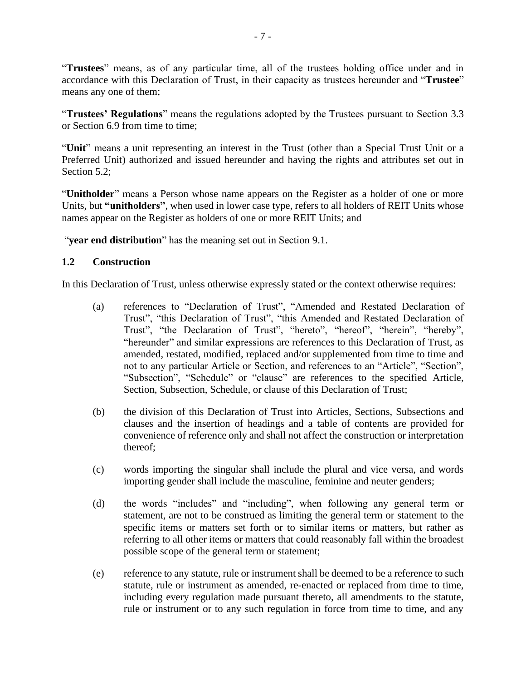"**Trustees**" means, as of any particular time, all of the trustees holding office under and in accordance with this Declaration of Trust, in their capacity as trustees hereunder and "**Trustee**" means any one of them;

"**Trustees' Regulations**" means the regulations adopted by the Trustees pursuant to Section [3.3](#page-20-0) or Section [6.9](#page-46-0) from time to time;

"**Unit**" means a unit representing an interest in the Trust (other than a Special Trust Unit or a Preferred Unit) authorized and issued hereunder and having the rights and attributes set out in Section [5.2;](#page-29-0)

"**Unitholder**" means a Person whose name appears on the Register as a holder of one or more Units, but **"unitholders"**, when used in lower case type, refers to all holders of REIT Units whose names appear on the Register as holders of one or more REIT Units; and

"**year end distribution**" has the meaning set out in Section [9.1.](#page-51-3)

### <span id="page-11-0"></span>**1.2 Construction**

In this Declaration of Trust, unless otherwise expressly stated or the context otherwise requires:

- (a) references to "Declaration of Trust", "Amended and Restated Declaration of Trust", "this Declaration of Trust", "this Amended and Restated Declaration of Trust", "the Declaration of Trust", "hereto", "hereof", "herein", "hereby", "hereunder" and similar expressions are references to this Declaration of Trust, as amended, restated, modified, replaced and/or supplemented from time to time and not to any particular Article or Section, and references to an "Article", "Section", "Subsection", "Schedule" or "clause" are references to the specified Article, Section, Subsection, Schedule, or clause of this Declaration of Trust;
- (b) the division of this Declaration of Trust into Articles, Sections, Subsections and clauses and the insertion of headings and a table of contents are provided for convenience of reference only and shall not affect the construction or interpretation thereof;
- (c) words importing the singular shall include the plural and vice versa, and words importing gender shall include the masculine, feminine and neuter genders;
- (d) the words "includes" and "including", when following any general term or statement, are not to be construed as limiting the general term or statement to the specific items or matters set forth or to similar items or matters, but rather as referring to all other items or matters that could reasonably fall within the broadest possible scope of the general term or statement;
- (e) reference to any statute, rule or instrument shall be deemed to be a reference to such statute, rule or instrument as amended, re-enacted or replaced from time to time, including every regulation made pursuant thereto, all amendments to the statute, rule or instrument or to any such regulation in force from time to time, and any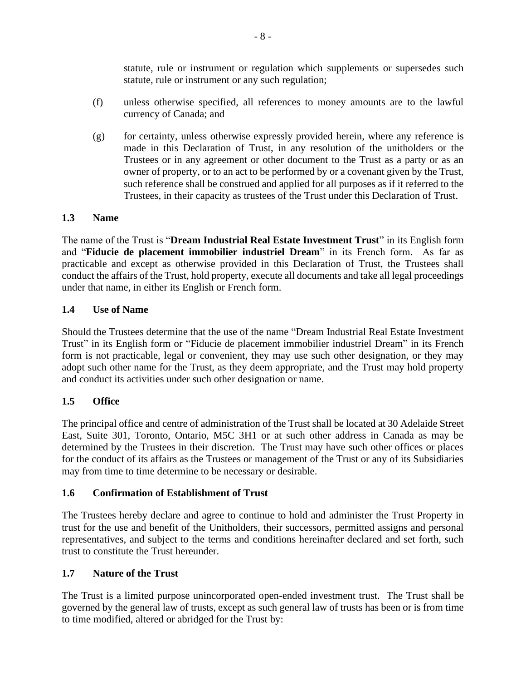statute, rule or instrument or regulation which supplements or supersedes such statute, rule or instrument or any such regulation;

- (f) unless otherwise specified, all references to money amounts are to the lawful currency of Canada; and
- (g) for certainty, unless otherwise expressly provided herein, where any reference is made in this Declaration of Trust, in any resolution of the unitholders or the Trustees or in any agreement or other document to the Trust as a party or as an owner of property, or to an act to be performed by or a covenant given by the Trust, such reference shall be construed and applied for all purposes as if it referred to the Trustees, in their capacity as trustees of the Trust under this Declaration of Trust.

### <span id="page-12-0"></span>**1.3 Name**

The name of the Trust is "**Dream Industrial Real Estate Investment Trust**" in its English form and "**Fiducie de placement immobilier industriel Dream**" in its French form. As far as practicable and except as otherwise provided in this Declaration of Trust, the Trustees shall conduct the affairs of the Trust, hold property, execute all documents and take all legal proceedings under that name, in either its English or French form.

### <span id="page-12-1"></span>**1.4 Use of Name**

Should the Trustees determine that the use of the name "Dream Industrial Real Estate Investment Trust" in its English form or "Fiducie de placement immobilier industriel Dream" in its French form is not practicable, legal or convenient, they may use such other designation, or they may adopt such other name for the Trust, as they deem appropriate, and the Trust may hold property and conduct its activities under such other designation or name.

### <span id="page-12-2"></span>**1.5 Office**

The principal office and centre of administration of the Trust shall be located at 30 Adelaide Street East, Suite 301, Toronto, Ontario, M5C 3H1 or at such other address in Canada as may be determined by the Trustees in their discretion. The Trust may have such other offices or places for the conduct of its affairs as the Trustees or management of the Trust or any of its Subsidiaries may from time to time determine to be necessary or desirable.

### <span id="page-12-3"></span>**1.6 Confirmation of Establishment of Trust**

The Trustees hereby declare and agree to continue to hold and administer the Trust Property in trust for the use and benefit of the Unitholders, their successors, permitted assigns and personal representatives, and subject to the terms and conditions hereinafter declared and set forth, such trust to constitute the Trust hereunder.

### <span id="page-12-4"></span>**1.7 Nature of the Trust**

The Trust is a limited purpose unincorporated open-ended investment trust. The Trust shall be governed by the general law of trusts, except as such general law of trusts has been or is from time to time modified, altered or abridged for the Trust by: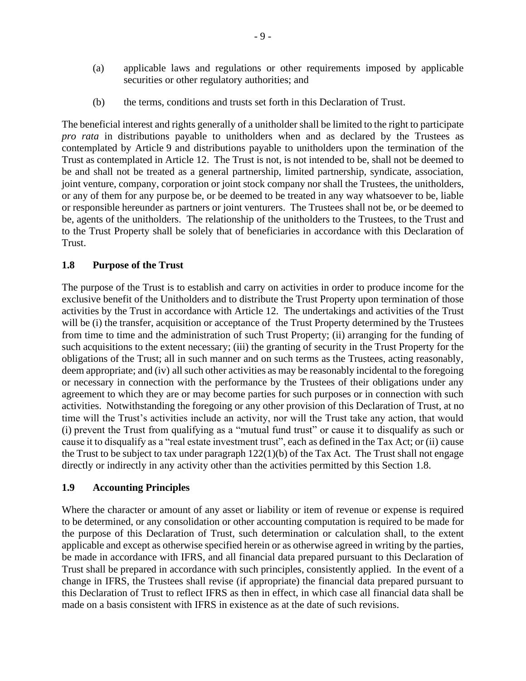- (a) applicable laws and regulations or other requirements imposed by applicable securities or other regulatory authorities; and
- (b) the terms, conditions and trusts set forth in this Declaration of Trust.

The beneficial interest and rights generally of a unitholder shall be limited to the right to participate *pro rata* in distributions payable to unitholders when and as declared by the Trustees as contemplated by [Article](#page-51-2) 9 and distributions payable to unitholders upon the termination of the Trust as contemplated in [Article](#page-58-0) 12. The Trust is not, is not intended to be, shall not be deemed to be and shall not be treated as a general partnership, limited partnership, syndicate, association, joint venture, company, corporation or joint stock company nor shall the Trustees, the unitholders, or any of them for any purpose be, or be deemed to be treated in any way whatsoever to be, liable or responsible hereunder as partners or joint venturers. The Trustees shall not be, or be deemed to be, agents of the unitholders. The relationship of the unitholders to the Trustees, to the Trust and to the Trust Property shall be solely that of beneficiaries in accordance with this Declaration of Trust.

### <span id="page-13-0"></span>**1.8 Purpose of the Trust**

The purpose of the Trust is to establish and carry on activities in order to produce income for the exclusive benefit of the Unitholders and to distribute the Trust Property upon termination of those activities by the Trust in accordance with [Article](#page-58-0) 12. The undertakings and activities of the Trust will be (i) the transfer, acquisition or acceptance of the Trust Property determined by the Trustees from time to time and the administration of such Trust Property; (ii) arranging for the funding of such acquisitions to the extent necessary; (iii) the granting of security in the Trust Property for the obligations of the Trust; all in such manner and on such terms as the Trustees, acting reasonably, deem appropriate; and (iv) all such other activities as may be reasonably incidental to the foregoing or necessary in connection with the performance by the Trustees of their obligations under any agreement to which they are or may become parties for such purposes or in connection with such activities. Notwithstanding the foregoing or any other provision of this Declaration of Trust, at no time will the Trust's activities include an activity, nor will the Trust take any action, that would (i) prevent the Trust from qualifying as a "mutual fund trust" or cause it to disqualify as such or cause it to disqualify as a "real estate investment trust", each as defined in the Tax Act; or (ii) cause the Trust to be subject to tax under paragraph 122(1)(b) of the Tax Act. The Trust shall not engage directly or indirectly in any activity other than the activities permitted by this Section [1.8.](#page-13-0)

### <span id="page-13-1"></span>**1.9 Accounting Principles**

Where the character or amount of any asset or liability or item of revenue or expense is required to be determined, or any consolidation or other accounting computation is required to be made for the purpose of this Declaration of Trust, such determination or calculation shall, to the extent applicable and except as otherwise specified herein or as otherwise agreed in writing by the parties, be made in accordance with IFRS, and all financial data prepared pursuant to this Declaration of Trust shall be prepared in accordance with such principles, consistently applied. In the event of a change in IFRS, the Trustees shall revise (if appropriate) the financial data prepared pursuant to this Declaration of Trust to reflect IFRS as then in effect, in which case all financial data shall be made on a basis consistent with IFRS in existence as at the date of such revisions.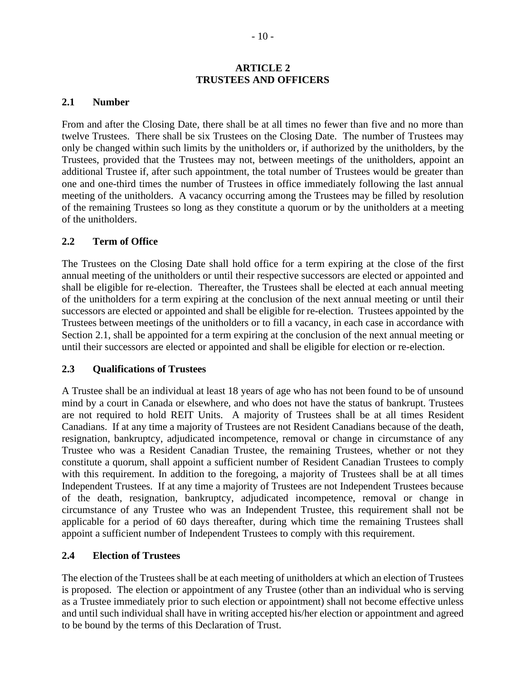### **ARTICLE 2 TRUSTEES AND OFFICERS**

### <span id="page-14-1"></span><span id="page-14-0"></span>**2.1 Number**

From and after the Closing Date, there shall be at all times no fewer than five and no more than twelve Trustees. There shall be six Trustees on the Closing Date. The number of Trustees may only be changed within such limits by the unitholders or, if authorized by the unitholders, by the Trustees, provided that the Trustees may not, between meetings of the unitholders, appoint an additional Trustee if, after such appointment, the total number of Trustees would be greater than one and one-third times the number of Trustees in office immediately following the last annual meeting of the unitholders. A vacancy occurring among the Trustees may be filled by resolution of the remaining Trustees so long as they constitute a quorum or by the unitholders at a meeting of the unitholders.

### <span id="page-14-2"></span>**2.2 Term of Office**

The Trustees on the Closing Date shall hold office for a term expiring at the close of the first annual meeting of the unitholders or until their respective successors are elected or appointed and shall be eligible for re-election. Thereafter, the Trustees shall be elected at each annual meeting of the unitholders for a term expiring at the conclusion of the next annual meeting or until their successors are elected or appointed and shall be eligible for re-election. Trustees appointed by the Trustees between meetings of the unitholders or to fill a vacancy, in each case in accordance with Section [2.1,](#page-14-1) shall be appointed for a term expiring at the conclusion of the next annual meeting or until their successors are elected or appointed and shall be eligible for election or re-election.

### <span id="page-14-3"></span>**2.3 Qualifications of Trustees**

A Trustee shall be an individual at least 18 years of age who has not been found to be of unsound mind by a court in Canada or elsewhere, and who does not have the status of bankrupt. Trustees are not required to hold REIT Units. A majority of Trustees shall be at all times Resident Canadians. If at any time a majority of Trustees are not Resident Canadians because of the death, resignation, bankruptcy, adjudicated incompetence, removal or change in circumstance of any Trustee who was a Resident Canadian Trustee, the remaining Trustees, whether or not they constitute a quorum, shall appoint a sufficient number of Resident Canadian Trustees to comply with this requirement. In addition to the foregoing, a majority of Trustees shall be at all times Independent Trustees. If at any time a majority of Trustees are not Independent Trustees because of the death, resignation, bankruptcy, adjudicated incompetence, removal or change in circumstance of any Trustee who was an Independent Trustee, this requirement shall not be applicable for a period of 60 days thereafter, during which time the remaining Trustees shall appoint a sufficient number of Independent Trustees to comply with this requirement.

### <span id="page-14-4"></span>**2.4 Election of Trustees**

The election of the Trustees shall be at each meeting of unitholders at which an election of Trustees is proposed. The election or appointment of any Trustee (other than an individual who is serving as a Trustee immediately prior to such election or appointment) shall not become effective unless and until such individual shall have in writing accepted his/her election or appointment and agreed to be bound by the terms of this Declaration of Trust.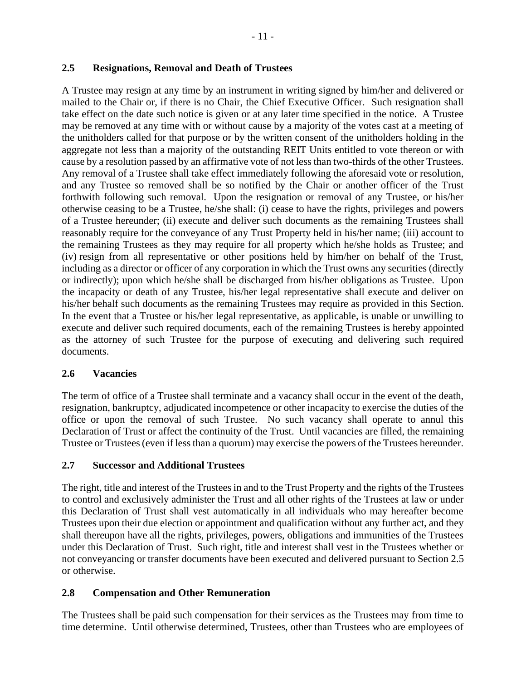### <span id="page-15-0"></span>**2.5 Resignations, Removal and Death of Trustees**

A Trustee may resign at any time by an instrument in writing signed by him/her and delivered or mailed to the Chair or, if there is no Chair, the Chief Executive Officer. Such resignation shall take effect on the date such notice is given or at any later time specified in the notice. A Trustee may be removed at any time with or without cause by a majority of the votes cast at a meeting of the unitholders called for that purpose or by the written consent of the unitholders holding in the aggregate not less than a majority of the outstanding REIT Units entitled to vote thereon or with cause by a resolution passed by an affirmative vote of not less than two-thirds of the other Trustees. Any removal of a Trustee shall take effect immediately following the aforesaid vote or resolution, and any Trustee so removed shall be so notified by the Chair or another officer of the Trust forthwith following such removal. Upon the resignation or removal of any Trustee, or his/her otherwise ceasing to be a Trustee, he/she shall: (i) cease to have the rights, privileges and powers of a Trustee hereunder; (ii) execute and deliver such documents as the remaining Trustees shall reasonably require for the conveyance of any Trust Property held in his/her name; (iii) account to the remaining Trustees as they may require for all property which he/she holds as Trustee; and (iv) resign from all representative or other positions held by him/her on behalf of the Trust, including as a director or officer of any corporation in which the Trust owns any securities (directly or indirectly); upon which he/she shall be discharged from his/her obligations as Trustee. Upon the incapacity or death of any Trustee, his/her legal representative shall execute and deliver on his/her behalf such documents as the remaining Trustees may require as provided in this Section. In the event that a Trustee or his/her legal representative, as applicable, is unable or unwilling to execute and deliver such required documents, each of the remaining Trustees is hereby appointed as the attorney of such Trustee for the purpose of executing and delivering such required documents.

### <span id="page-15-1"></span>**2.6 Vacancies**

The term of office of a Trustee shall terminate and a vacancy shall occur in the event of the death, resignation, bankruptcy, adjudicated incompetence or other incapacity to exercise the duties of the office or upon the removal of such Trustee. No such vacancy shall operate to annul this Declaration of Trust or affect the continuity of the Trust. Until vacancies are filled, the remaining Trustee or Trustees (even if less than a quorum) may exercise the powers of the Trustees hereunder.

### <span id="page-15-2"></span>**2.7 Successor and Additional Trustees**

The right, title and interest of the Trustees in and to the Trust Property and the rights of the Trustees to control and exclusively administer the Trust and all other rights of the Trustees at law or under this Declaration of Trust shall vest automatically in all individuals who may hereafter become Trustees upon their due election or appointment and qualification without any further act, and they shall thereupon have all the rights, privileges, powers, obligations and immunities of the Trustees under this Declaration of Trust. Such right, title and interest shall vest in the Trustees whether or not conveyancing or transfer documents have been executed and delivered pursuant to Section [2.5](#page-15-0) or otherwise.

### <span id="page-15-3"></span>**2.8 Compensation and Other Remuneration**

The Trustees shall be paid such compensation for their services as the Trustees may from time to time determine. Until otherwise determined, Trustees, other than Trustees who are employees of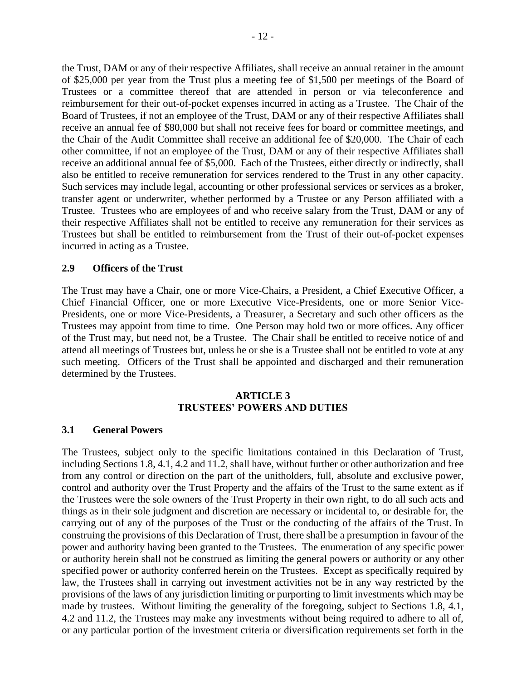the Trust, DAM or any of their respective Affiliates, shall receive an annual retainer in the amount of \$25,000 per year from the Trust plus a meeting fee of \$1,500 per meetings of the Board of Trustees or a committee thereof that are attended in person or via teleconference and reimbursement for their out-of-pocket expenses incurred in acting as a Trustee. The Chair of the Board of Trustees, if not an employee of the Trust, DAM or any of their respective Affiliates shall receive an annual fee of \$80,000 but shall not receive fees for board or committee meetings, and the Chair of the Audit Committee shall receive an additional fee of \$20,000. The Chair of each other committee, if not an employee of the Trust, DAM or any of their respective Affiliates shall receive an additional annual fee of \$5,000. Each of the Trustees, either directly or indirectly, shall also be entitled to receive remuneration for services rendered to the Trust in any other capacity. Such services may include legal, accounting or other professional services or services as a broker, transfer agent or underwriter, whether performed by a Trustee or any Person affiliated with a Trustee. Trustees who are employees of and who receive salary from the Trust, DAM or any of their respective Affiliates shall not be entitled to receive any remuneration for their services as Trustees but shall be entitled to reimbursement from the Trust of their out-of-pocket expenses incurred in acting as a Trustee.

### <span id="page-16-0"></span>**2.9 Officers of the Trust**

The Trust may have a Chair, one or more Vice-Chairs, a President, a Chief Executive Officer, a Chief Financial Officer, one or more Executive Vice-Presidents, one or more Senior Vice-Presidents, one or more Vice-Presidents, a Treasurer, a Secretary and such other officers as the Trustees may appoint from time to time. One Person may hold two or more offices. Any officer of the Trust may, but need not, be a Trustee. The Chair shall be entitled to receive notice of and attend all meetings of Trustees but, unless he or she is a Trustee shall not be entitled to vote at any such meeting. Officers of the Trust shall be appointed and discharged and their remuneration determined by the Trustees.

### **ARTICLE 3 TRUSTEES' POWERS AND DUTIES**

### <span id="page-16-2"></span><span id="page-16-1"></span>**3.1 General Powers**

The Trustees, subject only to the specific limitations contained in this Declaration of Trust, including Sections [1.8,](#page-13-0) [4.1,](#page-24-2) [4.2](#page-26-0) and [11.2,](#page-56-0) shall have, without further or other authorization and free from any control or direction on the part of the unitholders, full, absolute and exclusive power, control and authority over the Trust Property and the affairs of the Trust to the same extent as if the Trustees were the sole owners of the Trust Property in their own right, to do all such acts and things as in their sole judgment and discretion are necessary or incidental to, or desirable for, the carrying out of any of the purposes of the Trust or the conducting of the affairs of the Trust. In construing the provisions of this Declaration of Trust, there shall be a presumption in favour of the power and authority having been granted to the Trustees. The enumeration of any specific power or authority herein shall not be construed as limiting the general powers or authority or any other specified power or authority conferred herein on the Trustees. Except as specifically required by law, the Trustees shall in carrying out investment activities not be in any way restricted by the provisions of the laws of any jurisdiction limiting or purporting to limit investments which may be made by trustees. Without limiting the generality of the foregoing, subject to Sections [1.8,](#page-13-0) [4.1,](#page-24-2) [4.2](#page-26-0) and [11.2,](#page-56-0) the Trustees may make any investments without being required to adhere to all of, or any particular portion of the investment criteria or diversification requirements set forth in the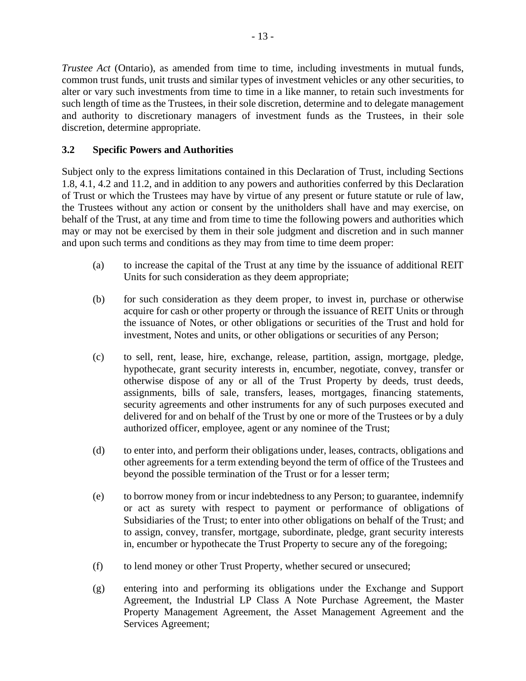*Trustee Act* (Ontario), as amended from time to time, including investments in mutual funds, common trust funds, unit trusts and similar types of investment vehicles or any other securities, to alter or vary such investments from time to time in a like manner, to retain such investments for such length of time as the Trustees, in their sole discretion, determine and to delegate management and authority to discretionary managers of investment funds as the Trustees, in their sole discretion, determine appropriate.

### <span id="page-17-0"></span>**3.2 Specific Powers and Authorities**

Subject only to the express limitations contained in this Declaration of Trust, including Sections [1.8,](#page-13-0) [4.1,](#page-24-2) [4.2](#page-26-0) and [11.2,](#page-56-0) and in addition to any powers and authorities conferred by this Declaration of Trust or which the Trustees may have by virtue of any present or future statute or rule of law, the Trustees without any action or consent by the unitholders shall have and may exercise, on behalf of the Trust, at any time and from time to time the following powers and authorities which may or may not be exercised by them in their sole judgment and discretion and in such manner and upon such terms and conditions as they may from time to time deem proper:

- (a) to increase the capital of the Trust at any time by the issuance of additional REIT Units for such consideration as they deem appropriate;
- (b) for such consideration as they deem proper, to invest in, purchase or otherwise acquire for cash or other property or through the issuance of REIT Units or through the issuance of Notes, or other obligations or securities of the Trust and hold for investment, Notes and units, or other obligations or securities of any Person;
- (c) to sell, rent, lease, hire, exchange, release, partition, assign, mortgage, pledge, hypothecate, grant security interests in, encumber, negotiate, convey, transfer or otherwise dispose of any or all of the Trust Property by deeds, trust deeds, assignments, bills of sale, transfers, leases, mortgages, financing statements, security agreements and other instruments for any of such purposes executed and delivered for and on behalf of the Trust by one or more of the Trustees or by a duly authorized officer, employee, agent or any nominee of the Trust;
- (d) to enter into, and perform their obligations under, leases, contracts, obligations and other agreements for a term extending beyond the term of office of the Trustees and beyond the possible termination of the Trust or for a lesser term;
- (e) to borrow money from or incur indebtedness to any Person; to guarantee, indemnify or act as surety with respect to payment or performance of obligations of Subsidiaries of the Trust; to enter into other obligations on behalf of the Trust; and to assign, convey, transfer, mortgage, subordinate, pledge, grant security interests in, encumber or hypothecate the Trust Property to secure any of the foregoing;
- (f) to lend money or other Trust Property, whether secured or unsecured;
- (g) entering into and performing its obligations under the Exchange and Support Agreement, the Industrial LP Class A Note Purchase Agreement, the Master Property Management Agreement, the Asset Management Agreement and the Services Agreement;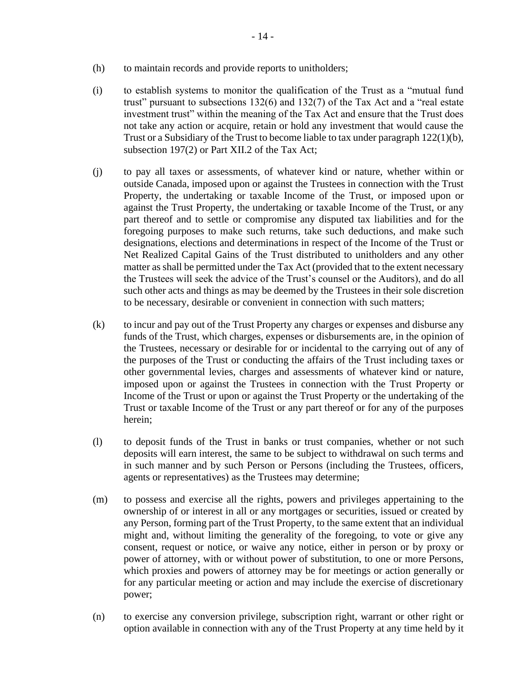- (h) to maintain records and provide reports to unitholders;
- (i) to establish systems to monitor the qualification of the Trust as a "mutual fund trust" pursuant to subsections 132(6) and 132(7) of the Tax Act and a "real estate investment trust" within the meaning of the Tax Act and ensure that the Trust does not take any action or acquire, retain or hold any investment that would cause the Trust or a Subsidiary of the Trust to become liable to tax under paragraph 122(1)(b), subsection 197(2) or Part XII.2 of the Tax Act;
- (j) to pay all taxes or assessments, of whatever kind or nature, whether within or outside Canada, imposed upon or against the Trustees in connection with the Trust Property, the undertaking or taxable Income of the Trust, or imposed upon or against the Trust Property, the undertaking or taxable Income of the Trust, or any part thereof and to settle or compromise any disputed tax liabilities and for the foregoing purposes to make such returns, take such deductions, and make such designations, elections and determinations in respect of the Income of the Trust or Net Realized Capital Gains of the Trust distributed to unitholders and any other matter as shall be permitted under the Tax Act (provided that to the extent necessary the Trustees will seek the advice of the Trust's counsel or the Auditors), and do all such other acts and things as may be deemed by the Trustees in their sole discretion to be necessary, desirable or convenient in connection with such matters;
- (k) to incur and pay out of the Trust Property any charges or expenses and disburse any funds of the Trust, which charges, expenses or disbursements are, in the opinion of the Trustees, necessary or desirable for or incidental to the carrying out of any of the purposes of the Trust or conducting the affairs of the Trust including taxes or other governmental levies, charges and assessments of whatever kind or nature, imposed upon or against the Trustees in connection with the Trust Property or Income of the Trust or upon or against the Trust Property or the undertaking of the Trust or taxable Income of the Trust or any part thereof or for any of the purposes herein;
- (l) to deposit funds of the Trust in banks or trust companies, whether or not such deposits will earn interest, the same to be subject to withdrawal on such terms and in such manner and by such Person or Persons (including the Trustees, officers, agents or representatives) as the Trustees may determine;
- (m) to possess and exercise all the rights, powers and privileges appertaining to the ownership of or interest in all or any mortgages or securities, issued or created by any Person, forming part of the Trust Property, to the same extent that an individual might and, without limiting the generality of the foregoing, to vote or give any consent, request or notice, or waive any notice, either in person or by proxy or power of attorney, with or without power of substitution, to one or more Persons, which proxies and powers of attorney may be for meetings or action generally or for any particular meeting or action and may include the exercise of discretionary power;
- (n) to exercise any conversion privilege, subscription right, warrant or other right or option available in connection with any of the Trust Property at any time held by it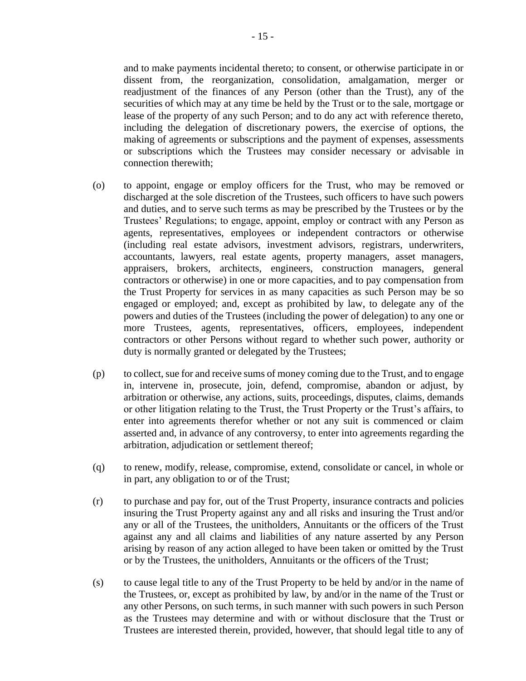and to make payments incidental thereto; to consent, or otherwise participate in or dissent from, the reorganization, consolidation, amalgamation, merger or readjustment of the finances of any Person (other than the Trust), any of the securities of which may at any time be held by the Trust or to the sale, mortgage or lease of the property of any such Person; and to do any act with reference thereto, including the delegation of discretionary powers, the exercise of options, the making of agreements or subscriptions and the payment of expenses, assessments or subscriptions which the Trustees may consider necessary or advisable in connection therewith;

- (o) to appoint, engage or employ officers for the Trust, who may be removed or discharged at the sole discretion of the Trustees, such officers to have such powers and duties, and to serve such terms as may be prescribed by the Trustees or by the Trustees' Regulations; to engage, appoint, employ or contract with any Person as agents, representatives, employees or independent contractors or otherwise (including real estate advisors, investment advisors, registrars, underwriters, accountants, lawyers, real estate agents, property managers, asset managers, appraisers, brokers, architects, engineers, construction managers, general contractors or otherwise) in one or more capacities, and to pay compensation from the Trust Property for services in as many capacities as such Person may be so engaged or employed; and, except as prohibited by law, to delegate any of the powers and duties of the Trustees (including the power of delegation) to any one or more Trustees, agents, representatives, officers, employees, independent contractors or other Persons without regard to whether such power, authority or duty is normally granted or delegated by the Trustees;
- (p) to collect, sue for and receive sums of money coming due to the Trust, and to engage in, intervene in, prosecute, join, defend, compromise, abandon or adjust, by arbitration or otherwise, any actions, suits, proceedings, disputes, claims, demands or other litigation relating to the Trust, the Trust Property or the Trust's affairs, to enter into agreements therefor whether or not any suit is commenced or claim asserted and, in advance of any controversy, to enter into agreements regarding the arbitration, adjudication or settlement thereof;
- (q) to renew, modify, release, compromise, extend, consolidate or cancel, in whole or in part, any obligation to or of the Trust;
- (r) to purchase and pay for, out of the Trust Property, insurance contracts and policies insuring the Trust Property against any and all risks and insuring the Trust and/or any or all of the Trustees, the unitholders, Annuitants or the officers of the Trust against any and all claims and liabilities of any nature asserted by any Person arising by reason of any action alleged to have been taken or omitted by the Trust or by the Trustees, the unitholders, Annuitants or the officers of the Trust;
- (s) to cause legal title to any of the Trust Property to be held by and/or in the name of the Trustees, or, except as prohibited by law, by and/or in the name of the Trust or any other Persons, on such terms, in such manner with such powers in such Person as the Trustees may determine and with or without disclosure that the Trust or Trustees are interested therein, provided, however, that should legal title to any of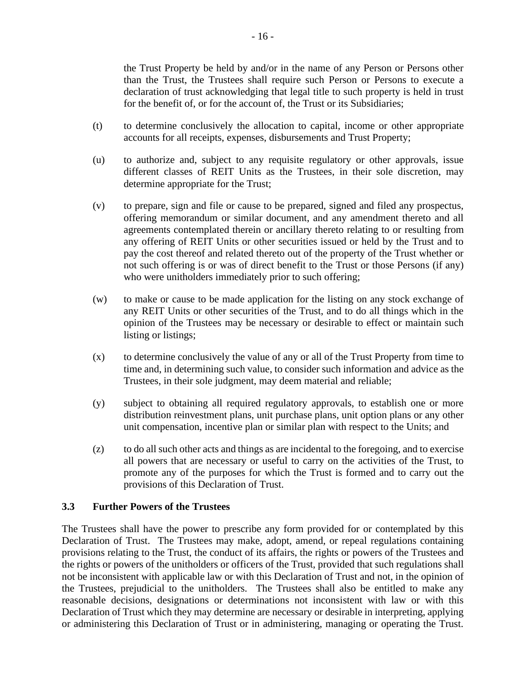the Trust Property be held by and/or in the name of any Person or Persons other than the Trust, the Trustees shall require such Person or Persons to execute a declaration of trust acknowledging that legal title to such property is held in trust for the benefit of, or for the account of, the Trust or its Subsidiaries;

- (t) to determine conclusively the allocation to capital, income or other appropriate accounts for all receipts, expenses, disbursements and Trust Property;
- (u) to authorize and, subject to any requisite regulatory or other approvals, issue different classes of REIT Units as the Trustees, in their sole discretion, may determine appropriate for the Trust;
- (v) to prepare, sign and file or cause to be prepared, signed and filed any prospectus, offering memorandum or similar document, and any amendment thereto and all agreements contemplated therein or ancillary thereto relating to or resulting from any offering of REIT Units or other securities issued or held by the Trust and to pay the cost thereof and related thereto out of the property of the Trust whether or not such offering is or was of direct benefit to the Trust or those Persons (if any) who were unitholders immediately prior to such offering;
- (w) to make or cause to be made application for the listing on any stock exchange of any REIT Units or other securities of the Trust, and to do all things which in the opinion of the Trustees may be necessary or desirable to effect or maintain such listing or listings;
- (x) to determine conclusively the value of any or all of the Trust Property from time to time and, in determining such value, to consider such information and advice as the Trustees, in their sole judgment, may deem material and reliable;
- (y) subject to obtaining all required regulatory approvals, to establish one or more distribution reinvestment plans, unit purchase plans, unit option plans or any other unit compensation, incentive plan or similar plan with respect to the Units; and
- (z) to do all such other acts and things as are incidental to the foregoing, and to exercise all powers that are necessary or useful to carry on the activities of the Trust, to promote any of the purposes for which the Trust is formed and to carry out the provisions of this Declaration of Trust.

### <span id="page-20-0"></span>**3.3 Further Powers of the Trustees**

The Trustees shall have the power to prescribe any form provided for or contemplated by this Declaration of Trust. The Trustees may make, adopt, amend, or repeal regulations containing provisions relating to the Trust, the conduct of its affairs, the rights or powers of the Trustees and the rights or powers of the unitholders or officers of the Trust, provided that such regulations shall not be inconsistent with applicable law or with this Declaration of Trust and not, in the opinion of the Trustees, prejudicial to the unitholders. The Trustees shall also be entitled to make any reasonable decisions, designations or determinations not inconsistent with law or with this Declaration of Trust which they may determine are necessary or desirable in interpreting, applying or administering this Declaration of Trust or in administering, managing or operating the Trust.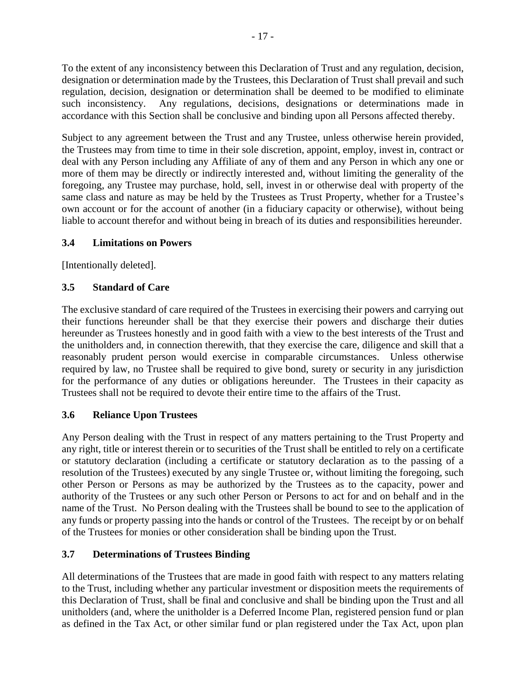To the extent of any inconsistency between this Declaration of Trust and any regulation, decision, designation or determination made by the Trustees, this Declaration of Trust shall prevail and such regulation, decision, designation or determination shall be deemed to be modified to eliminate such inconsistency. Any regulations, decisions, designations or determinations made in accordance with this Section shall be conclusive and binding upon all Persons affected thereby.

Subject to any agreement between the Trust and any Trustee, unless otherwise herein provided, the Trustees may from time to time in their sole discretion, appoint, employ, invest in, contract or deal with any Person including any Affiliate of any of them and any Person in which any one or more of them may be directly or indirectly interested and, without limiting the generality of the foregoing, any Trustee may purchase, hold, sell, invest in or otherwise deal with property of the same class and nature as may be held by the Trustees as Trust Property, whether for a Trustee's own account or for the account of another (in a fiduciary capacity or otherwise), without being liable to account therefor and without being in breach of its duties and responsibilities hereunder.

### <span id="page-21-0"></span>**3.4 Limitations on Powers**

[Intentionally deleted].

### <span id="page-21-1"></span>**3.5 Standard of Care**

The exclusive standard of care required of the Trustees in exercising their powers and carrying out their functions hereunder shall be that they exercise their powers and discharge their duties hereunder as Trustees honestly and in good faith with a view to the best interests of the Trust and the unitholders and, in connection therewith, that they exercise the care, diligence and skill that a reasonably prudent person would exercise in comparable circumstances. Unless otherwise required by law, no Trustee shall be required to give bond, surety or security in any jurisdiction for the performance of any duties or obligations hereunder. The Trustees in their capacity as Trustees shall not be required to devote their entire time to the affairs of the Trust.

### <span id="page-21-2"></span>**3.6 Reliance Upon Trustees**

Any Person dealing with the Trust in respect of any matters pertaining to the Trust Property and any right, title or interest therein or to securities of the Trust shall be entitled to rely on a certificate or statutory declaration (including a certificate or statutory declaration as to the passing of a resolution of the Trustees) executed by any single Trustee or, without limiting the foregoing, such other Person or Persons as may be authorized by the Trustees as to the capacity, power and authority of the Trustees or any such other Person or Persons to act for and on behalf and in the name of the Trust. No Person dealing with the Trustees shall be bound to see to the application of any funds or property passing into the hands or control of the Trustees. The receipt by or on behalf of the Trustees for monies or other consideration shall be binding upon the Trust.

### <span id="page-21-3"></span>**3.7 Determinations of Trustees Binding**

All determinations of the Trustees that are made in good faith with respect to any matters relating to the Trust, including whether any particular investment or disposition meets the requirements of this Declaration of Trust, shall be final and conclusive and shall be binding upon the Trust and all unitholders (and, where the unitholder is a Deferred Income Plan, registered pension fund or plan as defined in the Tax Act, or other similar fund or plan registered under the Tax Act, upon plan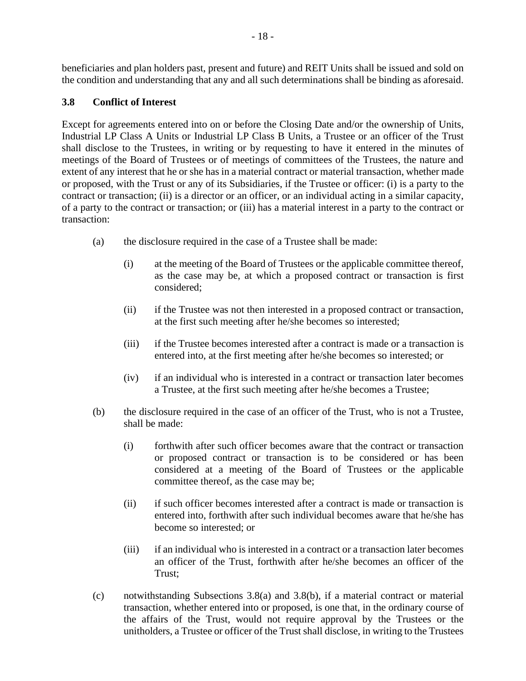beneficiaries and plan holders past, present and future) and REIT Units shall be issued and sold on the condition and understanding that any and all such determinations shall be binding as aforesaid.

### <span id="page-22-0"></span>**3.8 Conflict of Interest**

Except for agreements entered into on or before the Closing Date and/or the ownership of Units, Industrial LP Class A Units or Industrial LP Class B Units, a Trustee or an officer of the Trust shall disclose to the Trustees, in writing or by requesting to have it entered in the minutes of meetings of the Board of Trustees or of meetings of committees of the Trustees, the nature and extent of any interest that he or she has in a material contract or material transaction, whether made or proposed, with the Trust or any of its Subsidiaries, if the Trustee or officer: (i) is a party to the contract or transaction; (ii) is a director or an officer, or an individual acting in a similar capacity, of a party to the contract or transaction; or (iii) has a material interest in a party to the contract or transaction:

- <span id="page-22-1"></span>(a) the disclosure required in the case of a Trustee shall be made:
	- (i) at the meeting of the Board of Trustees or the applicable committee thereof, as the case may be, at which a proposed contract or transaction is first considered;
	- (ii) if the Trustee was not then interested in a proposed contract or transaction, at the first such meeting after he/she becomes so interested;
	- (iii) if the Trustee becomes interested after a contract is made or a transaction is entered into, at the first meeting after he/she becomes so interested; or
	- (iv) if an individual who is interested in a contract or transaction later becomes a Trustee, at the first such meeting after he/she becomes a Trustee;
- <span id="page-22-2"></span>(b) the disclosure required in the case of an officer of the Trust, who is not a Trustee, shall be made:
	- (i) forthwith after such officer becomes aware that the contract or transaction or proposed contract or transaction is to be considered or has been considered at a meeting of the Board of Trustees or the applicable committee thereof, as the case may be;
	- (ii) if such officer becomes interested after a contract is made or transaction is entered into, forthwith after such individual becomes aware that he/she has become so interested; or
	- (iii) if an individual who is interested in a contract or a transaction later becomes an officer of the Trust, forthwith after he/she becomes an officer of the Trust;
- (c) notwithstanding Subsections [3.8\(a\)](#page-22-1) and [3.8\(b\),](#page-22-2) if a material contract or material transaction, whether entered into or proposed, is one that, in the ordinary course of the affairs of the Trust, would not require approval by the Trustees or the unitholders, a Trustee or officer of the Trust shall disclose, in writing to the Trustees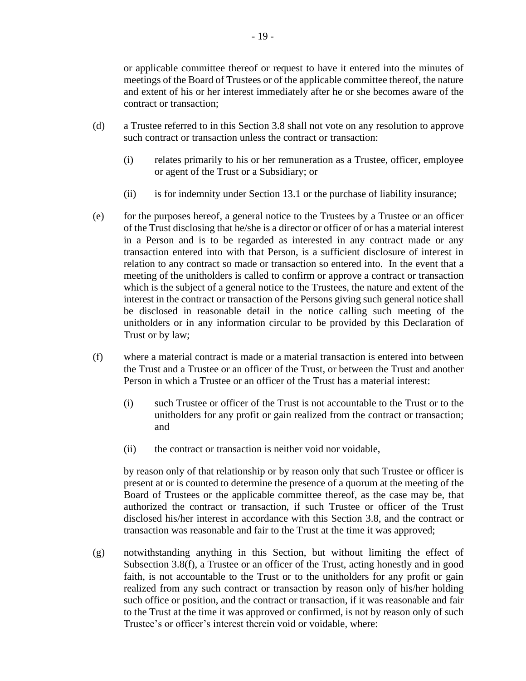or applicable committee thereof or request to have it entered into the minutes of meetings of the Board of Trustees or of the applicable committee thereof, the nature and extent of his or her interest immediately after he or she becomes aware of the contract or transaction;

- (d) a Trustee referred to in this Section [3.8](#page-22-0) shall not vote on any resolution to approve such contract or transaction unless the contract or transaction:
	- (i) relates primarily to his or her remuneration as a Trustee, officer, employee or agent of the Trust or a Subsidiary; or
	- (ii) is for indemnity under Section [13.1](#page-58-4) or the purchase of liability insurance;
- (e) for the purposes hereof, a general notice to the Trustees by a Trustee or an officer of the Trust disclosing that he/she is a director or officer of or has a material interest in a Person and is to be regarded as interested in any contract made or any transaction entered into with that Person, is a sufficient disclosure of interest in relation to any contract so made or transaction so entered into. In the event that a meeting of the unitholders is called to confirm or approve a contract or transaction which is the subject of a general notice to the Trustees, the nature and extent of the interest in the contract or transaction of the Persons giving such general notice shall be disclosed in reasonable detail in the notice calling such meeting of the unitholders or in any information circular to be provided by this Declaration of Trust or by law;
- <span id="page-23-0"></span>(f) where a material contract is made or a material transaction is entered into between the Trust and a Trustee or an officer of the Trust, or between the Trust and another Person in which a Trustee or an officer of the Trust has a material interest:
	- (i) such Trustee or officer of the Trust is not accountable to the Trust or to the unitholders for any profit or gain realized from the contract or transaction; and
	- (ii) the contract or transaction is neither void nor voidable,

by reason only of that relationship or by reason only that such Trustee or officer is present at or is counted to determine the presence of a quorum at the meeting of the Board of Trustees or the applicable committee thereof, as the case may be, that authorized the contract or transaction, if such Trustee or officer of the Trust disclosed his/her interest in accordance with this Section [3.8,](#page-22-0) and the contract or transaction was reasonable and fair to the Trust at the time it was approved;

<span id="page-23-1"></span>(g) notwithstanding anything in this Section, but without limiting the effect of Subsection [3.8\(f\),](#page-23-0) a Trustee or an officer of the Trust, acting honestly and in good faith, is not accountable to the Trust or to the unitholders for any profit or gain realized from any such contract or transaction by reason only of his/her holding such office or position, and the contract or transaction, if it was reasonable and fair to the Trust at the time it was approved or confirmed, is not by reason only of such Trustee's or officer's interest therein void or voidable, where: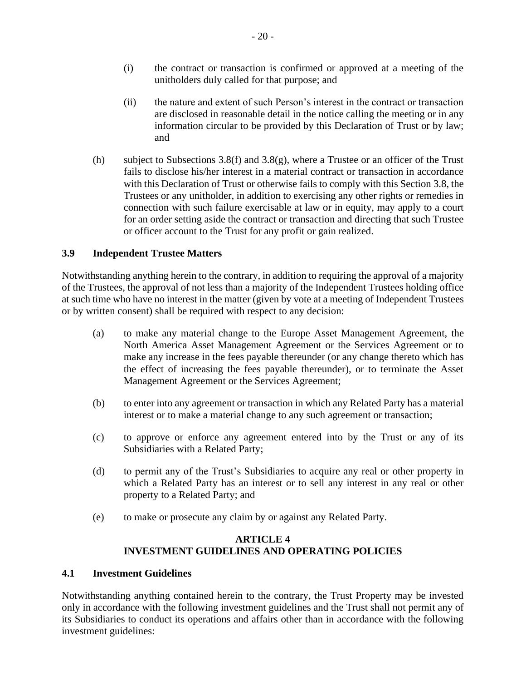- (i) the contract or transaction is confirmed or approved at a meeting of the unitholders duly called for that purpose; and
- (ii) the nature and extent of such Person's interest in the contract or transaction are disclosed in reasonable detail in the notice calling the meeting or in any information circular to be provided by this Declaration of Trust or by law; and
- (h) subject to Subsections [3.8\(f\)](#page-23-0) and [3.8\(g\),](#page-23-1) where a Trustee or an officer of the Trust fails to disclose his/her interest in a material contract or transaction in accordance with this Declaration of Trust or otherwise fails to comply with this Section [3.8,](#page-22-0) the Trustees or any unitholder, in addition to exercising any other rights or remedies in connection with such failure exercisable at law or in equity, may apply to a court for an order setting aside the contract or transaction and directing that such Trustee or officer account to the Trust for any profit or gain realized.

### <span id="page-24-0"></span>**3.9 Independent Trustee Matters**

Notwithstanding anything herein to the contrary, in addition to requiring the approval of a majority of the Trustees, the approval of not less than a majority of the Independent Trustees holding office at such time who have no interest in the matter (given by vote at a meeting of Independent Trustees or by written consent) shall be required with respect to any decision:

- (a) to make any material change to the Europe Asset Management Agreement, the North America Asset Management Agreement or the Services Agreement or to make any increase in the fees payable thereunder (or any change thereto which has the effect of increasing the fees payable thereunder), or to terminate the Asset Management Agreement or the Services Agreement;
- (b) to enter into any agreement or transaction in which any Related Party has a material interest or to make a material change to any such agreement or transaction;
- (c) to approve or enforce any agreement entered into by the Trust or any of its Subsidiaries with a Related Party;
- (d) to permit any of the Trust's Subsidiaries to acquire any real or other property in which a Related Party has an interest or to sell any interest in any real or other property to a Related Party; and
- (e) to make or prosecute any claim by or against any Related Party.

### **ARTICLE 4 INVESTMENT GUIDELINES AND OPERATING POLICIES**

### <span id="page-24-2"></span><span id="page-24-1"></span>**4.1 Investment Guidelines**

Notwithstanding anything contained herein to the contrary, the Trust Property may be invested only in accordance with the following investment guidelines and the Trust shall not permit any of its Subsidiaries to conduct its operations and affairs other than in accordance with the following investment guidelines: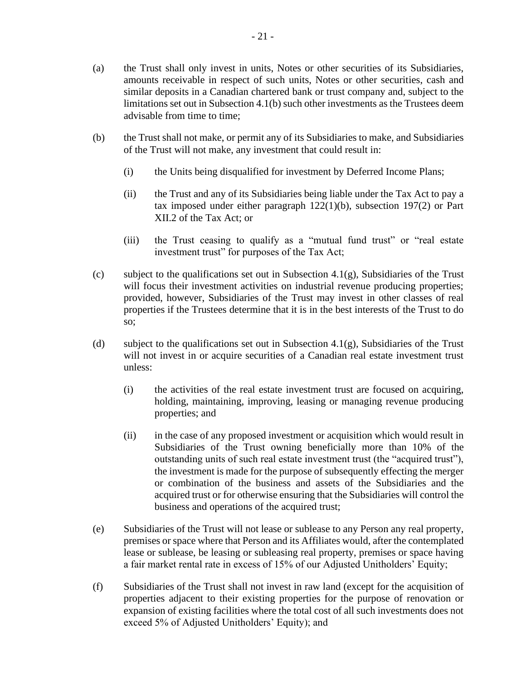- (a) the Trust shall only invest in units, Notes or other securities of its Subsidiaries, amounts receivable in respect of such units, Notes or other securities, cash and similar deposits in a Canadian chartered bank or trust company and, subject to the limitations set out in Subsection 4.1(b) such other investments as the Trustees deem advisable from time to time;
- (b) the Trust shall not make, or permit any of its Subsidiaries to make, and Subsidiaries of the Trust will not make, any investment that could result in:
	- (i) the Units being disqualified for investment by Deferred Income Plans;
	- (ii) the Trust and any of its Subsidiaries being liable under the Tax Act to pay a tax imposed under either paragraph 122(1)(b), subsection 197(2) or Part XII.2 of the Tax Act; or
	- (iii) the Trust ceasing to qualify as a "mutual fund trust" or "real estate investment trust" for purposes of the Tax Act;
- (c) subject to the qualifications set out in Subsection 4.1(g), Subsidiaries of the Trust will focus their investment activities on industrial revenue producing properties; provided, however, Subsidiaries of the Trust may invest in other classes of real properties if the Trustees determine that it is in the best interests of the Trust to do so;
- (d) subject to the qualifications set out in Subsection 4.1(g), Subsidiaries of the Trust will not invest in or acquire securities of a Canadian real estate investment trust unless:
	- (i) the activities of the real estate investment trust are focused on acquiring, holding, maintaining, improving, leasing or managing revenue producing properties; and
	- (ii) in the case of any proposed investment or acquisition which would result in Subsidiaries of the Trust owning beneficially more than 10% of the outstanding units of such real estate investment trust (the "acquired trust"), the investment is made for the purpose of subsequently effecting the merger or combination of the business and assets of the Subsidiaries and the acquired trust or for otherwise ensuring that the Subsidiaries will control the business and operations of the acquired trust;
- (e) Subsidiaries of the Trust will not lease or sublease to any Person any real property, premises or space where that Person and its Affiliates would, after the contemplated lease or sublease, be leasing or subleasing real property, premises or space having a fair market rental rate in excess of 15% of our Adjusted Unitholders' Equity;
- (f) Subsidiaries of the Trust shall not invest in raw land (except for the acquisition of properties adjacent to their existing properties for the purpose of renovation or expansion of existing facilities where the total cost of all such investments does not exceed 5% of Adjusted Unitholders' Equity); and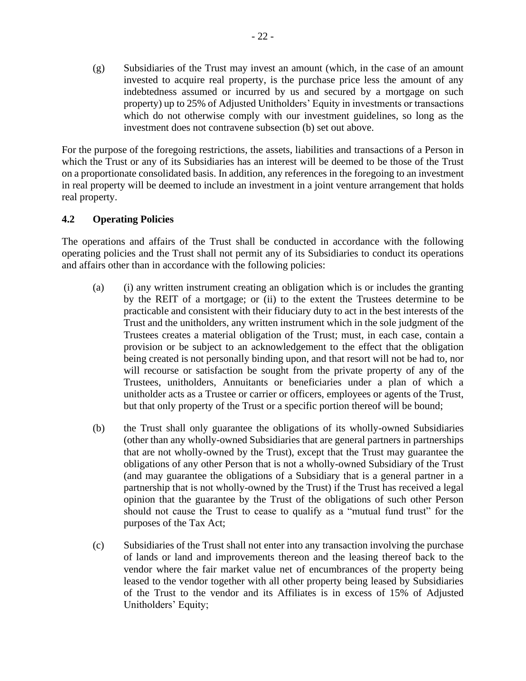(g) Subsidiaries of the Trust may invest an amount (which, in the case of an amount invested to acquire real property, is the purchase price less the amount of any indebtedness assumed or incurred by us and secured by a mortgage on such property) up to 25% of Adjusted Unitholders' Equity in investments or transactions which do not otherwise comply with our investment guidelines, so long as the investment does not contravene subsection (b) set out above.

For the purpose of the foregoing restrictions, the assets, liabilities and transactions of a Person in which the Trust or any of its Subsidiaries has an interest will be deemed to be those of the Trust on a proportionate consolidated basis. In addition, any references in the foregoing to an investment in real property will be deemed to include an investment in a joint venture arrangement that holds real property.

### <span id="page-26-0"></span>**4.2 Operating Policies**

The operations and affairs of the Trust shall be conducted in accordance with the following operating policies and the Trust shall not permit any of its Subsidiaries to conduct its operations and affairs other than in accordance with the following policies:

- (a) (i) any written instrument creating an obligation which is or includes the granting by the REIT of a mortgage; or (ii) to the extent the Trustees determine to be practicable and consistent with their fiduciary duty to act in the best interests of the Trust and the unitholders, any written instrument which in the sole judgment of the Trustees creates a material obligation of the Trust; must, in each case, contain a provision or be subject to an acknowledgement to the effect that the obligation being created is not personally binding upon, and that resort will not be had to, nor will recourse or satisfaction be sought from the private property of any of the Trustees, unitholders, Annuitants or beneficiaries under a plan of which a unitholder acts as a Trustee or carrier or officers, employees or agents of the Trust, but that only property of the Trust or a specific portion thereof will be bound;
- (b) the Trust shall only guarantee the obligations of its wholly-owned Subsidiaries (other than any wholly-owned Subsidiaries that are general partners in partnerships that are not wholly-owned by the Trust), except that the Trust may guarantee the obligations of any other Person that is not a wholly-owned Subsidiary of the Trust (and may guarantee the obligations of a Subsidiary that is a general partner in a partnership that is not wholly-owned by the Trust) if the Trust has received a legal opinion that the guarantee by the Trust of the obligations of such other Person should not cause the Trust to cease to qualify as a "mutual fund trust" for the purposes of the Tax Act;
- <span id="page-26-1"></span>(c) Subsidiaries of the Trust shall not enter into any transaction involving the purchase of lands or land and improvements thereon and the leasing thereof back to the vendor where the fair market value net of encumbrances of the property being leased to the vendor together with all other property being leased by Subsidiaries of the Trust to the vendor and its Affiliates is in excess of 15% of Adjusted Unitholders' Equity;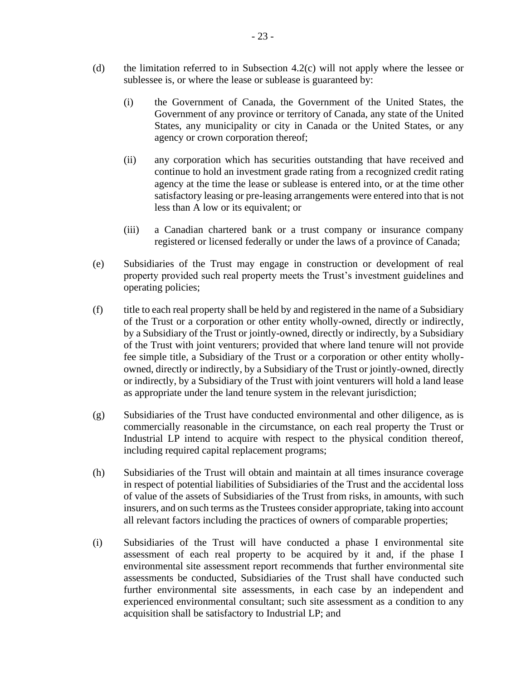- (d) the limitation referred to in Subsection [4.2\(c\)](#page-26-1) will not apply where the lessee or sublessee is, or where the lease or sublease is guaranteed by:
	- (i) the Government of Canada, the Government of the United States, the Government of any province or territory of Canada, any state of the United States, any municipality or city in Canada or the United States, or any agency or crown corporation thereof;
	- (ii) any corporation which has securities outstanding that have received and continue to hold an investment grade rating from a recognized credit rating agency at the time the lease or sublease is entered into, or at the time other satisfactory leasing or pre-leasing arrangements were entered into that is not less than A low or its equivalent; or
	- (iii) a Canadian chartered bank or a trust company or insurance company registered or licensed federally or under the laws of a province of Canada;
- (e) Subsidiaries of the Trust may engage in construction or development of real property provided such real property meets the Trust's investment guidelines and operating policies;
- (f) title to each real property shall be held by and registered in the name of a Subsidiary of the Trust or a corporation or other entity wholly-owned, directly or indirectly, by a Subsidiary of the Trust or jointly-owned, directly or indirectly, by a Subsidiary of the Trust with joint venturers; provided that where land tenure will not provide fee simple title, a Subsidiary of the Trust or a corporation or other entity whollyowned, directly or indirectly, by a Subsidiary of the Trust or jointly-owned, directly or indirectly, by a Subsidiary of the Trust with joint venturers will hold a land lease as appropriate under the land tenure system in the relevant jurisdiction;
- (g) Subsidiaries of the Trust have conducted environmental and other diligence, as is commercially reasonable in the circumstance, on each real property the Trust or Industrial LP intend to acquire with respect to the physical condition thereof, including required capital replacement programs;
- (h) Subsidiaries of the Trust will obtain and maintain at all times insurance coverage in respect of potential liabilities of Subsidiaries of the Trust and the accidental loss of value of the assets of Subsidiaries of the Trust from risks, in amounts, with such insurers, and on such terms as the Trustees consider appropriate, taking into account all relevant factors including the practices of owners of comparable properties;
- (i) Subsidiaries of the Trust will have conducted a phase I environmental site assessment of each real property to be acquired by it and, if the phase I environmental site assessment report recommends that further environmental site assessments be conducted, Subsidiaries of the Trust shall have conducted such further environmental site assessments, in each case by an independent and experienced environmental consultant; such site assessment as a condition to any acquisition shall be satisfactory to Industrial LP; and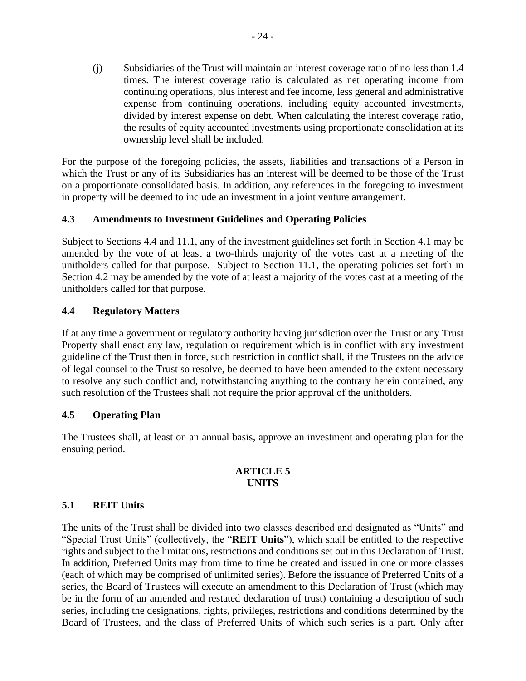(j) Subsidiaries of the Trust will maintain an interest coverage ratio of no less than 1.4 times. The interest coverage ratio is calculated as net operating income from continuing operations, plus interest and fee income, less general and administrative expense from continuing operations, including equity accounted investments, divided by interest expense on debt. When calculating the interest coverage ratio, the results of equity accounted investments using proportionate consolidation at its ownership level shall be included.

For the purpose of the foregoing policies, the assets, liabilities and transactions of a Person in which the Trust or any of its Subsidiaries has an interest will be deemed to be those of the Trust on a proportionate consolidated basis. In addition, any references in the foregoing to investment in property will be deemed to include an investment in a joint venture arrangement.

### <span id="page-28-0"></span>**4.3 Amendments to Investment Guidelines and Operating Policies**

Subject to Sections [4.4](#page-28-1) and [11.1,](#page-55-3) any of the investment guidelines set forth in Section [4.1](#page-24-2) may be amended by the vote of at least a two-thirds majority of the votes cast at a meeting of the unitholders called for that purpose. Subject to Section [11.1,](#page-55-3) the operating policies set forth in Section [4.2](#page-26-0) may be amended by the vote of at least a majority of the votes cast at a meeting of the unitholders called for that purpose.

### <span id="page-28-1"></span>**4.4 Regulatory Matters**

If at any time a government or regulatory authority having jurisdiction over the Trust or any Trust Property shall enact any law, regulation or requirement which is in conflict with any investment guideline of the Trust then in force, such restriction in conflict shall, if the Trustees on the advice of legal counsel to the Trust so resolve, be deemed to have been amended to the extent necessary to resolve any such conflict and, notwithstanding anything to the contrary herein contained, any such resolution of the Trustees shall not require the prior approval of the unitholders.

### <span id="page-28-2"></span>**4.5 Operating Plan**

<span id="page-28-3"></span>The Trustees shall, at least on an annual basis, approve an investment and operating plan for the ensuing period.

### **ARTICLE 5 UNITS**

### <span id="page-28-4"></span>**5.1 REIT Units**

The units of the Trust shall be divided into two classes described and designated as "Units" and "Special Trust Units" (collectively, the "**REIT Units**"), which shall be entitled to the respective rights and subject to the limitations, restrictions and conditions set out in this Declaration of Trust. In addition, Preferred Units may from time to time be created and issued in one or more classes (each of which may be comprised of unlimited series). Before the issuance of Preferred Units of a series, the Board of Trustees will execute an amendment to this Declaration of Trust (which may be in the form of an amended and restated declaration of trust) containing a description of such series, including the designations, rights, privileges, restrictions and conditions determined by the Board of Trustees, and the class of Preferred Units of which such series is a part. Only after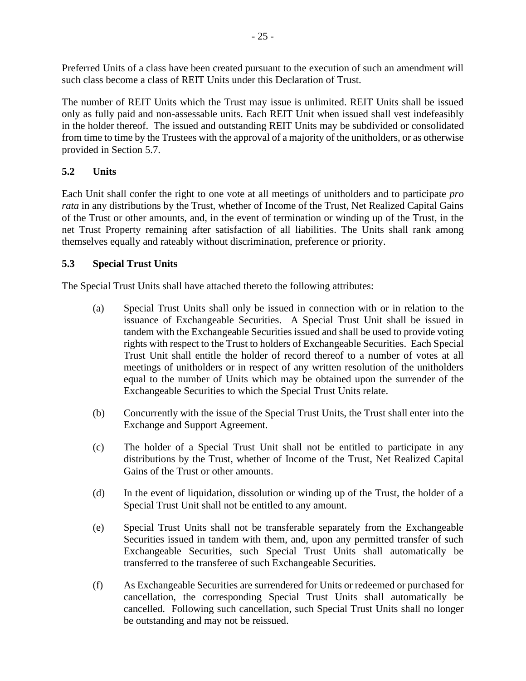Preferred Units of a class have been created pursuant to the execution of such an amendment will such class become a class of REIT Units under this Declaration of Trust.

The number of REIT Units which the Trust may issue is unlimited. REIT Units shall be issued only as fully paid and non-assessable units. Each REIT Unit when issued shall vest indefeasibly in the holder thereof. The issued and outstanding REIT Units may be subdivided or consolidated from time to time by the Trustees with the approval of a majority of the unitholders, or as otherwise provided in Section [5.7.](#page-31-0)

### <span id="page-29-0"></span>**5.2 Units**

Each Unit shall confer the right to one vote at all meetings of unitholders and to participate *pro rata* in any distributions by the Trust, whether of Income of the Trust, Net Realized Capital Gains of the Trust or other amounts, and, in the event of termination or winding up of the Trust, in the net Trust Property remaining after satisfaction of all liabilities. The Units shall rank among themselves equally and rateably without discrimination, preference or priority.

### <span id="page-29-1"></span>**5.3 Special Trust Units**

The Special Trust Units shall have attached thereto the following attributes:

- (a) Special Trust Units shall only be issued in connection with or in relation to the issuance of Exchangeable Securities. A Special Trust Unit shall be issued in tandem with the Exchangeable Securities issued and shall be used to provide voting rights with respect to the Trust to holders of Exchangeable Securities. Each Special Trust Unit shall entitle the holder of record thereof to a number of votes at all meetings of unitholders or in respect of any written resolution of the unitholders equal to the number of Units which may be obtained upon the surrender of the Exchangeable Securities to which the Special Trust Units relate.
- (b) Concurrently with the issue of the Special Trust Units, the Trust shall enter into the Exchange and Support Agreement.
- (c) The holder of a Special Trust Unit shall not be entitled to participate in any distributions by the Trust, whether of Income of the Trust, Net Realized Capital Gains of the Trust or other amounts.
- (d) In the event of liquidation, dissolution or winding up of the Trust, the holder of a Special Trust Unit shall not be entitled to any amount.
- (e) Special Trust Units shall not be transferable separately from the Exchangeable Securities issued in tandem with them, and, upon any permitted transfer of such Exchangeable Securities, such Special Trust Units shall automatically be transferred to the transferee of such Exchangeable Securities.
- (f) As Exchangeable Securities are surrendered for Units or redeemed or purchased for cancellation, the corresponding Special Trust Units shall automatically be cancelled. Following such cancellation, such Special Trust Units shall no longer be outstanding and may not be reissued.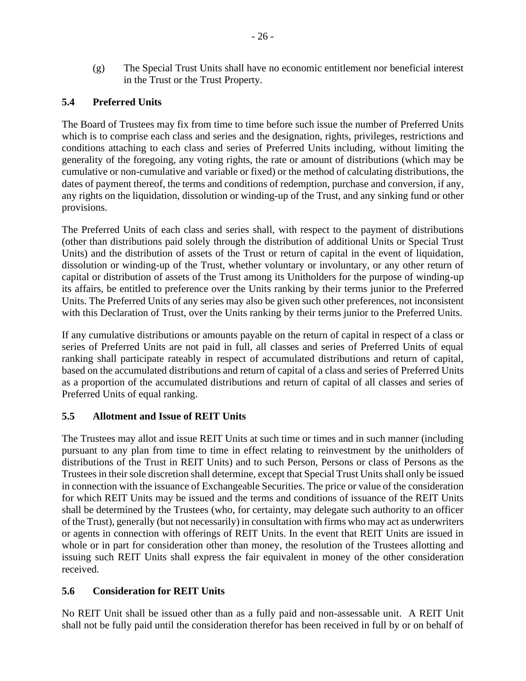(g) The Special Trust Units shall have no economic entitlement nor beneficial interest in the Trust or the Trust Property.

### <span id="page-30-0"></span>**5.4 Preferred Units**

The Board of Trustees may fix from time to time before such issue the number of Preferred Units which is to comprise each class and series and the designation, rights, privileges, restrictions and conditions attaching to each class and series of Preferred Units including, without limiting the generality of the foregoing, any voting rights, the rate or amount of distributions (which may be cumulative or non-cumulative and variable or fixed) or the method of calculating distributions, the dates of payment thereof, the terms and conditions of redemption, purchase and conversion, if any, any rights on the liquidation, dissolution or winding-up of the Trust, and any sinking fund or other provisions.

The Preferred Units of each class and series shall, with respect to the payment of distributions (other than distributions paid solely through the distribution of additional Units or Special Trust Units) and the distribution of assets of the Trust or return of capital in the event of liquidation, dissolution or winding-up of the Trust, whether voluntary or involuntary, or any other return of capital or distribution of assets of the Trust among its Unitholders for the purpose of winding-up its affairs, be entitled to preference over the Units ranking by their terms junior to the Preferred Units. The Preferred Units of any series may also be given such other preferences, not inconsistent with this Declaration of Trust, over the Units ranking by their terms junior to the Preferred Units.

If any cumulative distributions or amounts payable on the return of capital in respect of a class or series of Preferred Units are not paid in full, all classes and series of Preferred Units of equal ranking shall participate rateably in respect of accumulated distributions and return of capital, based on the accumulated distributions and return of capital of a class and series of Preferred Units as a proportion of the accumulated distributions and return of capital of all classes and series of Preferred Units of equal ranking.

### <span id="page-30-1"></span>**5.5 Allotment and Issue of REIT Units**

The Trustees may allot and issue REIT Units at such time or times and in such manner (including pursuant to any plan from time to time in effect relating to reinvestment by the unitholders of distributions of the Trust in REIT Units) and to such Person, Persons or class of Persons as the Trustees in their sole discretion shall determine, except that Special Trust Units shall only be issued in connection with the issuance of Exchangeable Securities. The price or value of the consideration for which REIT Units may be issued and the terms and conditions of issuance of the REIT Units shall be determined by the Trustees (who, for certainty, may delegate such authority to an officer of the Trust), generally (but not necessarily) in consultation with firms who may act as underwriters or agents in connection with offerings of REIT Units. In the event that REIT Units are issued in whole or in part for consideration other than money, the resolution of the Trustees allotting and issuing such REIT Units shall express the fair equivalent in money of the other consideration received.

### <span id="page-30-2"></span>**5.6 Consideration for REIT Units**

No REIT Unit shall be issued other than as a fully paid and non-assessable unit. A REIT Unit shall not be fully paid until the consideration therefor has been received in full by or on behalf of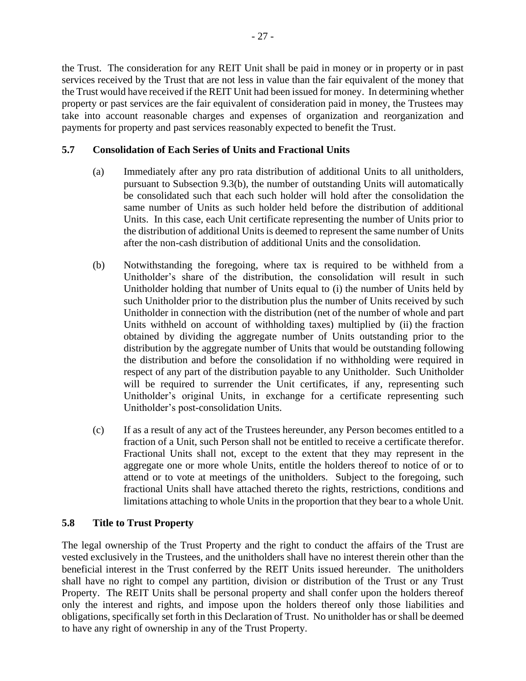the Trust. The consideration for any REIT Unit shall be paid in money or in property or in past services received by the Trust that are not less in value than the fair equivalent of the money that the Trust would have received if the REIT Unit had been issued for money. In determining whether property or past services are the fair equivalent of consideration paid in money, the Trustees may take into account reasonable charges and expenses of organization and reorganization and payments for property and past services reasonably expected to benefit the Trust.

### <span id="page-31-0"></span>**5.7 Consolidation of Each Series of Units and Fractional Units**

- (a) Immediately after any pro rata distribution of additional Units to all unitholders, pursuant to Subsection [9.3\(b\),](#page-54-4) the number of outstanding Units will automatically be consolidated such that each such holder will hold after the consolidation the same number of Units as such holder held before the distribution of additional Units. In this case, each Unit certificate representing the number of Units prior to the distribution of additional Units is deemed to represent the same number of Units after the non-cash distribution of additional Units and the consolidation.
- (b) Notwithstanding the foregoing, where tax is required to be withheld from a Unitholder's share of the distribution, the consolidation will result in such Unitholder holding that number of Units equal to (i) the number of Units held by such Unitholder prior to the distribution plus the number of Units received by such Unitholder in connection with the distribution (net of the number of whole and part Units withheld on account of withholding taxes) multiplied by (ii) the fraction obtained by dividing the aggregate number of Units outstanding prior to the distribution by the aggregate number of Units that would be outstanding following the distribution and before the consolidation if no withholding were required in respect of any part of the distribution payable to any Unitholder. Such Unitholder will be required to surrender the Unit certificates, if any, representing such Unitholder's original Units, in exchange for a certificate representing such Unitholder's post-consolidation Units.
- (c) If as a result of any act of the Trustees hereunder, any Person becomes entitled to a fraction of a Unit, such Person shall not be entitled to receive a certificate therefor. Fractional Units shall not, except to the extent that they may represent in the aggregate one or more whole Units, entitle the holders thereof to notice of or to attend or to vote at meetings of the unitholders. Subject to the foregoing, such fractional Units shall have attached thereto the rights, restrictions, conditions and limitations attaching to whole Units in the proportion that they bear to a whole Unit.

### <span id="page-31-1"></span>**5.8 Title to Trust Property**

The legal ownership of the Trust Property and the right to conduct the affairs of the Trust are vested exclusively in the Trustees, and the unitholders shall have no interest therein other than the beneficial interest in the Trust conferred by the REIT Units issued hereunder. The unitholders shall have no right to compel any partition, division or distribution of the Trust or any Trust Property. The REIT Units shall be personal property and shall confer upon the holders thereof only the interest and rights, and impose upon the holders thereof only those liabilities and obligations, specifically set forth in this Declaration of Trust. No unitholder has or shall be deemed to have any right of ownership in any of the Trust Property.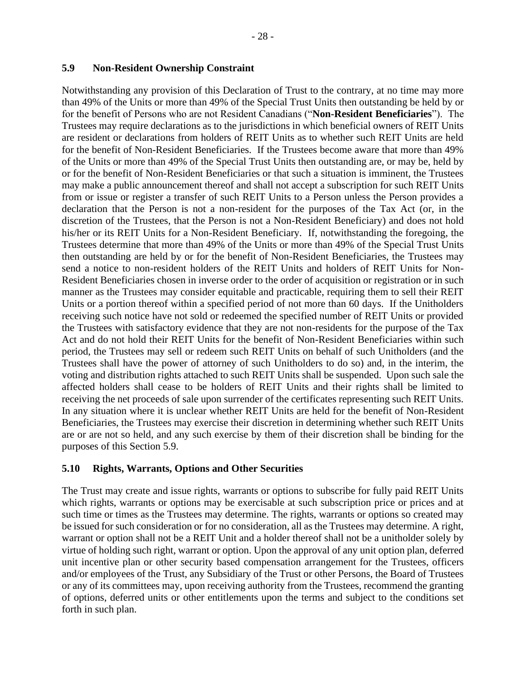### <span id="page-32-0"></span>**5.9 Non-Resident Ownership Constraint**

Notwithstanding any provision of this Declaration of Trust to the contrary, at no time may more than 49% of the Units or more than 49% of the Special Trust Units then outstanding be held by or for the benefit of Persons who are not Resident Canadians ("**Non-Resident Beneficiaries**"). The Trustees may require declarations as to the jurisdictions in which beneficial owners of REIT Units are resident or declarations from holders of REIT Units as to whether such REIT Units are held for the benefit of Non-Resident Beneficiaries. If the Trustees become aware that more than 49% of the Units or more than 49% of the Special Trust Units then outstanding are, or may be, held by or for the benefit of Non-Resident Beneficiaries or that such a situation is imminent, the Trustees may make a public announcement thereof and shall not accept a subscription for such REIT Units from or issue or register a transfer of such REIT Units to a Person unless the Person provides a declaration that the Person is not a non-resident for the purposes of the Tax Act (or, in the discretion of the Trustees, that the Person is not a Non-Resident Beneficiary) and does not hold his/her or its REIT Units for a Non-Resident Beneficiary. If, notwithstanding the foregoing, the Trustees determine that more than 49% of the Units or more than 49% of the Special Trust Units then outstanding are held by or for the benefit of Non-Resident Beneficiaries, the Trustees may send a notice to non-resident holders of the REIT Units and holders of REIT Units for Non-Resident Beneficiaries chosen in inverse order to the order of acquisition or registration or in such manner as the Trustees may consider equitable and practicable, requiring them to sell their REIT Units or a portion thereof within a specified period of not more than 60 days. If the Unitholders receiving such notice have not sold or redeemed the specified number of REIT Units or provided the Trustees with satisfactory evidence that they are not non-residents for the purpose of the Tax Act and do not hold their REIT Units for the benefit of Non-Resident Beneficiaries within such period, the Trustees may sell or redeem such REIT Units on behalf of such Unitholders (and the Trustees shall have the power of attorney of such Unitholders to do so) and, in the interim, the voting and distribution rights attached to such REIT Units shall be suspended. Upon such sale the affected holders shall cease to be holders of REIT Units and their rights shall be limited to receiving the net proceeds of sale upon surrender of the certificates representing such REIT Units. In any situation where it is unclear whether REIT Units are held for the benefit of Non-Resident Beneficiaries, the Trustees may exercise their discretion in determining whether such REIT Units are or are not so held, and any such exercise by them of their discretion shall be binding for the purposes of this Section 5.9.

#### <span id="page-32-1"></span>**5.10 Rights, Warrants, Options and Other Securities**

The Trust may create and issue rights, warrants or options to subscribe for fully paid REIT Units which rights, warrants or options may be exercisable at such subscription price or prices and at such time or times as the Trustees may determine. The rights, warrants or options so created may be issued for such consideration or for no consideration, all as the Trustees may determine. A right, warrant or option shall not be a REIT Unit and a holder thereof shall not be a unitholder solely by virtue of holding such right, warrant or option. Upon the approval of any unit option plan, deferred unit incentive plan or other security based compensation arrangement for the Trustees, officers and/or employees of the Trust, any Subsidiary of the Trust or other Persons, the Board of Trustees or any of its committees may, upon receiving authority from the Trustees, recommend the granting of options, deferred units or other entitlements upon the terms and subject to the conditions set forth in such plan.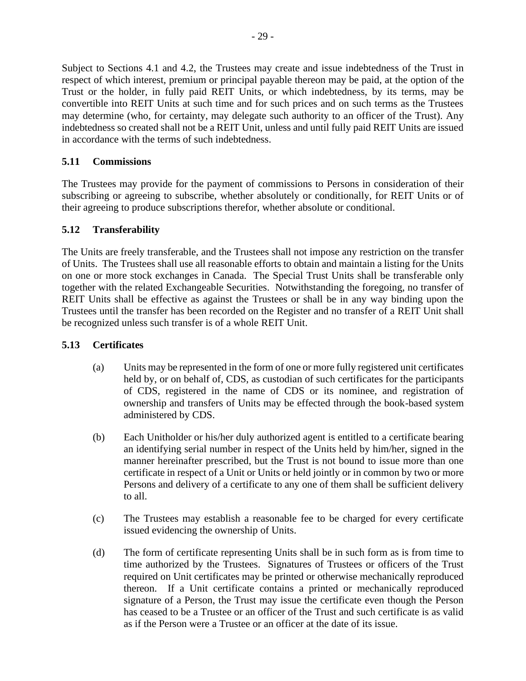Subject to Sections [4.1](#page-24-2) and [4.2,](#page-26-0) the Trustees may create and issue indebtedness of the Trust in respect of which interest, premium or principal payable thereon may be paid, at the option of the Trust or the holder, in fully paid REIT Units, or which indebtedness, by its terms, may be convertible into REIT Units at such time and for such prices and on such terms as the Trustees may determine (who, for certainty, may delegate such authority to an officer of the Trust). Any indebtedness so created shall not be a REIT Unit, unless and until fully paid REIT Units are issued in accordance with the terms of such indebtedness.

### <span id="page-33-0"></span>**5.11 Commissions**

The Trustees may provide for the payment of commissions to Persons in consideration of their subscribing or agreeing to subscribe, whether absolutely or conditionally, for REIT Units or of their agreeing to produce subscriptions therefor, whether absolute or conditional.

### <span id="page-33-1"></span>**5.12 Transferability**

The Units are freely transferable, and the Trustees shall not impose any restriction on the transfer of Units. The Trustees shall use all reasonable efforts to obtain and maintain a listing for the Units on one or more stock exchanges in Canada. The Special Trust Units shall be transferable only together with the related Exchangeable Securities. Notwithstanding the foregoing, no transfer of REIT Units shall be effective as against the Trustees or shall be in any way binding upon the Trustees until the transfer has been recorded on the Register and no transfer of a REIT Unit shall be recognized unless such transfer is of a whole REIT Unit.

### <span id="page-33-2"></span>**5.13 Certificates**

- (a) Units may be represented in the form of one or more fully registered unit certificates held by, or on behalf of, CDS, as custodian of such certificates for the participants of CDS, registered in the name of CDS or its nominee, and registration of ownership and transfers of Units may be effected through the book-based system administered by CDS.
- (b) Each Unitholder or his/her duly authorized agent is entitled to a certificate bearing an identifying serial number in respect of the Units held by him/her, signed in the manner hereinafter prescribed, but the Trust is not bound to issue more than one certificate in respect of a Unit or Units or held jointly or in common by two or more Persons and delivery of a certificate to any one of them shall be sufficient delivery to all.
- (c) The Trustees may establish a reasonable fee to be charged for every certificate issued evidencing the ownership of Units.
- (d) The form of certificate representing Units shall be in such form as is from time to time authorized by the Trustees. Signatures of Trustees or officers of the Trust required on Unit certificates may be printed or otherwise mechanically reproduced thereon. If a Unit certificate contains a printed or mechanically reproduced signature of a Person, the Trust may issue the certificate even though the Person has ceased to be a Trustee or an officer of the Trust and such certificate is as valid as if the Person were a Trustee or an officer at the date of its issue.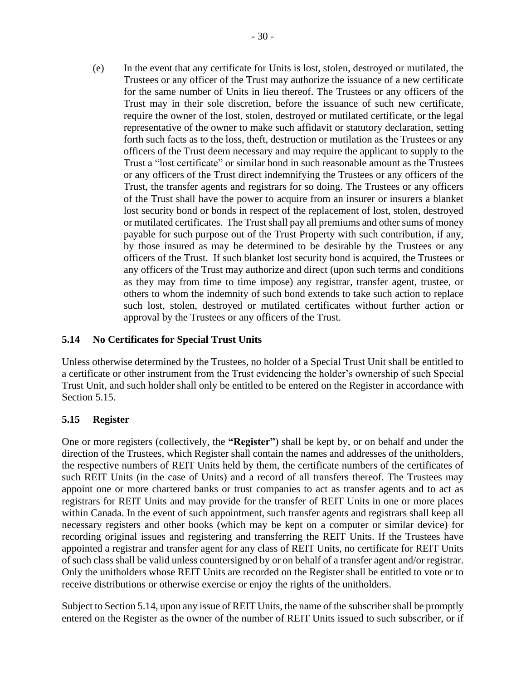(e) In the event that any certificate for Units is lost, stolen, destroyed or mutilated, the Trustees or any officer of the Trust may authorize the issuance of a new certificate for the same number of Units in lieu thereof. The Trustees or any officers of the Trust may in their sole discretion, before the issuance of such new certificate, require the owner of the lost, stolen, destroyed or mutilated certificate, or the legal representative of the owner to make such affidavit or statutory declaration, setting forth such facts as to the loss, theft, destruction or mutilation as the Trustees or any officers of the Trust deem necessary and may require the applicant to supply to the Trust a "lost certificate" or similar bond in such reasonable amount as the Trustees or any officers of the Trust direct indemnifying the Trustees or any officers of the Trust, the transfer agents and registrars for so doing. The Trustees or any officers of the Trust shall have the power to acquire from an insurer or insurers a blanket lost security bond or bonds in respect of the replacement of lost, stolen, destroyed or mutilated certificates. The Trust shall pay all premiums and other sums of money payable for such purpose out of the Trust Property with such contribution, if any, by those insured as may be determined to be desirable by the Trustees or any officers of the Trust. If such blanket lost security bond is acquired, the Trustees or any officers of the Trust may authorize and direct (upon such terms and conditions as they may from time to time impose) any registrar, transfer agent, trustee, or others to whom the indemnity of such bond extends to take such action to replace such lost, stolen, destroyed or mutilated certificates without further action or approval by the Trustees or any officers of the Trust.

### <span id="page-34-0"></span>**5.14 No Certificates for Special Trust Units**

Unless otherwise determined by the Trustees, no holder of a Special Trust Unit shall be entitled to a certificate or other instrument from the Trust evidencing the holder's ownership of such Special Trust Unit, and such holder shall only be entitled to be entered on the Register in accordance with Section [5.15.](#page-34-1)

### <span id="page-34-1"></span>**5.15 Register**

One or more registers (collectively, the **"Register"**) shall be kept by, or on behalf and under the direction of the Trustees, which Register shall contain the names and addresses of the unitholders, the respective numbers of REIT Units held by them, the certificate numbers of the certificates of such REIT Units (in the case of Units) and a record of all transfers thereof. The Trustees may appoint one or more chartered banks or trust companies to act as transfer agents and to act as registrars for REIT Units and may provide for the transfer of REIT Units in one or more places within Canada. In the event of such appointment, such transfer agents and registrars shall keep all necessary registers and other books (which may be kept on a computer or similar device) for recording original issues and registering and transferring the REIT Units. If the Trustees have appointed a registrar and transfer agent for any class of REIT Units, no certificate for REIT Units of such class shall be valid unless countersigned by or on behalf of a transfer agent and/or registrar. Only the unitholders whose REIT Units are recorded on the Register shall be entitled to vote or to receive distributions or otherwise exercise or enjoy the rights of the unitholders.

Subject to Section [5.14,](#page-34-0) upon any issue of REIT Units, the name of the subscriber shall be promptly entered on the Register as the owner of the number of REIT Units issued to such subscriber, or if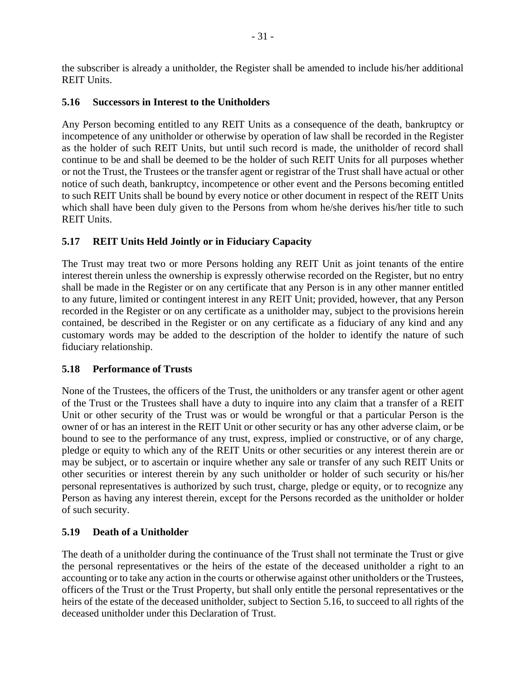the subscriber is already a unitholder, the Register shall be amended to include his/her additional REIT Units.

### <span id="page-35-0"></span>**5.16 Successors in Interest to the Unitholders**

Any Person becoming entitled to any REIT Units as a consequence of the death, bankruptcy or incompetence of any unitholder or otherwise by operation of law shall be recorded in the Register as the holder of such REIT Units, but until such record is made, the unitholder of record shall continue to be and shall be deemed to be the holder of such REIT Units for all purposes whether or not the Trust, the Trustees or the transfer agent or registrar of the Trust shall have actual or other notice of such death, bankruptcy, incompetence or other event and the Persons becoming entitled to such REIT Units shall be bound by every notice or other document in respect of the REIT Units which shall have been duly given to the Persons from whom he/she derives his/her title to such REIT Units.

### <span id="page-35-1"></span>**5.17 REIT Units Held Jointly or in Fiduciary Capacity**

The Trust may treat two or more Persons holding any REIT Unit as joint tenants of the entire interest therein unless the ownership is expressly otherwise recorded on the Register, but no entry shall be made in the Register or on any certificate that any Person is in any other manner entitled to any future, limited or contingent interest in any REIT Unit; provided, however, that any Person recorded in the Register or on any certificate as a unitholder may, subject to the provisions herein contained, be described in the Register or on any certificate as a fiduciary of any kind and any customary words may be added to the description of the holder to identify the nature of such fiduciary relationship.

### <span id="page-35-2"></span>**5.18 Performance of Trusts**

None of the Trustees, the officers of the Trust, the unitholders or any transfer agent or other agent of the Trust or the Trustees shall have a duty to inquire into any claim that a transfer of a REIT Unit or other security of the Trust was or would be wrongful or that a particular Person is the owner of or has an interest in the REIT Unit or other security or has any other adverse claim, or be bound to see to the performance of any trust, express, implied or constructive, or of any charge, pledge or equity to which any of the REIT Units or other securities or any interest therein are or may be subject, or to ascertain or inquire whether any sale or transfer of any such REIT Units or other securities or interest therein by any such unitholder or holder of such security or his/her personal representatives is authorized by such trust, charge, pledge or equity, or to recognize any Person as having any interest therein, except for the Persons recorded as the unitholder or holder of such security.

### <span id="page-35-3"></span>**5.19 Death of a Unitholder**

The death of a unitholder during the continuance of the Trust shall not terminate the Trust or give the personal representatives or the heirs of the estate of the deceased unitholder a right to an accounting or to take any action in the courts or otherwise against other unitholders or the Trustees, officers of the Trust or the Trust Property, but shall only entitle the personal representatives or the heirs of the estate of the deceased unitholder, subject to Section [5.16,](#page-35-0) to succeed to all rights of the deceased unitholder under this Declaration of Trust.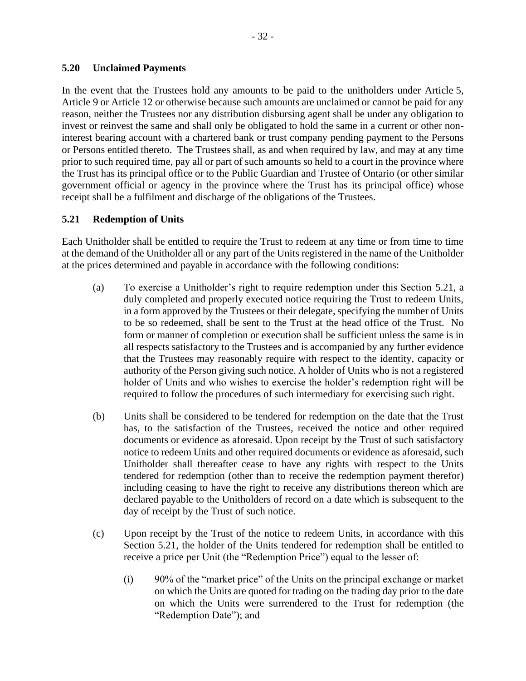### <span id="page-36-0"></span>**5.20 Unclaimed Payments**

In the event that the Trustees hold any amounts to be paid to the unitholders under [Article](#page-28-3) 5, [Article](#page-51-2) 9 or [Article](#page-58-0) 12 or otherwise because such amounts are unclaimed or cannot be paid for any reason, neither the Trustees nor any distribution disbursing agent shall be under any obligation to invest or reinvest the same and shall only be obligated to hold the same in a current or other noninterest bearing account with a chartered bank or trust company pending payment to the Persons or Persons entitled thereto. The Trustees shall, as and when required by law, and may at any time prior to such required time, pay all or part of such amounts so held to a court in the province where the Trust has its principal office or to the Public Guardian and Trustee of Ontario (or other similar government official or agency in the province where the Trust has its principal office) whose receipt shall be a fulfilment and discharge of the obligations of the Trustees.

### <span id="page-36-1"></span>**5.21 Redemption of Units**

Each Unitholder shall be entitled to require the Trust to redeem at any time or from time to time at the demand of the Unitholder all or any part of the Units registered in the name of the Unitholder at the prices determined and payable in accordance with the following conditions:

- (a) To exercise a Unitholder's right to require redemption under this Section [5.21,](#page-36-1) a duly completed and properly executed notice requiring the Trust to redeem Units, in a form approved by the Trustees or their delegate, specifying the number of Units to be so redeemed, shall be sent to the Trust at the head office of the Trust. No form or manner of completion or execution shall be sufficient unless the same is in all respects satisfactory to the Trustees and is accompanied by any further evidence that the Trustees may reasonably require with respect to the identity, capacity or authority of the Person giving such notice. A holder of Units who is not a registered holder of Units and who wishes to exercise the holder's redemption right will be required to follow the procedures of such intermediary for exercising such right.
- (b) Units shall be considered to be tendered for redemption on the date that the Trust has, to the satisfaction of the Trustees, received the notice and other required documents or evidence as aforesaid. Upon receipt by the Trust of such satisfactory notice to redeem Units and other required documents or evidence as aforesaid, such Unitholder shall thereafter cease to have any rights with respect to the Units tendered for redemption (other than to receive the redemption payment therefor) including ceasing to have the right to receive any distributions thereon which are declared payable to the Unitholders of record on a date which is subsequent to the day of receipt by the Trust of such notice.
- <span id="page-36-2"></span>(c) Upon receipt by the Trust of the notice to redeem Units, in accordance with this Section [5.21,](#page-36-1) the holder of the Units tendered for redemption shall be entitled to receive a price per Unit (the "Redemption Price") equal to the lesser of:
	- (i) 90% of the "market price" of the Units on the principal exchange or market on which the Units are quoted for trading on the trading day prior to the date on which the Units were surrendered to the Trust for redemption (the "Redemption Date"); and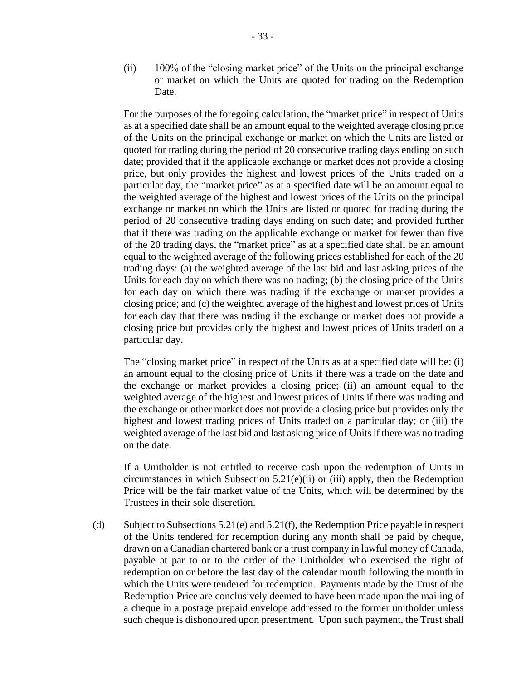(ii) 100% of the "closing market price" of the Units on the principal exchange or market on which the Units are quoted for trading on the Redemption Date.

For the purposes of the foregoing calculation, the "market price" in respect of Units as at a specified date shall be an amount equal to the weighted average closing price of the Units on the principal exchange or market on which the Units are listed or quoted for trading during the period of 20 consecutive trading days ending on such date; provided that if the applicable exchange or market does not provide a closing price, but only provides the highest and lowest prices of the Units traded on a particular day, the "market price" as at a specified date will be an amount equal to the weighted average of the highest and lowest prices of the Units on the principal exchange or market on which the Units are listed or quoted for trading during the period of 20 consecutive trading days ending on such date; and provided further that if there was trading on the applicable exchange or market for fewer than five of the 20 trading days, the "market price" as at a specified date shall be an amount equal to the weighted average of the following prices established for each of the 20 trading days: (a) the weighted average of the last bid and last asking prices of the Units for each day on which there was no trading; (b) the closing price of the Units for each day on which there was trading if the exchange or market provides a closing price; and (c) the weighted average of the highest and lowest prices of Units for each day that there was trading if the exchange or market does not provide a closing price but provides only the highest and lowest prices of Units traded on a particular day.

The "closing market price" in respect of the Units as at a specified date will be: (i) an amount equal to the closing price of Units if there was a trade on the date and the exchange or market provides a closing price; (ii) an amount equal to the weighted average of the highest and lowest prices of Units if there was trading and the exchange or other market does not provide a closing price but provides only the highest and lowest trading prices of Units traded on a particular day; or (iii) the weighted average of the last bid and last asking price of Units if there was no trading on the date.

If a Unitholder is not entitled to receive cash upon the redemption of Units in circumstances in which Subsection  $5.21(e)(ii)$  or [\(iii\)](#page-38-2) apply, then the Redemption Price will be the fair market value of the Units, which will be determined by the Trustees in their sole discretion.

<span id="page-37-0"></span>(d) Subject to Subsections [5.21\(e\)](#page-38-0) an[d 5.21\(f\),](#page-38-3) the Redemption Price payable in respect of the Units tendered for redemption during any month shall be paid by cheque, drawn on a Canadian chartered bank or a trust company in lawful money of Canada, payable at par to or to the order of the Unitholder who exercised the right of redemption on or before the last day of the calendar month following the month in which the Units were tendered for redemption. Payments made by the Trust of the Redemption Price are conclusively deemed to have been made upon the mailing of a cheque in a postage prepaid envelope addressed to the former unitholder unless such cheque is dishonoured upon presentment. Upon such payment, the Trust shall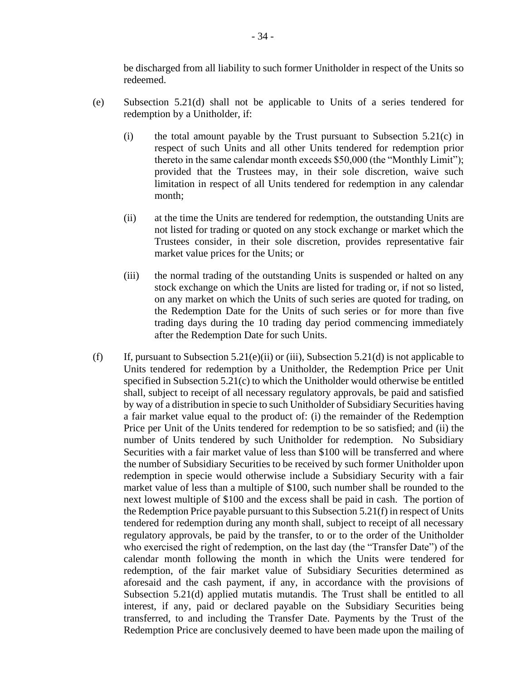be discharged from all liability to such former Unitholder in respect of the Units so redeemed.

- <span id="page-38-4"></span><span id="page-38-1"></span><span id="page-38-0"></span>(e) Subsection [5.21\(d\)](#page-37-0) shall not be applicable to Units of a series tendered for redemption by a Unitholder, if:
	- (i) the total amount payable by the Trust pursuant to Subsection  $5.21(c)$  in respect of such Units and all other Units tendered for redemption prior thereto in the same calendar month exceeds \$50,000 (the "Monthly Limit"); provided that the Trustees may, in their sole discretion, waive such limitation in respect of all Units tendered for redemption in any calendar month;
	- (ii) at the time the Units are tendered for redemption, the outstanding Units are not listed for trading or quoted on any stock exchange or market which the Trustees consider, in their sole discretion, provides representative fair market value prices for the Units; or
	- (iii) the normal trading of the outstanding Units is suspended or halted on any stock exchange on which the Units are listed for trading or, if not so listed, on any market on which the Units of such series are quoted for trading, on the Redemption Date for the Units of such series or for more than five trading days during the 10 trading day period commencing immediately after the Redemption Date for such Units.
- <span id="page-38-3"></span><span id="page-38-2"></span>(f) If, pursuant to Subsection [5.21\(e\)\(ii\)](#page-38-1) or [\(iii\),](#page-38-2) Subsection [5.21\(d\)](#page-37-0) is not applicable to Units tendered for redemption by a Unitholder, the Redemption Price per Unit specified in Subsectio[n 5.21\(c\)](#page-36-2) to which the Unitholder would otherwise be entitled shall, subject to receipt of all necessary regulatory approvals, be paid and satisfied by way of a distribution in specie to such Unitholder of Subsidiary Securities having a fair market value equal to the product of: (i) the remainder of the Redemption Price per Unit of the Units tendered for redemption to be so satisfied; and (ii) the number of Units tendered by such Unitholder for redemption. No Subsidiary Securities with a fair market value of less than \$100 will be transferred and where the number of Subsidiary Securities to be received by such former Unitholder upon redemption in specie would otherwise include a Subsidiary Security with a fair market value of less than a multiple of \$100, such number shall be rounded to the next lowest multiple of \$100 and the excess shall be paid in cash. The portion of the Redemption Price payable pursuant to this Subsectio[n 5.21\(f\)](#page-38-3) in respect of Units tendered for redemption during any month shall, subject to receipt of all necessary regulatory approvals, be paid by the transfer, to or to the order of the Unitholder who exercised the right of redemption, on the last day (the "Transfer Date") of the calendar month following the month in which the Units were tendered for redemption, of the fair market value of Subsidiary Securities determined as aforesaid and the cash payment, if any, in accordance with the provisions of Subsection [5.21\(d\)](#page-37-0) applied mutatis mutandis. The Trust shall be entitled to all interest, if any, paid or declared payable on the Subsidiary Securities being transferred, to and including the Transfer Date. Payments by the Trust of the Redemption Price are conclusively deemed to have been made upon the mailing of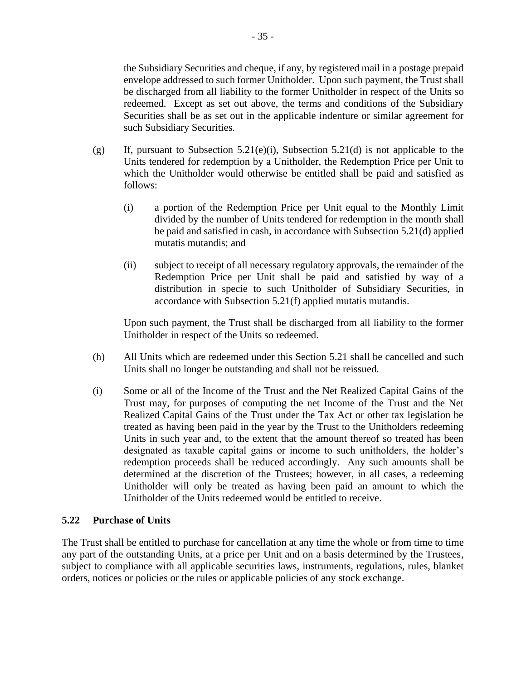the Subsidiary Securities and cheque, if any, by registered mail in a postage prepaid envelope addressed to such former Unitholder. Upon such payment, the Trust shall be discharged from all liability to the former Unitholder in respect of the Units so redeemed. Except as set out above, the terms and conditions of the Subsidiary Securities shall be as set out in the applicable indenture or similar agreement for such Subsidiary Securities.

- (g) If, pursuant to Subsection [5.21\(e\)\(i\),](#page-38-4) Subsection [5.21\(d\)](#page-37-0) is not applicable to the Units tendered for redemption by a Unitholder, the Redemption Price per Unit to which the Unitholder would otherwise be entitled shall be paid and satisfied as follows:
	- (i) a portion of the Redemption Price per Unit equal to the Monthly Limit divided by the number of Units tendered for redemption in the month shall be paid and satisfied in cash, in accordance with Subsection [5.21\(d\)](#page-37-0) applied mutatis mutandis; and
	- (ii) subject to receipt of all necessary regulatory approvals, the remainder of the Redemption Price per Unit shall be paid and satisfied by way of a distribution in specie to such Unitholder of Subsidiary Securities, in accordance with Subsection [5.21\(f\)](#page-38-3) applied mutatis mutandis.

Upon such payment, the Trust shall be discharged from all liability to the former Unitholder in respect of the Units so redeemed.

- (h) All Units which are redeemed under this Section [5.21](#page-36-1) shall be cancelled and such Units shall no longer be outstanding and shall not be reissued.
- <span id="page-39-1"></span>(i) Some or all of the Income of the Trust and the Net Realized Capital Gains of the Trust may, for purposes of computing the net Income of the Trust and the Net Realized Capital Gains of the Trust under the Tax Act or other tax legislation be treated as having been paid in the year by the Trust to the Unitholders redeeming Units in such year and, to the extent that the amount thereof so treated has been designated as taxable capital gains or income to such unitholders, the holder's redemption proceeds shall be reduced accordingly. Any such amounts shall be determined at the discretion of the Trustees; however, in all cases, a redeeming Unitholder will only be treated as having been paid an amount to which the Unitholder of the Units redeemed would be entitled to receive.

### <span id="page-39-0"></span>**5.22 Purchase of Units**

The Trust shall be entitled to purchase for cancellation at any time the whole or from time to time any part of the outstanding Units, at a price per Unit and on a basis determined by the Trustees, subject to compliance with all applicable securities laws, instruments, regulations, rules, blanket orders, notices or policies or the rules or applicable policies of any stock exchange.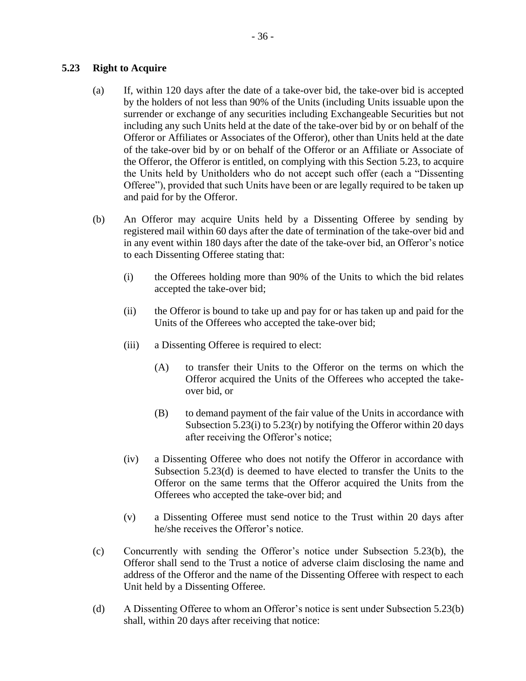### <span id="page-40-0"></span>**5.23 Right to Acquire**

- (a) If, within 120 days after the date of a take-over bid, the take-over bid is accepted by the holders of not less than 90% of the Units (including Units issuable upon the surrender or exchange of any securities including Exchangeable Securities but not including any such Units held at the date of the take-over bid by or on behalf of the Offeror or Affiliates or Associates of the Offeror), other than Units held at the date of the take-over bid by or on behalf of the Offeror or an Affiliate or Associate of the Offeror, the Offeror is entitled, on complying with this Section [5.23,](#page-40-0) to acquire the Units held by Unitholders who do not accept such offer (each a "Dissenting Offeree"), provided that such Units have been or are legally required to be taken up and paid for by the Offeror.
- <span id="page-40-2"></span>(b) An Offeror may acquire Units held by a Dissenting Offeree by sending by registered mail within 60 days after the date of termination of the take-over bid and in any event within 180 days after the date of the take-over bid, an Offeror's notice to each Dissenting Offeree stating that:
	- (i) the Offerees holding more than 90% of the Units to which the bid relates accepted the take-over bid;
	- (ii) the Offeror is bound to take up and pay for or has taken up and paid for the Units of the Offerees who accepted the take-over bid;
	- (iii) a Dissenting Offeree is required to elect:
		- (A) to transfer their Units to the Offeror on the terms on which the Offeror acquired the Units of the Offerees who accepted the takeover bid, or
		- (B) to demand payment of the fair value of the Units in accordance with Subsection [5.23\(i\)](#page-42-0) to [5.23\(r\)](#page-42-1) by notifying the Offeror within 20 days after receiving the Offeror's notice;
	- (iv) a Dissenting Offeree who does not notify the Offeror in accordance with Subsection [5.23\(d\)](#page-40-1) is deemed to have elected to transfer the Units to the Offeror on the same terms that the Offeror acquired the Units from the Offerees who accepted the take-over bid; and
	- (v) a Dissenting Offeree must send notice to the Trust within 20 days after he/she receives the Offeror's notice.
- (c) Concurrently with sending the Offeror's notice under Subsection [5.23\(b\),](#page-40-2) the Offeror shall send to the Trust a notice of adverse claim disclosing the name and address of the Offeror and the name of the Dissenting Offeree with respect to each Unit held by a Dissenting Offeree.
- <span id="page-40-1"></span>(d) A Dissenting Offeree to whom an Offeror's notice is sent under Subsection [5.23\(b\)](#page-40-2) shall, within 20 days after receiving that notice: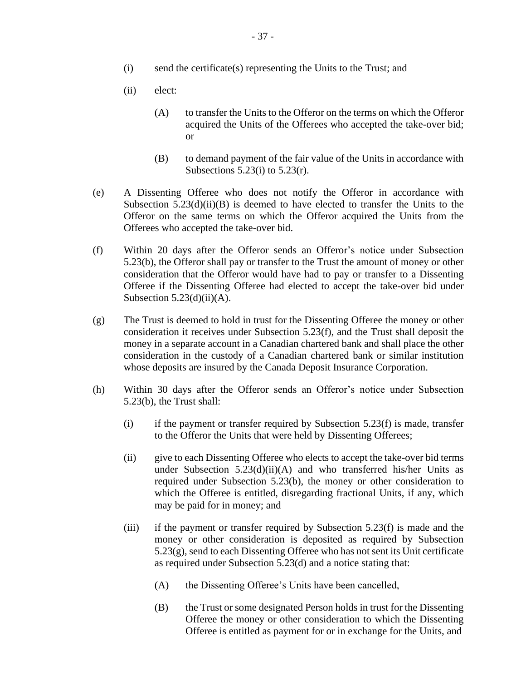- (i) send the certificate(s) representing the Units to the Trust; and
- <span id="page-41-1"></span>(ii) elect:
	- (A) to transfer the Units to the Offeror on the terms on which the Offeror acquired the Units of the Offerees who accepted the take-over bid; or
	- (B) to demand payment of the fair value of the Units in accordance with Subsections  $5.23(i)$  to  $5.23(r)$ .
- <span id="page-41-0"></span>(e) A Dissenting Offeree who does not notify the Offeror in accordance with Subsection [5.23\(d\)\(ii\)\(B\)](#page-41-0) is deemed to have elected to transfer the Units to the Offeror on the same terms on which the Offeror acquired the Units from the Offerees who accepted the take-over bid.
- <span id="page-41-2"></span>(f) Within 20 days after the Offeror sends an Offeror's notice under Subsection [5.23\(b\),](#page-40-2) the Offeror shall pay or transfer to the Trust the amount of money or other consideration that the Offeror would have had to pay or transfer to a Dissenting Offeree if the Dissenting Offeree had elected to accept the take-over bid under Subsection  $5.23(d)(ii)(A)$ .
- <span id="page-41-3"></span>(g) The Trust is deemed to hold in trust for the Dissenting Offeree the money or other consideration it receives under Subsection [5.23\(f\),](#page-41-2) and the Trust shall deposit the money in a separate account in a Canadian chartered bank and shall place the other consideration in the custody of a Canadian chartered bank or similar institution whose deposits are insured by the Canada Deposit Insurance Corporation.
- (h) Within 30 days after the Offeror sends an Offeror's notice under Subsection [5.23\(b\),](#page-40-2) the Trust shall:
	- (i) if the payment or transfer required by Subsection  $5.23(f)$  is made, transfer to the Offeror the Units that were held by Dissenting Offerees;
	- (ii) give to each Dissenting Offeree who elects to accept the take-over bid terms under Subsection  $5.23(d)(ii)(A)$  and who transferred his/her Units as required under Subsection [5.23\(b\),](#page-40-2) the money or other consideration to which the Offeree is entitled, disregarding fractional Units, if any, which may be paid for in money; and
	- (iii) if the payment or transfer required by Subsection [5.23\(f\)](#page-41-2) is made and the money or other consideration is deposited as required by Subsection [5.23\(g\),](#page-41-3) send to each Dissenting Offeree who has not sent its Unit certificate as required under Subsection [5.23\(d\)](#page-40-1) and a notice stating that:
		- (A) the Dissenting Offeree's Units have been cancelled,
		- (B) the Trust or some designated Person holds in trust for the Dissenting Offeree the money or other consideration to which the Dissenting Offeree is entitled as payment for or in exchange for the Units, and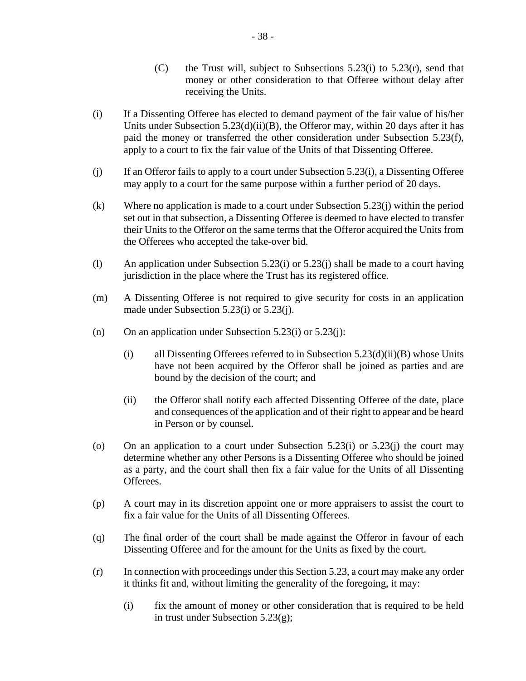- (C) the Trust will, subject to Subsections  $5.23(i)$  to  $5.23(r)$ , send that money or other consideration to that Offeree without delay after receiving the Units.
- <span id="page-42-0"></span>(i) If a Dissenting Offeree has elected to demand payment of the fair value of his/her Units under Subsection  $5.23(d)(ii)(B)$ , the Offeror may, within 20 days after it has paid the money or transferred the other consideration under Subsection [5.23\(f\),](#page-41-2) apply to a court to fix the fair value of the Units of that Dissenting Offeree.
- <span id="page-42-2"></span>(j) If an Offeror fails to apply to a court under Subsectio[n 5.23\(i\),](#page-42-0) a Dissenting Offeree may apply to a court for the same purpose within a further period of 20 days.
- (k) Where no application is made to a court under Subsection [5.23\(j\)](#page-42-2) within the period set out in that subsection, a Dissenting Offeree is deemed to have elected to transfer their Units to the Offeror on the same terms that the Offeror acquired the Units from the Offerees who accepted the take-over bid.
- (l) An application under Subsection [5.23\(i\)](#page-42-0) or [5.23\(j\)](#page-42-2) shall be made to a court having jurisdiction in the place where the Trust has its registered office.
- (m) A Dissenting Offeree is not required to give security for costs in an application made under Subsection [5.23\(i\)](#page-42-0) or [5.23\(j\).](#page-42-2)
- (n) On an application under Subsection  $5.23(i)$  or  $5.23(i)$ :
	- (i) all Dissenting Offerees referred to in Subsection [5.23\(d\)\(ii\)\(B\)](#page-41-0) whose Units have not been acquired by the Offeror shall be joined as parties and are bound by the decision of the court; and
	- (ii) the Offeror shall notify each affected Dissenting Offeree of the date, place and consequences of the application and of their right to appear and be heard in Person or by counsel.
- (o) On an application to a court under Subsection [5.23\(i\)](#page-42-0) or  $5.23(i)$  the court may determine whether any other Persons is a Dissenting Offeree who should be joined as a party, and the court shall then fix a fair value for the Units of all Dissenting Offerees.
- (p) A court may in its discretion appoint one or more appraisers to assist the court to fix a fair value for the Units of all Dissenting Offerees.
- (q) The final order of the court shall be made against the Offeror in favour of each Dissenting Offeree and for the amount for the Units as fixed by the court.
- <span id="page-42-1"></span>(r) In connection with proceedings under this Section [5.23,](#page-40-0) a court may make any order it thinks fit and, without limiting the generality of the foregoing, it may:
	- (i) fix the amount of money or other consideration that is required to be held in trust under Subsection [5.23\(g\);](#page-41-3)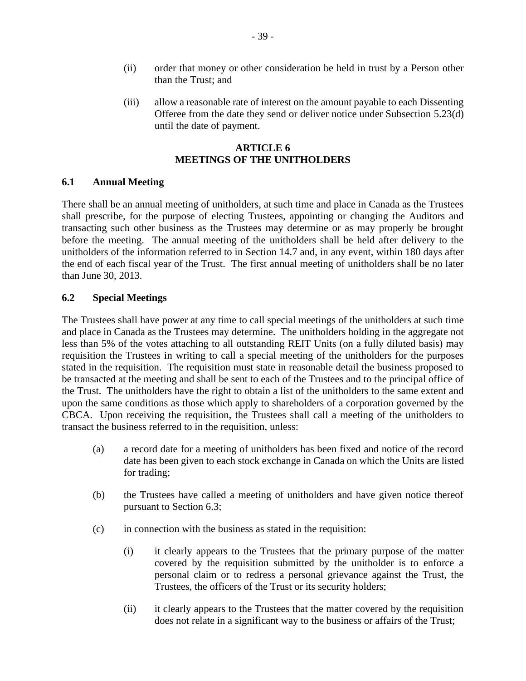- (ii) order that money or other consideration be held in trust by a Person other than the Trust; and
- (iii) allow a reasonable rate of interest on the amount payable to each Dissenting Offeree from the date they send or deliver notice under Subsection [5.23\(d\)](#page-40-1) until the date of payment.

### **ARTICLE 6 MEETINGS OF THE UNITHOLDERS**

### <span id="page-43-1"></span><span id="page-43-0"></span>**6.1 Annual Meeting**

There shall be an annual meeting of unitholders, at such time and place in Canada as the Trustees shall prescribe, for the purpose of electing Trustees, appointing or changing the Auditors and transacting such other business as the Trustees may determine or as may properly be brought before the meeting. The annual meeting of the unitholders shall be held after delivery to the unitholders of the information referred to in Section [14.7](#page-60-5) and, in any event, within 180 days after the end of each fiscal year of the Trust. The first annual meeting of unitholders shall be no later than June 30, 2013.

### <span id="page-43-2"></span>**6.2 Special Meetings**

The Trustees shall have power at any time to call special meetings of the unitholders at such time and place in Canada as the Trustees may determine. The unitholders holding in the aggregate not less than 5% of the votes attaching to all outstanding REIT Units (on a fully diluted basis) may requisition the Trustees in writing to call a special meeting of the unitholders for the purposes stated in the requisition. The requisition must state in reasonable detail the business proposed to be transacted at the meeting and shall be sent to each of the Trustees and to the principal office of the Trust. The unitholders have the right to obtain a list of the unitholders to the same extent and upon the same conditions as those which apply to shareholders of a corporation governed by the CBCA. Upon receiving the requisition, the Trustees shall call a meeting of the unitholders to transact the business referred to in the requisition, unless:

- (a) a record date for a meeting of unitholders has been fixed and notice of the record date has been given to each stock exchange in Canada on which the Units are listed for trading;
- (b) the Trustees have called a meeting of unitholders and have given notice thereof pursuant to Section [6.3;](#page-44-0)
- (c) in connection with the business as stated in the requisition:
	- (i) it clearly appears to the Trustees that the primary purpose of the matter covered by the requisition submitted by the unitholder is to enforce a personal claim or to redress a personal grievance against the Trust, the Trustees, the officers of the Trust or its security holders;
	- (ii) it clearly appears to the Trustees that the matter covered by the requisition does not relate in a significant way to the business or affairs of the Trust;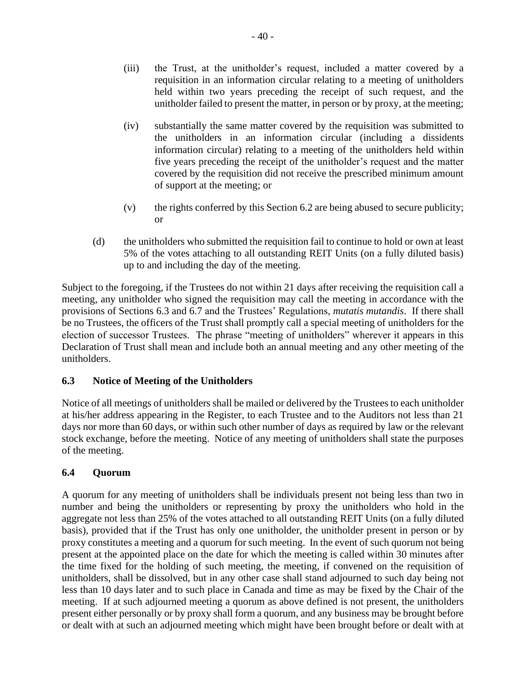- (iii) the Trust, at the unitholder's request, included a matter covered by a requisition in an information circular relating to a meeting of unitholders held within two years preceding the receipt of such request, and the unitholder failed to present the matter, in person or by proxy, at the meeting;
- (iv) substantially the same matter covered by the requisition was submitted to the unitholders in an information circular (including a dissidents information circular) relating to a meeting of the unitholders held within five years preceding the receipt of the unitholder's request and the matter covered by the requisition did not receive the prescribed minimum amount of support at the meeting; or
- (v) the rights conferred by this Section [6.2](#page-43-2) are being abused to secure publicity; or
- (d) the unitholders who submitted the requisition fail to continue to hold or own at least 5% of the votes attaching to all outstanding REIT Units (on a fully diluted basis) up to and including the day of the meeting.

Subject to the foregoing, if the Trustees do not within 21 days after receiving the requisition call a meeting, any unitholder who signed the requisition may call the meeting in accordance with the provisions of Sections [6.3](#page-44-0) and [6.7](#page-45-2) and the Trustees' Regulations, *mutatis mutandis*. If there shall be no Trustees, the officers of the Trust shall promptly call a special meeting of unitholders for the election of successor Trustees. The phrase "meeting of unitholders" wherever it appears in this Declaration of Trust shall mean and include both an annual meeting and any other meeting of the unitholders.

### <span id="page-44-0"></span>**6.3 Notice of Meeting of the Unitholders**

Notice of all meetings of unitholders shall be mailed or delivered by the Trustees to each unitholder at his/her address appearing in the Register, to each Trustee and to the Auditors not less than 21 days nor more than 60 days, or within such other number of days as required by law or the relevant stock exchange, before the meeting. Notice of any meeting of unitholders shall state the purposes of the meeting.

### <span id="page-44-1"></span>**6.4 Quorum**

A quorum for any meeting of unitholders shall be individuals present not being less than two in number and being the unitholders or representing by proxy the unitholders who hold in the aggregate not less than 25% of the votes attached to all outstanding REIT Units (on a fully diluted basis), provided that if the Trust has only one unitholder, the unitholder present in person or by proxy constitutes a meeting and a quorum for such meeting. In the event of such quorum not being present at the appointed place on the date for which the meeting is called within 30 minutes after the time fixed for the holding of such meeting, the meeting, if convened on the requisition of unitholders, shall be dissolved, but in any other case shall stand adjourned to such day being not less than 10 days later and to such place in Canada and time as may be fixed by the Chair of the meeting. If at such adjourned meeting a quorum as above defined is not present, the unitholders present either personally or by proxy shall form a quorum, and any business may be brought before or dealt with at such an adjourned meeting which might have been brought before or dealt with at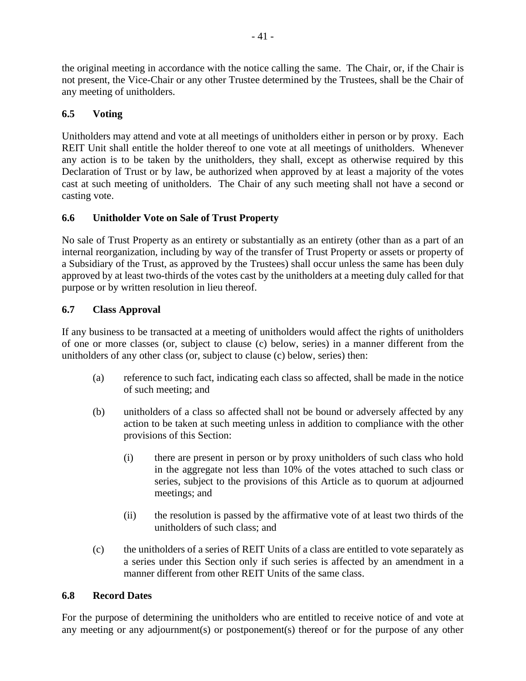the original meeting in accordance with the notice calling the same. The Chair, or, if the Chair is not present, the Vice-Chair or any other Trustee determined by the Trustees, shall be the Chair of any meeting of unitholders.

### <span id="page-45-0"></span>**6.5 Voting**

Unitholders may attend and vote at all meetings of unitholders either in person or by proxy. Each REIT Unit shall entitle the holder thereof to one vote at all meetings of unitholders. Whenever any action is to be taken by the unitholders, they shall, except as otherwise required by this Declaration of Trust or by law, be authorized when approved by at least a majority of the votes cast at such meeting of unitholders. The Chair of any such meeting shall not have a second or casting vote.

### <span id="page-45-1"></span>**6.6 Unitholder Vote on Sale of Trust Property**

No sale of Trust Property as an entirety or substantially as an entirety (other than as a part of an internal reorganization, including by way of the transfer of Trust Property or assets or property of a Subsidiary of the Trust, as approved by the Trustees) shall occur unless the same has been duly approved by at least two-thirds of the votes cast by the unitholders at a meeting duly called for that purpose or by written resolution in lieu thereof.

### <span id="page-45-2"></span>**6.7 Class Approval**

If any business to be transacted at a meeting of unitholders would affect the rights of unitholders of one or more classes (or, subject to clause [\(c\) below,](#page-45-4) series) in a manner different from the unitholders of any other class (or, subject to clause [\(c\) below,](#page-45-4) series) then:

- (a) reference to such fact, indicating each class so affected, shall be made in the notice of such meeting; and
- (b) unitholders of a class so affected shall not be bound or adversely affected by any action to be taken at such meeting unless in addition to compliance with the other provisions of this Section:
	- (i) there are present in person or by proxy unitholders of such class who hold in the aggregate not less than 10% of the votes attached to such class or series, subject to the provisions of this Article as to quorum at adjourned meetings; and
	- (ii) the resolution is passed by the affirmative vote of at least two thirds of the unitholders of such class; and
- <span id="page-45-4"></span>(c) the unitholders of a series of REIT Units of a class are entitled to vote separately as a series under this Section only if such series is affected by an amendment in a manner different from other REIT Units of the same class.

### <span id="page-45-3"></span>**6.8 Record Dates**

For the purpose of determining the unitholders who are entitled to receive notice of and vote at any meeting or any adjournment(s) or postponement(s) thereof or for the purpose of any other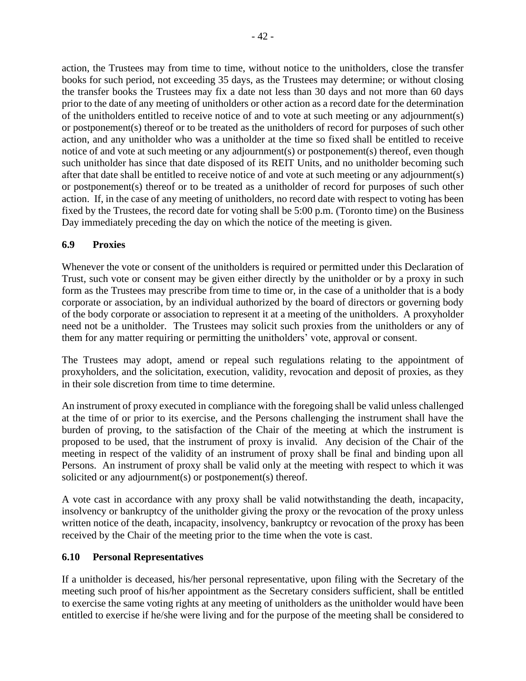action, the Trustees may from time to time, without notice to the unitholders, close the transfer books for such period, not exceeding 35 days, as the Trustees may determine; or without closing the transfer books the Trustees may fix a date not less than 30 days and not more than 60 days prior to the date of any meeting of unitholders or other action as a record date for the determination of the unitholders entitled to receive notice of and to vote at such meeting or any adjournment(s) or postponement(s) thereof or to be treated as the unitholders of record for purposes of such other action, and any unitholder who was a unitholder at the time so fixed shall be entitled to receive notice of and vote at such meeting or any adjournment(s) or postponement(s) thereof, even though such unitholder has since that date disposed of its REIT Units, and no unitholder becoming such after that date shall be entitled to receive notice of and vote at such meeting or any adjournment(s) or postponement(s) thereof or to be treated as a unitholder of record for purposes of such other action. If, in the case of any meeting of unitholders, no record date with respect to voting has been fixed by the Trustees, the record date for voting shall be 5:00 p.m. (Toronto time) on the Business Day immediately preceding the day on which the notice of the meeting is given.

### <span id="page-46-0"></span>**6.9 Proxies**

Whenever the vote or consent of the unitholders is required or permitted under this Declaration of Trust, such vote or consent may be given either directly by the unitholder or by a proxy in such form as the Trustees may prescribe from time to time or, in the case of a unitholder that is a body corporate or association, by an individual authorized by the board of directors or governing body of the body corporate or association to represent it at a meeting of the unitholders. A proxyholder need not be a unitholder. The Trustees may solicit such proxies from the unitholders or any of them for any matter requiring or permitting the unitholders' vote, approval or consent.

The Trustees may adopt, amend or repeal such regulations relating to the appointment of proxyholders, and the solicitation, execution, validity, revocation and deposit of proxies, as they in their sole discretion from time to time determine.

An instrument of proxy executed in compliance with the foregoing shall be valid unless challenged at the time of or prior to its exercise, and the Persons challenging the instrument shall have the burden of proving, to the satisfaction of the Chair of the meeting at which the instrument is proposed to be used, that the instrument of proxy is invalid. Any decision of the Chair of the meeting in respect of the validity of an instrument of proxy shall be final and binding upon all Persons. An instrument of proxy shall be valid only at the meeting with respect to which it was solicited or any adjournment(s) or postponement(s) thereof.

A vote cast in accordance with any proxy shall be valid notwithstanding the death, incapacity, insolvency or bankruptcy of the unitholder giving the proxy or the revocation of the proxy unless written notice of the death, incapacity, insolvency, bankruptcy or revocation of the proxy has been received by the Chair of the meeting prior to the time when the vote is cast.

### <span id="page-46-1"></span>**6.10 Personal Representatives**

If a unitholder is deceased, his/her personal representative, upon filing with the Secretary of the meeting such proof of his/her appointment as the Secretary considers sufficient, shall be entitled to exercise the same voting rights at any meeting of unitholders as the unitholder would have been entitled to exercise if he/she were living and for the purpose of the meeting shall be considered to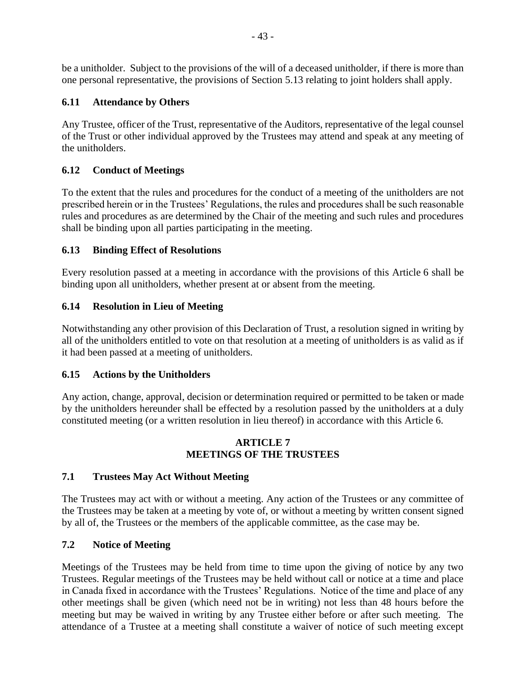be a unitholder. Subject to the provisions of the will of a deceased unitholder, if there is more than one personal representative, the provisions of Section [5.13](#page-33-2) relating to joint holders shall apply.

### <span id="page-47-0"></span>**6.11 Attendance by Others**

Any Trustee, officer of the Trust, representative of the Auditors, representative of the legal counsel of the Trust or other individual approved by the Trustees may attend and speak at any meeting of the unitholders.

### <span id="page-47-1"></span>**6.12 Conduct of Meetings**

To the extent that the rules and procedures for the conduct of a meeting of the unitholders are not prescribed herein or in the Trustees' Regulations, the rules and procedures shall be such reasonable rules and procedures as are determined by the Chair of the meeting and such rules and procedures shall be binding upon all parties participating in the meeting.

### <span id="page-47-2"></span>**6.13 Binding Effect of Resolutions**

Every resolution passed at a meeting in accordance with the provisions of this [Article](#page-43-0) 6 shall be binding upon all unitholders, whether present at or absent from the meeting.

### <span id="page-47-3"></span>**6.14 Resolution in Lieu of Meeting**

Notwithstanding any other provision of this Declaration of Trust, a resolution signed in writing by all of the unitholders entitled to vote on that resolution at a meeting of unitholders is as valid as if it had been passed at a meeting of unitholders.

### <span id="page-47-4"></span>**6.15 Actions by the Unitholders**

Any action, change, approval, decision or determination required or permitted to be taken or made by the unitholders hereunder shall be effected by a resolution passed by the unitholders at a duly constituted meeting (or a written resolution in lieu thereof) in accordance with this [Article](#page-43-0) 6.

### **ARTICLE 7 MEETINGS OF THE TRUSTEES**

### <span id="page-47-6"></span><span id="page-47-5"></span>**7.1 Trustees May Act Without Meeting**

The Trustees may act with or without a meeting. Any action of the Trustees or any committee of the Trustees may be taken at a meeting by vote of, or without a meeting by written consent signed by all of, the Trustees or the members of the applicable committee, as the case may be.

### <span id="page-47-7"></span>**7.2 Notice of Meeting**

Meetings of the Trustees may be held from time to time upon the giving of notice by any two Trustees. Regular meetings of the Trustees may be held without call or notice at a time and place in Canada fixed in accordance with the Trustees' Regulations. Notice of the time and place of any other meetings shall be given (which need not be in writing) not less than 48 hours before the meeting but may be waived in writing by any Trustee either before or after such meeting. The attendance of a Trustee at a meeting shall constitute a waiver of notice of such meeting except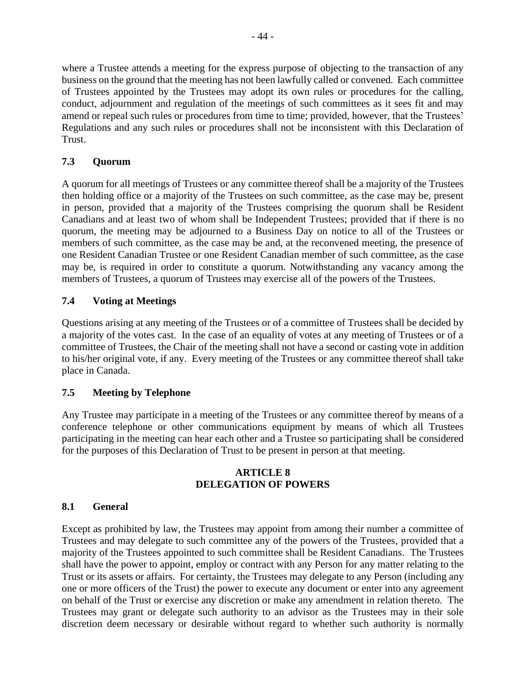where a Trustee attends a meeting for the express purpose of objecting to the transaction of any business on the ground that the meeting has not been lawfully called or convened. Each committee of Trustees appointed by the Trustees may adopt its own rules or procedures for the calling, conduct, adjournment and regulation of the meetings of such committees as it sees fit and may amend or repeal such rules or procedures from time to time; provided, however, that the Trustees' Regulations and any such rules or procedures shall not be inconsistent with this Declaration of Trust.

### <span id="page-48-0"></span>**7.3 Quorum**

A quorum for all meetings of Trustees or any committee thereof shall be a majority of the Trustees then holding office or a majority of the Trustees on such committee, as the case may be, present in person, provided that a majority of the Trustees comprising the quorum shall be Resident Canadians and at least two of whom shall be Independent Trustees; provided that if there is no quorum, the meeting may be adjourned to a Business Day on notice to all of the Trustees or members of such committee, as the case may be and, at the reconvened meeting, the presence of one Resident Canadian Trustee or one Resident Canadian member of such committee, as the case may be, is required in order to constitute a quorum. Notwithstanding any vacancy among the members of Trustees, a quorum of Trustees may exercise all of the powers of the Trustees.

### <span id="page-48-1"></span>**7.4 Voting at Meetings**

Questions arising at any meeting of the Trustees or of a committee of Trustees shall be decided by a majority of the votes cast. In the case of an equality of votes at any meeting of Trustees or of a committee of Trustees, the Chair of the meeting shall not have a second or casting vote in addition to his/her original vote, if any. Every meeting of the Trustees or any committee thereof shall take place in Canada.

### <span id="page-48-2"></span>**7.5 Meeting by Telephone**

Any Trustee may participate in a meeting of the Trustees or any committee thereof by means of a conference telephone or other communications equipment by means of which all Trustees participating in the meeting can hear each other and a Trustee so participating shall be considered for the purposes of this Declaration of Trust to be present in person at that meeting.

### **ARTICLE 8 DELEGATION OF POWERS**

### <span id="page-48-4"></span><span id="page-48-3"></span>**8.1 General**

Except as prohibited by law, the Trustees may appoint from among their number a committee of Trustees and may delegate to such committee any of the powers of the Trustees, provided that a majority of the Trustees appointed to such committee shall be Resident Canadians. The Trustees shall have the power to appoint, employ or contract with any Person for any matter relating to the Trust or its assets or affairs. For certainty, the Trustees may delegate to any Person (including any one or more officers of the Trust) the power to execute any document or enter into any agreement on behalf of the Trust or exercise any discretion or make any amendment in relation thereto. The Trustees may grant or delegate such authority to an advisor as the Trustees may in their sole discretion deem necessary or desirable without regard to whether such authority is normally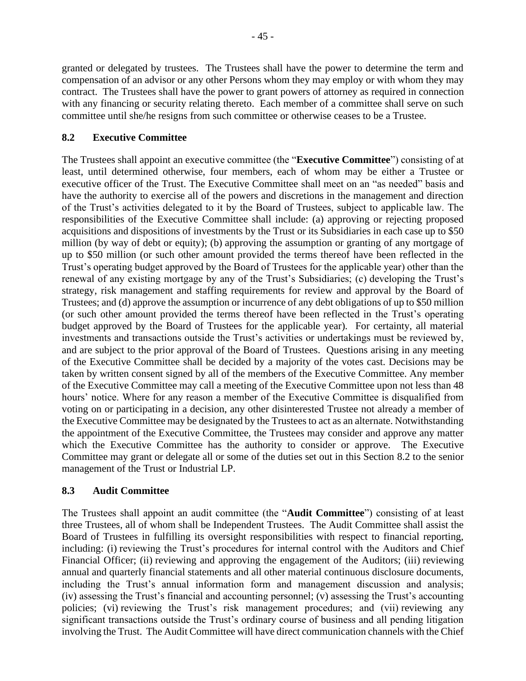granted or delegated by trustees. The Trustees shall have the power to determine the term and compensation of an advisor or any other Persons whom they may employ or with whom they may contract. The Trustees shall have the power to grant powers of attorney as required in connection with any financing or security relating thereto. Each member of a committee shall serve on such committee until she/he resigns from such committee or otherwise ceases to be a Trustee.

### <span id="page-49-0"></span>**8.2 Executive Committee**

The Trustees shall appoint an executive committee (the "**Executive Committee**") consisting of at least, until determined otherwise, four members, each of whom may be either a Trustee or executive officer of the Trust. The Executive Committee shall meet on an "as needed" basis and have the authority to exercise all of the powers and discretions in the management and direction of the Trust's activities delegated to it by the Board of Trustees, subject to applicable law. The responsibilities of the Executive Committee shall include: (a) approving or rejecting proposed acquisitions and dispositions of investments by the Trust or its Subsidiaries in each case up to \$50 million (by way of debt or equity); (b) approving the assumption or granting of any mortgage of up to \$50 million (or such other amount provided the terms thereof have been reflected in the Trust's operating budget approved by the Board of Trustees for the applicable year) other than the renewal of any existing mortgage by any of the Trust's Subsidiaries; (c) developing the Trust's strategy, risk management and staffing requirements for review and approval by the Board of Trustees; and (d) approve the assumption or incurrence of any debt obligations of up to \$50 million (or such other amount provided the terms thereof have been reflected in the Trust's operating budget approved by the Board of Trustees for the applicable year). For certainty, all material investments and transactions outside the Trust's activities or undertakings must be reviewed by, and are subject to the prior approval of the Board of Trustees. Questions arising in any meeting of the Executive Committee shall be decided by a majority of the votes cast. Decisions may be taken by written consent signed by all of the members of the Executive Committee. Any member of the Executive Committee may call a meeting of the Executive Committee upon not less than 48 hours' notice. Where for any reason a member of the Executive Committee is disqualified from voting on or participating in a decision, any other disinterested Trustee not already a member of the Executive Committee may be designated by the Trustees to act as an alternate. Notwithstanding the appointment of the Executive Committee, the Trustees may consider and approve any matter which the Executive Committee has the authority to consider or approve. The Executive Committee may grant or delegate all or some of the duties set out in this Section [8.2](#page-49-0) to the senior management of the Trust or Industrial LP.

### <span id="page-49-1"></span>**8.3 Audit Committee**

The Trustees shall appoint an audit committee (the "**Audit Committee**") consisting of at least three Trustees, all of whom shall be Independent Trustees. The Audit Committee shall assist the Board of Trustees in fulfilling its oversight responsibilities with respect to financial reporting, including: (i) reviewing the Trust's procedures for internal control with the Auditors and Chief Financial Officer; (ii) reviewing and approving the engagement of the Auditors; (iii) reviewing annual and quarterly financial statements and all other material continuous disclosure documents, including the Trust's annual information form and management discussion and analysis; (iv) assessing the Trust's financial and accounting personnel; (v) assessing the Trust's accounting policies; (vi) reviewing the Trust's risk management procedures; and (vii) reviewing any significant transactions outside the Trust's ordinary course of business and all pending litigation involving the Trust. The Audit Committee will have direct communication channels with the Chief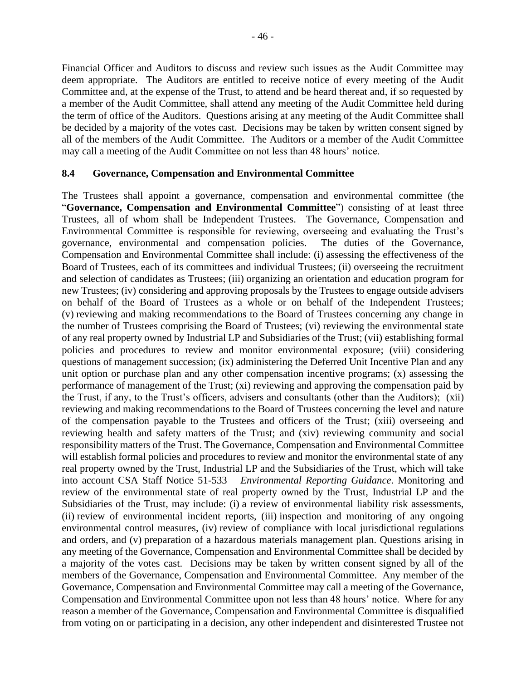Financial Officer and Auditors to discuss and review such issues as the Audit Committee may deem appropriate. The Auditors are entitled to receive notice of every meeting of the Audit Committee and, at the expense of the Trust, to attend and be heard thereat and, if so requested by a member of the Audit Committee, shall attend any meeting of the Audit Committee held during the term of office of the Auditors. Questions arising at any meeting of the Audit Committee shall be decided by a majority of the votes cast. Decisions may be taken by written consent signed by all of the members of the Audit Committee. The Auditors or a member of the Audit Committee may call a meeting of the Audit Committee on not less than 48 hours' notice.

#### <span id="page-50-0"></span>**8.4 Governance, Compensation and Environmental Committee**

The Trustees shall appoint a governance, compensation and environmental committee (the "**Governance, Compensation and Environmental Committee**") consisting of at least three Trustees, all of whom shall be Independent Trustees. The Governance, Compensation and Environmental Committee is responsible for reviewing, overseeing and evaluating the Trust's governance, environmental and compensation policies. The duties of the Governance, Compensation and Environmental Committee shall include: (i) assessing the effectiveness of the Board of Trustees, each of its committees and individual Trustees; (ii) overseeing the recruitment and selection of candidates as Trustees; (iii) organizing an orientation and education program for new Trustees; (iv) considering and approving proposals by the Trustees to engage outside advisers on behalf of the Board of Trustees as a whole or on behalf of the Independent Trustees; (v) reviewing and making recommendations to the Board of Trustees concerning any change in the number of Trustees comprising the Board of Trustees; (vi) reviewing the environmental state of any real property owned by Industrial LP and Subsidiaries of the Trust; (vii) establishing formal policies and procedures to review and monitor environmental exposure; (viii) considering questions of management succession; (ix) administering the Deferred Unit Incentive Plan and any unit option or purchase plan and any other compensation incentive programs; (x) assessing the performance of management of the Trust; (xi) reviewing and approving the compensation paid by the Trust, if any, to the Trust's officers, advisers and consultants (other than the Auditors); (xii) reviewing and making recommendations to the Board of Trustees concerning the level and nature of the compensation payable to the Trustees and officers of the Trust; (xiii) overseeing and reviewing health and safety matters of the Trust; and (xiv) reviewing community and social responsibility matters of the Trust. The Governance, Compensation and Environmental Committee will establish formal policies and procedures to review and monitor the environmental state of any real property owned by the Trust, Industrial LP and the Subsidiaries of the Trust, which will take into account CSA Staff Notice 51-533 – *Environmental Reporting Guidance*. Monitoring and review of the environmental state of real property owned by the Trust, Industrial LP and the Subsidiaries of the Trust, may include: (i) a review of environmental liability risk assessments, (ii) review of environmental incident reports, (iii) inspection and monitoring of any ongoing environmental control measures, (iv) review of compliance with local jurisdictional regulations and orders, and (v) preparation of a hazardous materials management plan. Questions arising in any meeting of the Governance, Compensation and Environmental Committee shall be decided by a majority of the votes cast. Decisions may be taken by written consent signed by all of the members of the Governance, Compensation and Environmental Committee. Any member of the Governance, Compensation and Environmental Committee may call a meeting of the Governance, Compensation and Environmental Committee upon not less than 48 hours' notice. Where for any reason a member of the Governance, Compensation and Environmental Committee is disqualified from voting on or participating in a decision, any other independent and disinterested Trustee not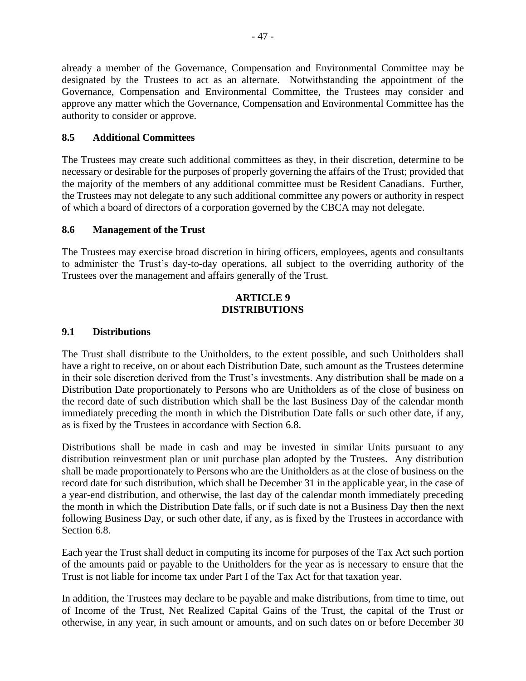already a member of the Governance, Compensation and Environmental Committee may be designated by the Trustees to act as an alternate. Notwithstanding the appointment of the Governance, Compensation and Environmental Committee, the Trustees may consider and approve any matter which the Governance, Compensation and Environmental Committee has the authority to consider or approve.

### <span id="page-51-0"></span>**8.5 Additional Committees**

The Trustees may create such additional committees as they, in their discretion, determine to be necessary or desirable for the purposes of properly governing the affairs of the Trust; provided that the majority of the members of any additional committee must be Resident Canadians. Further, the Trustees may not delegate to any such additional committee any powers or authority in respect of which a board of directors of a corporation governed by the CBCA may not delegate.

### <span id="page-51-1"></span>**8.6 Management of the Trust**

The Trustees may exercise broad discretion in hiring officers, employees, agents and consultants to administer the Trust's day-to-day operations, all subject to the overriding authority of the Trustees over the management and affairs generally of the Trust.

### **ARTICLE 9 DISTRIBUTIONS**

### <span id="page-51-3"></span><span id="page-51-2"></span>**9.1 Distributions**

The Trust shall distribute to the Unitholders, to the extent possible, and such Unitholders shall have a right to receive, on or about each Distribution Date, such amount as the Trustees determine in their sole discretion derived from the Trust's investments. Any distribution shall be made on a Distribution Date proportionately to Persons who are Unitholders as of the close of business on the record date of such distribution which shall be the last Business Day of the calendar month immediately preceding the month in which the Distribution Date falls or such other date, if any, as is fixed by the Trustees in accordance with Section [6.8.](#page-45-3)

Distributions shall be made in cash and may be invested in similar Units pursuant to any distribution reinvestment plan or unit purchase plan adopted by the Trustees. Any distribution shall be made proportionately to Persons who are the Unitholders as at the close of business on the record date for such distribution, which shall be December 31 in the applicable year, in the case of a year-end distribution, and otherwise, the last day of the calendar month immediately preceding the month in which the Distribution Date falls, or if such date is not a Business Day then the next following Business Day, or such other date, if any, as is fixed by the Trustees in accordance with Section [6.8.](#page-45-3)

Each year the Trust shall deduct in computing its income for purposes of the Tax Act such portion of the amounts paid or payable to the Unitholders for the year as is necessary to ensure that the Trust is not liable for income tax under Part I of the Tax Act for that taxation year.

In addition, the Trustees may declare to be payable and make distributions, from time to time, out of Income of the Trust, Net Realized Capital Gains of the Trust, the capital of the Trust or otherwise, in any year, in such amount or amounts, and on such dates on or before December 30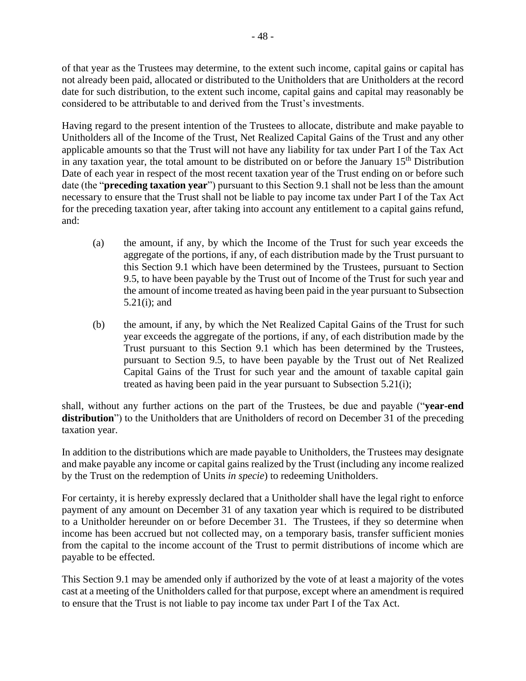of that year as the Trustees may determine, to the extent such income, capital gains or capital has not already been paid, allocated or distributed to the Unitholders that are Unitholders at the record date for such distribution, to the extent such income, capital gains and capital may reasonably be considered to be attributable to and derived from the Trust's investments.

Having regard to the present intention of the Trustees to allocate, distribute and make payable to Unitholders all of the Income of the Trust, Net Realized Capital Gains of the Trust and any other applicable amounts so that the Trust will not have any liability for tax under Part I of the Tax Act in any taxation year, the total amount to be distributed on or before the January  $15<sup>th</sup>$  Distribution Date of each year in respect of the most recent taxation year of the Trust ending on or before such date (the "**preceding taxation year**") pursuant to this Section [9.1](#page-51-3) shall not be less than the amount necessary to ensure that the Trust shall not be liable to pay income tax under Part I of the Tax Act for the preceding taxation year, after taking into account any entitlement to a capital gains refund, and:

- (a) the amount, if any, by which the Income of the Trust for such year exceeds the aggregate of the portions, if any, of each distribution made by the Trust pursuant to this Section [9.1](#page-51-3) which have been determined by the Trustees, pursuant to Section [9.5,](#page-54-1) to have been payable by the Trust out of Income of the Trust for such year and the amount of income treated as having been paid in the year pursuant to Subsection [5.21\(i\);](#page-39-1) and
- (b) the amount, if any, by which the Net Realized Capital Gains of the Trust for such year exceeds the aggregate of the portions, if any, of each distribution made by the Trust pursuant to this Section [9.1](#page-51-3) which has been determined by the Trustees, pursuant to Section [9.5,](#page-54-1) to have been payable by the Trust out of Net Realized Capital Gains of the Trust for such year and the amount of taxable capital gain treated as having been paid in the year pursuant to Subsection [5.21\(i\);](#page-39-1)

shall, without any further actions on the part of the Trustees, be due and payable ("**year-end distribution**") to the Unitholders that are Unitholders of record on December 31 of the preceding taxation year.

In addition to the distributions which are made payable to Unitholders, the Trustees may designate and make payable any income or capital gains realized by the Trust (including any income realized by the Trust on the redemption of Units *in specie*) to redeeming Unitholders.

For certainty, it is hereby expressly declared that a Unitholder shall have the legal right to enforce payment of any amount on December 31 of any taxation year which is required to be distributed to a Unitholder hereunder on or before December 31. The Trustees, if they so determine when income has been accrued but not collected may, on a temporary basis, transfer sufficient monies from the capital to the income account of the Trust to permit distributions of income which are payable to be effected.

This Section [9.1](#page-51-3) may be amended only if authorized by the vote of at least a majority of the votes cast at a meeting of the Unitholders called for that purpose, except where an amendment is required to ensure that the Trust is not liable to pay income tax under Part I of the Tax Act.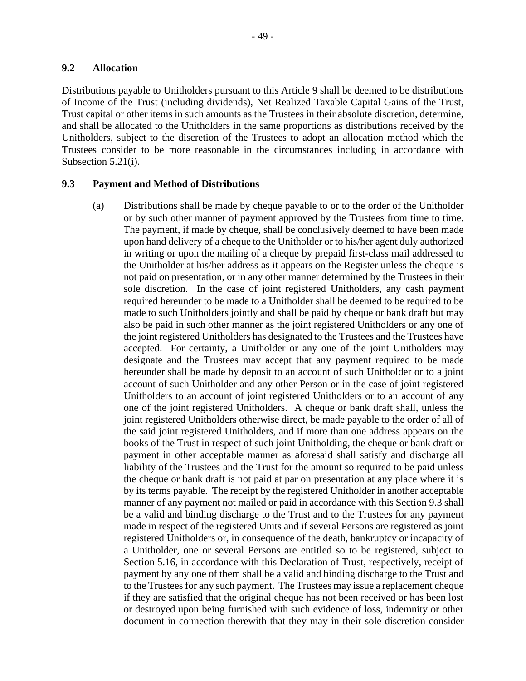### <span id="page-53-0"></span>**9.2 Allocation**

Distributions payable to Unitholders pursuant to this [Article](#page-51-2) 9 shall be deemed to be distributions of Income of the Trust (including dividends), Net Realized Taxable Capital Gains of the Trust, Trust capital or other items in such amounts as the Trustees in their absolute discretion, determine, and shall be allocated to the Unitholders in the same proportions as distributions received by the Unitholders, subject to the discretion of the Trustees to adopt an allocation method which the Trustees consider to be more reasonable in the circumstances including in accordance with Subsection [5.21\(i\).](#page-39-1)

### <span id="page-53-1"></span>**9.3 Payment and Method of Distributions**

(a) Distributions shall be made by cheque payable to or to the order of the Unitholder or by such other manner of payment approved by the Trustees from time to time. The payment, if made by cheque, shall be conclusively deemed to have been made upon hand delivery of a cheque to the Unitholder or to his/her agent duly authorized in writing or upon the mailing of a cheque by prepaid first-class mail addressed to the Unitholder at his/her address as it appears on the Register unless the cheque is not paid on presentation, or in any other manner determined by the Trustees in their sole discretion. In the case of joint registered Unitholders, any cash payment required hereunder to be made to a Unitholder shall be deemed to be required to be made to such Unitholders jointly and shall be paid by cheque or bank draft but may also be paid in such other manner as the joint registered Unitholders or any one of the joint registered Unitholders has designated to the Trustees and the Trustees have accepted. For certainty, a Unitholder or any one of the joint Unitholders may designate and the Trustees may accept that any payment required to be made hereunder shall be made by deposit to an account of such Unitholder or to a joint account of such Unitholder and any other Person or in the case of joint registered Unitholders to an account of joint registered Unitholders or to an account of any one of the joint registered Unitholders. A cheque or bank draft shall, unless the joint registered Unitholders otherwise direct, be made payable to the order of all of the said joint registered Unitholders, and if more than one address appears on the books of the Trust in respect of such joint Unitholding, the cheque or bank draft or payment in other acceptable manner as aforesaid shall satisfy and discharge all liability of the Trustees and the Trust for the amount so required to be paid unless the cheque or bank draft is not paid at par on presentation at any place where it is by its terms payable. The receipt by the registered Unitholder in another acceptable manner of any payment not mailed or paid in accordance with this Section [9.3](#page-53-1) shall be a valid and binding discharge to the Trust and to the Trustees for any payment made in respect of the registered Units and if several Persons are registered as joint registered Unitholders or, in consequence of the death, bankruptcy or incapacity of a Unitholder, one or several Persons are entitled so to be registered, subject to Section [5.16,](#page-35-0) in accordance with this Declaration of Trust, respectively, receipt of payment by any one of them shall be a valid and binding discharge to the Trust and to the Trustees for any such payment. The Trustees may issue a replacement cheque if they are satisfied that the original cheque has not been received or has been lost or destroyed upon being furnished with such evidence of loss, indemnity or other document in connection therewith that they may in their sole discretion consider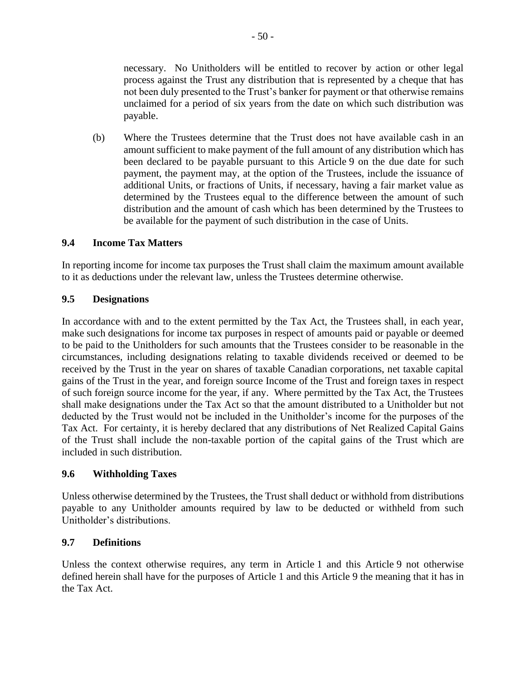necessary. No Unitholders will be entitled to recover by action or other legal process against the Trust any distribution that is represented by a cheque that has not been duly presented to the Trust's banker for payment or that otherwise remains unclaimed for a period of six years from the date on which such distribution was payable.

<span id="page-54-4"></span>(b) Where the Trustees determine that the Trust does not have available cash in an amount sufficient to make payment of the full amount of any distribution which has been declared to be payable pursuant to this [Article](#page-51-2) 9 on the due date for such payment, the payment may, at the option of the Trustees, include the issuance of additional Units, or fractions of Units, if necessary, having a fair market value as determined by the Trustees equal to the difference between the amount of such distribution and the amount of cash which has been determined by the Trustees to be available for the payment of such distribution in the case of Units.

### <span id="page-54-0"></span>**9.4 Income Tax Matters**

In reporting income for income tax purposes the Trust shall claim the maximum amount available to it as deductions under the relevant law, unless the Trustees determine otherwise.

#### <span id="page-54-1"></span>**9.5 Designations**

In accordance with and to the extent permitted by the Tax Act, the Trustees shall, in each year, make such designations for income tax purposes in respect of amounts paid or payable or deemed to be paid to the Unitholders for such amounts that the Trustees consider to be reasonable in the circumstances, including designations relating to taxable dividends received or deemed to be received by the Trust in the year on shares of taxable Canadian corporations, net taxable capital gains of the Trust in the year, and foreign source Income of the Trust and foreign taxes in respect of such foreign source income for the year, if any. Where permitted by the Tax Act, the Trustees shall make designations under the Tax Act so that the amount distributed to a Unitholder but not deducted by the Trust would not be included in the Unitholder's income for the purposes of the Tax Act. For certainty, it is hereby declared that any distributions of Net Realized Capital Gains of the Trust shall include the non-taxable portion of the capital gains of the Trust which are included in such distribution.

#### <span id="page-54-2"></span>**9.6 Withholding Taxes**

Unless otherwise determined by the Trustees, the Trust shall deduct or withhold from distributions payable to any Unitholder amounts required by law to be deducted or withheld from such Unitholder's distributions.

### <span id="page-54-3"></span>**9.7 Definitions**

Unless the context otherwise requires, any term in [Article](#page-5-0) 1 and this [Article](#page-51-2) 9 not otherwise defined herein shall have for the purposes of [Article](#page-5-0) 1 and this [Article](#page-51-2) 9 the meaning that it has in the Tax Act.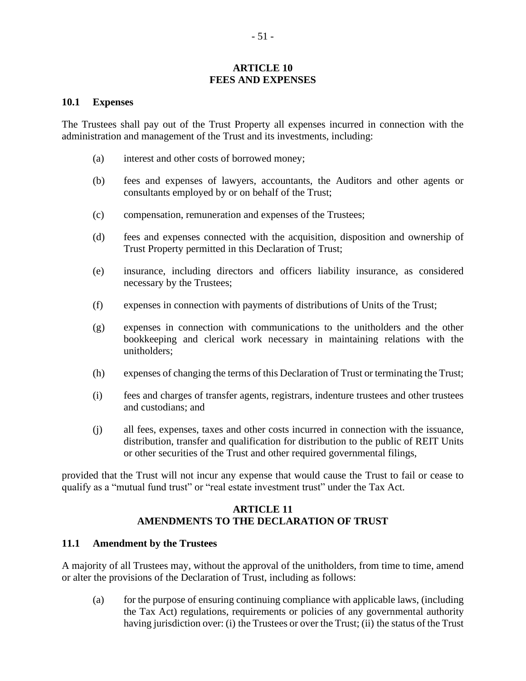#### **ARTICLE 10 FEES AND EXPENSES**

#### <span id="page-55-1"></span><span id="page-55-0"></span>**10.1 Expenses**

The Trustees shall pay out of the Trust Property all expenses incurred in connection with the administration and management of the Trust and its investments, including:

- (a) interest and other costs of borrowed money;
- (b) fees and expenses of lawyers, accountants, the Auditors and other agents or consultants employed by or on behalf of the Trust;
- (c) compensation, remuneration and expenses of the Trustees;
- (d) fees and expenses connected with the acquisition, disposition and ownership of Trust Property permitted in this Declaration of Trust;
- (e) insurance, including directors and officers liability insurance, as considered necessary by the Trustees;
- (f) expenses in connection with payments of distributions of Units of the Trust;
- (g) expenses in connection with communications to the unitholders and the other bookkeeping and clerical work necessary in maintaining relations with the unitholders;
- (h) expenses of changing the terms of this Declaration of Trust or terminating the Trust;
- (i) fees and charges of transfer agents, registrars, indenture trustees and other trustees and custodians; and
- (j) all fees, expenses, taxes and other costs incurred in connection with the issuance, distribution, transfer and qualification for distribution to the public of REIT Units or other securities of the Trust and other required governmental filings,

<span id="page-55-2"></span>provided that the Trust will not incur any expense that would cause the Trust to fail or cease to qualify as a "mutual fund trust" or "real estate investment trust" under the Tax Act.

### **ARTICLE 11 AMENDMENTS TO THE DECLARATION OF TRUST**

### <span id="page-55-3"></span>**11.1 Amendment by the Trustees**

A majority of all Trustees may, without the approval of the unitholders, from time to time, amend or alter the provisions of the Declaration of Trust, including as follows:

(a) for the purpose of ensuring continuing compliance with applicable laws, (including the Tax Act) regulations, requirements or policies of any governmental authority having jurisdiction over: (i) the Trustees or over the Trust; (ii) the status of the Trust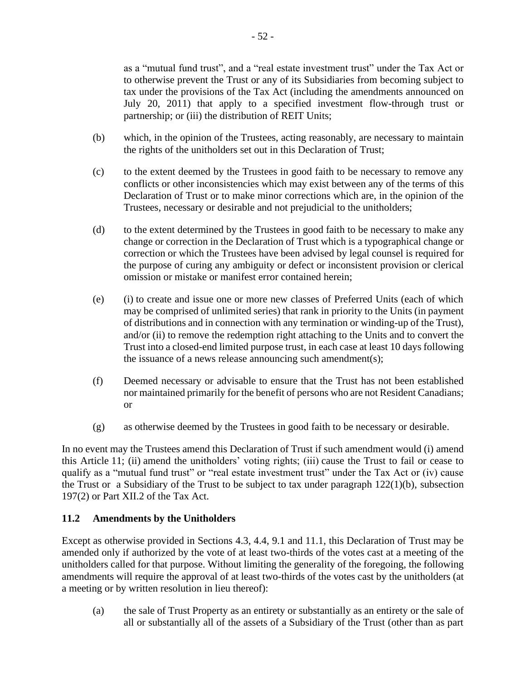as a "mutual fund trust", and a "real estate investment trust" under the Tax Act or to otherwise prevent the Trust or any of its Subsidiaries from becoming subject to tax under the provisions of the Tax Act (including the amendments announced on July 20, 2011) that apply to a specified investment flow-through trust or partnership; or (iii) the distribution of REIT Units;

- (b) which, in the opinion of the Trustees, acting reasonably, are necessary to maintain the rights of the unitholders set out in this Declaration of Trust;
- (c) to the extent deemed by the Trustees in good faith to be necessary to remove any conflicts or other inconsistencies which may exist between any of the terms of this Declaration of Trust or to make minor corrections which are, in the opinion of the Trustees, necessary or desirable and not prejudicial to the unitholders;
- (d) to the extent determined by the Trustees in good faith to be necessary to make any change or correction in the Declaration of Trust which is a typographical change or correction or which the Trustees have been advised by legal counsel is required for the purpose of curing any ambiguity or defect or inconsistent provision or clerical omission or mistake or manifest error contained herein;
- (e) (i) to create and issue one or more new classes of Preferred Units (each of which may be comprised of unlimited series) that rank in priority to the Units (in payment of distributions and in connection with any termination or winding-up of the Trust), and/or (ii) to remove the redemption right attaching to the Units and to convert the Trust into a closed-end limited purpose trust, in each case at least 10 days following the issuance of a news release announcing such amendment(s);
- (f) Deemed necessary or advisable to ensure that the Trust has not been established nor maintained primarily for the benefit of persons who are not Resident Canadians; or
- (g) as otherwise deemed by the Trustees in good faith to be necessary or desirable.

In no event may the Trustees amend this Declaration of Trust if such amendment would (i) amend this [Article](#page-55-2) 11; (ii) amend the unitholders' voting rights; (iii) cause the Trust to fail or cease to qualify as a "mutual fund trust" or "real estate investment trust" under the Tax Act or (iv) cause the Trust or a Subsidiary of the Trust to be subject to tax under paragraph 122(1)(b), subsection 197(2) or Part XII.2 of the Tax Act.

### <span id="page-56-0"></span>**11.2 Amendments by the Unitholders**

Except as otherwise provided in Sections [4.3,](#page-28-0) 4.4, [9.1](#page-51-3) and [11.1,](#page-55-3) this Declaration of Trust may be amended only if authorized by the vote of at least two-thirds of the votes cast at a meeting of the unitholders called for that purpose. Without limiting the generality of the foregoing, the following amendments will require the approval of at least two-thirds of the votes cast by the unitholders (at a meeting or by written resolution in lieu thereof):

(a) the sale of Trust Property as an entirety or substantially as an entirety or the sale of all or substantially all of the assets of a Subsidiary of the Trust (other than as part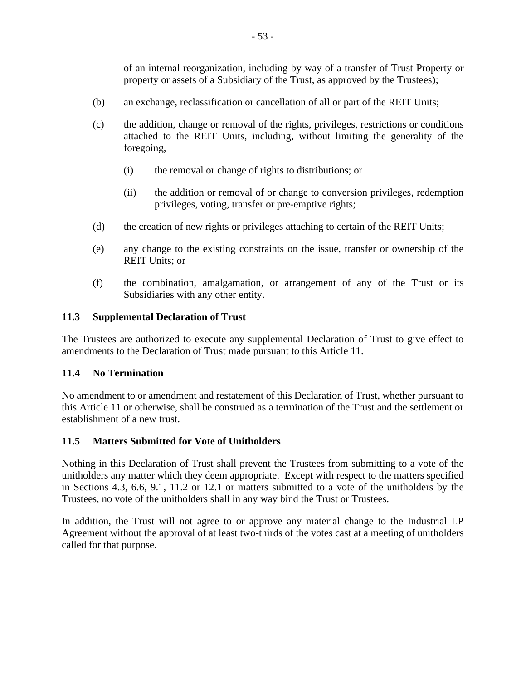of an internal reorganization, including by way of a transfer of Trust Property or property or assets of a Subsidiary of the Trust, as approved by the Trustees);

- (b) an exchange, reclassification or cancellation of all or part of the REIT Units;
- (c) the addition, change or removal of the rights, privileges, restrictions or conditions attached to the REIT Units, including, without limiting the generality of the foregoing,
	- (i) the removal or change of rights to distributions; or
	- (ii) the addition or removal of or change to conversion privileges, redemption privileges, voting, transfer or pre-emptive rights;
- (d) the creation of new rights or privileges attaching to certain of the REIT Units;
- (e) any change to the existing constraints on the issue, transfer or ownership of the REIT Units; or
- (f) the combination, amalgamation, or arrangement of any of the Trust or its Subsidiaries with any other entity.

### <span id="page-57-0"></span>**11.3 Supplemental Declaration of Trust**

The Trustees are authorized to execute any supplemental Declaration of Trust to give effect to amendments to the Declaration of Trust made pursuant to this [Article](#page-55-2) 11.

### <span id="page-57-1"></span>**11.4 No Termination**

No amendment to or amendment and restatement of this Declaration of Trust, whether pursuant to this [Article](#page-55-2) 11 or otherwise, shall be construed as a termination of the Trust and the settlement or establishment of a new trust.

### <span id="page-57-2"></span>**11.5 Matters Submitted for Vote of Unitholders**

Nothing in this Declaration of Trust shall prevent the Trustees from submitting to a vote of the unitholders any matter which they deem appropriate. Except with respect to the matters specified in Sections 4.3, 6.6, 9.1, 11.2 or 12.1 or matters submitted to a vote of the unitholders by the Trustees, no vote of the unitholders shall in any way bind the Trust or Trustees.

In addition, the Trust will not agree to or approve any material change to the Industrial LP Agreement without the approval of at least two-thirds of the votes cast at a meeting of unitholders called for that purpose.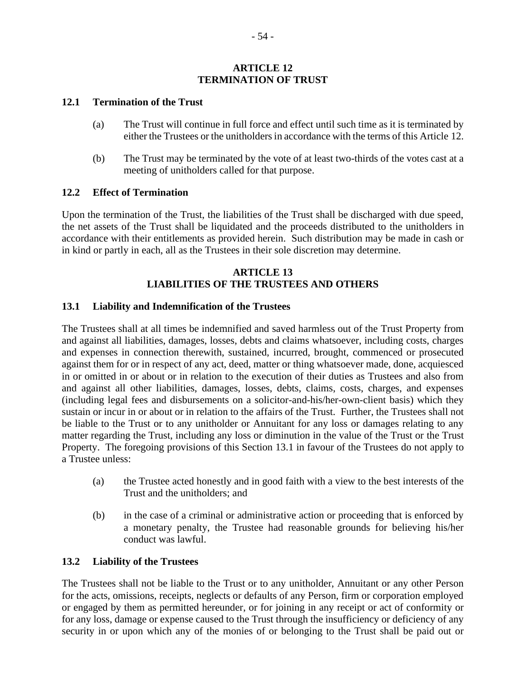### **ARTICLE 12 TERMINATION OF TRUST**

#### <span id="page-58-1"></span><span id="page-58-0"></span>**12.1 Termination of the Trust**

- (a) The Trust will continue in full force and effect until such time as it is terminated by either the Trustees or the unitholders in accordance with the terms of thi[s Article](#page-58-0) 12.
- (b) The Trust may be terminated by the vote of at least two-thirds of the votes cast at a meeting of unitholders called for that purpose.

### <span id="page-58-2"></span>**12.2 Effect of Termination**

Upon the termination of the Trust, the liabilities of the Trust shall be discharged with due speed, the net assets of the Trust shall be liquidated and the proceeds distributed to the unitholders in accordance with their entitlements as provided herein. Such distribution may be made in cash or in kind or partly in each, all as the Trustees in their sole discretion may determine.

### **ARTICLE 13 LIABILITIES OF THE TRUSTEES AND OTHERS**

#### <span id="page-58-4"></span><span id="page-58-3"></span>**13.1 Liability and Indemnification of the Trustees**

The Trustees shall at all times be indemnified and saved harmless out of the Trust Property from and against all liabilities, damages, losses, debts and claims whatsoever, including costs, charges and expenses in connection therewith, sustained, incurred, brought, commenced or prosecuted against them for or in respect of any act, deed, matter or thing whatsoever made, done, acquiesced in or omitted in or about or in relation to the execution of their duties as Trustees and also from and against all other liabilities, damages, losses, debts, claims, costs, charges, and expenses (including legal fees and disbursements on a solicitor-and-his/her-own-client basis) which they sustain or incur in or about or in relation to the affairs of the Trust. Further, the Trustees shall not be liable to the Trust or to any unitholder or Annuitant for any loss or damages relating to any matter regarding the Trust, including any loss or diminution in the value of the Trust or the Trust Property. The foregoing provisions of this Section [13.1](#page-58-4) in favour of the Trustees do not apply to a Trustee unless:

- <span id="page-58-6"></span>(a) the Trustee acted honestly and in good faith with a view to the best interests of the Trust and the unitholders; and
- <span id="page-58-7"></span>(b) in the case of a criminal or administrative action or proceeding that is enforced by a monetary penalty, the Trustee had reasonable grounds for believing his/her conduct was lawful.

#### <span id="page-58-5"></span>**13.2 Liability of the Trustees**

The Trustees shall not be liable to the Trust or to any unitholder, Annuitant or any other Person for the acts, omissions, receipts, neglects or defaults of any Person, firm or corporation employed or engaged by them as permitted hereunder, or for joining in any receipt or act of conformity or for any loss, damage or expense caused to the Trust through the insufficiency or deficiency of any security in or upon which any of the monies of or belonging to the Trust shall be paid out or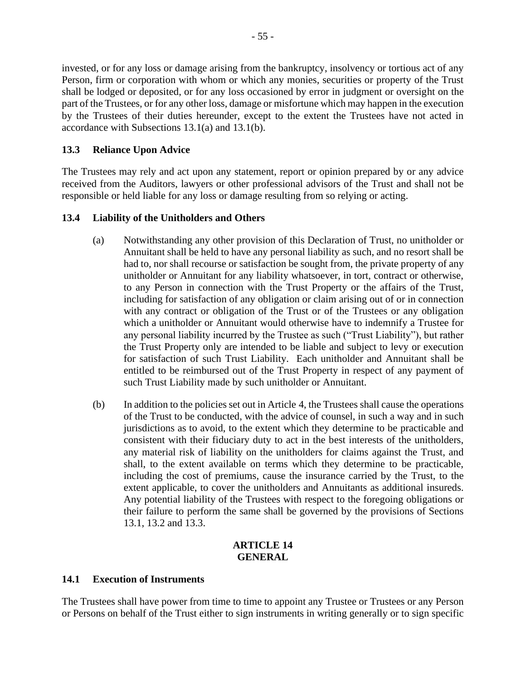invested, or for any loss or damage arising from the bankruptcy, insolvency or tortious act of any Person, firm or corporation with whom or which any monies, securities or property of the Trust shall be lodged or deposited, or for any loss occasioned by error in judgment or oversight on the part of the Trustees, or for any other loss, damage or misfortune which may happen in the execution by the Trustees of their duties hereunder, except to the extent the Trustees have not acted in accordance with Subsections [13.1\(a\)](#page-58-6) and [13.1\(b\).](#page-58-7)

### <span id="page-59-0"></span>**13.3 Reliance Upon Advice**

The Trustees may rely and act upon any statement, report or opinion prepared by or any advice received from the Auditors, lawyers or other professional advisors of the Trust and shall not be responsible or held liable for any loss or damage resulting from so relying or acting.

### <span id="page-59-1"></span>**13.4 Liability of the Unitholders and Others**

- (a) Notwithstanding any other provision of this Declaration of Trust, no unitholder or Annuitant shall be held to have any personal liability as such, and no resort shall be had to, nor shall recourse or satisfaction be sought from, the private property of any unitholder or Annuitant for any liability whatsoever, in tort, contract or otherwise, to any Person in connection with the Trust Property or the affairs of the Trust, including for satisfaction of any obligation or claim arising out of or in connection with any contract or obligation of the Trust or of the Trustees or any obligation which a unitholder or Annuitant would otherwise have to indemnify a Trustee for any personal liability incurred by the Trustee as such ("Trust Liability"), but rather the Trust Property only are intended to be liable and subject to levy or execution for satisfaction of such Trust Liability. Each unitholder and Annuitant shall be entitled to be reimbursed out of the Trust Property in respect of any payment of such Trust Liability made by such unitholder or Annuitant.
- (b) In addition to the policies set out i[n Article](#page-24-1) 4, the Trustees shall cause the operations of the Trust to be conducted, with the advice of counsel, in such a way and in such jurisdictions as to avoid, to the extent which they determine to be practicable and consistent with their fiduciary duty to act in the best interests of the unitholders, any material risk of liability on the unitholders for claims against the Trust, and shall, to the extent available on terms which they determine to be practicable, including the cost of premiums, cause the insurance carried by the Trust, to the extent applicable, to cover the unitholders and Annuitants as additional insureds. Any potential liability of the Trustees with respect to the foregoing obligations or their failure to perform the same shall be governed by the provisions of Sections [13.1,](#page-58-4) [13.2](#page-58-5) and [13.3.](#page-59-0)

### **ARTICLE 14 GENERAL**

### <span id="page-59-3"></span><span id="page-59-2"></span>**14.1 Execution of Instruments**

The Trustees shall have power from time to time to appoint any Trustee or Trustees or any Person or Persons on behalf of the Trust either to sign instruments in writing generally or to sign specific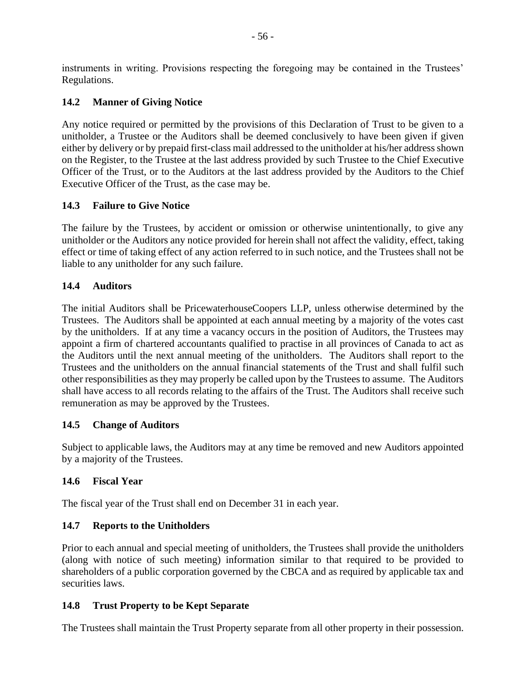instruments in writing. Provisions respecting the foregoing may be contained in the Trustees' Regulations.

### <span id="page-60-0"></span>**14.2 Manner of Giving Notice**

Any notice required or permitted by the provisions of this Declaration of Trust to be given to a unitholder, a Trustee or the Auditors shall be deemed conclusively to have been given if given either by delivery or by prepaid first-class mail addressed to the unitholder at his/her address shown on the Register, to the Trustee at the last address provided by such Trustee to the Chief Executive Officer of the Trust, or to the Auditors at the last address provided by the Auditors to the Chief Executive Officer of the Trust, as the case may be.

### <span id="page-60-1"></span>**14.3 Failure to Give Notice**

The failure by the Trustees, by accident or omission or otherwise unintentionally, to give any unitholder or the Auditors any notice provided for herein shall not affect the validity, effect, taking effect or time of taking effect of any action referred to in such notice, and the Trustees shall not be liable to any unitholder for any such failure.

### <span id="page-60-2"></span>**14.4 Auditors**

The initial Auditors shall be PricewaterhouseCoopers LLP, unless otherwise determined by the Trustees. The Auditors shall be appointed at each annual meeting by a majority of the votes cast by the unitholders. If at any time a vacancy occurs in the position of Auditors, the Trustees may appoint a firm of chartered accountants qualified to practise in all provinces of Canada to act as the Auditors until the next annual meeting of the unitholders. The Auditors shall report to the Trustees and the unitholders on the annual financial statements of the Trust and shall fulfil such other responsibilities as they may properly be called upon by the Trustees to assume. The Auditors shall have access to all records relating to the affairs of the Trust. The Auditors shall receive such remuneration as may be approved by the Trustees.

### <span id="page-60-3"></span>**14.5 Change of Auditors**

Subject to applicable laws, the Auditors may at any time be removed and new Auditors appointed by a majority of the Trustees.

### <span id="page-60-4"></span>**14.6 Fiscal Year**

The fiscal year of the Trust shall end on December 31 in each year.

### <span id="page-60-5"></span>**14.7 Reports to the Unitholders**

Prior to each annual and special meeting of unitholders, the Trustees shall provide the unitholders (along with notice of such meeting) information similar to that required to be provided to shareholders of a public corporation governed by the CBCA and as required by applicable tax and securities laws.

### <span id="page-60-6"></span>**14.8 Trust Property to be Kept Separate**

The Trustees shall maintain the Trust Property separate from all other property in their possession.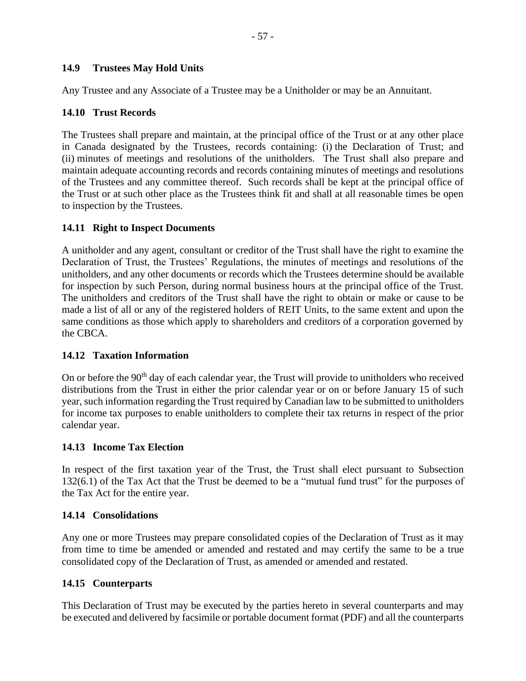### <span id="page-61-0"></span>**14.9 Trustees May Hold Units**

Any Trustee and any Associate of a Trustee may be a Unitholder or may be an Annuitant.

### <span id="page-61-1"></span>**14.10 Trust Records**

The Trustees shall prepare and maintain, at the principal office of the Trust or at any other place in Canada designated by the Trustees, records containing: (i) the Declaration of Trust; and (ii) minutes of meetings and resolutions of the unitholders. The Trust shall also prepare and maintain adequate accounting records and records containing minutes of meetings and resolutions of the Trustees and any committee thereof. Such records shall be kept at the principal office of the Trust or at such other place as the Trustees think fit and shall at all reasonable times be open to inspection by the Trustees.

### <span id="page-61-2"></span>**14.11 Right to Inspect Documents**

A unitholder and any agent, consultant or creditor of the Trust shall have the right to examine the Declaration of Trust, the Trustees' Regulations, the minutes of meetings and resolutions of the unitholders, and any other documents or records which the Trustees determine should be available for inspection by such Person, during normal business hours at the principal office of the Trust. The unitholders and creditors of the Trust shall have the right to obtain or make or cause to be made a list of all or any of the registered holders of REIT Units, to the same extent and upon the same conditions as those which apply to shareholders and creditors of a corporation governed by the CBCA.

### <span id="page-61-3"></span>**14.12 Taxation Information**

On or before the 90<sup>th</sup> day of each calendar year, the Trust will provide to unitholders who received distributions from the Trust in either the prior calendar year or on or before January 15 of such year, such information regarding the Trust required by Canadian law to be submitted to unitholders for income tax purposes to enable unitholders to complete their tax returns in respect of the prior calendar year.

### <span id="page-61-4"></span>**14.13 Income Tax Election**

In respect of the first taxation year of the Trust, the Trust shall elect pursuant to Subsection 132(6.1) of the Tax Act that the Trust be deemed to be a "mutual fund trust" for the purposes of the Tax Act for the entire year.

### <span id="page-61-5"></span>**14.14 Consolidations**

Any one or more Trustees may prepare consolidated copies of the Declaration of Trust as it may from time to time be amended or amended and restated and may certify the same to be a true consolidated copy of the Declaration of Trust, as amended or amended and restated.

### <span id="page-61-6"></span>**14.15 Counterparts**

This Declaration of Trust may be executed by the parties hereto in several counterparts and may be executed and delivered by facsimile or portable document format (PDF) and all the counterparts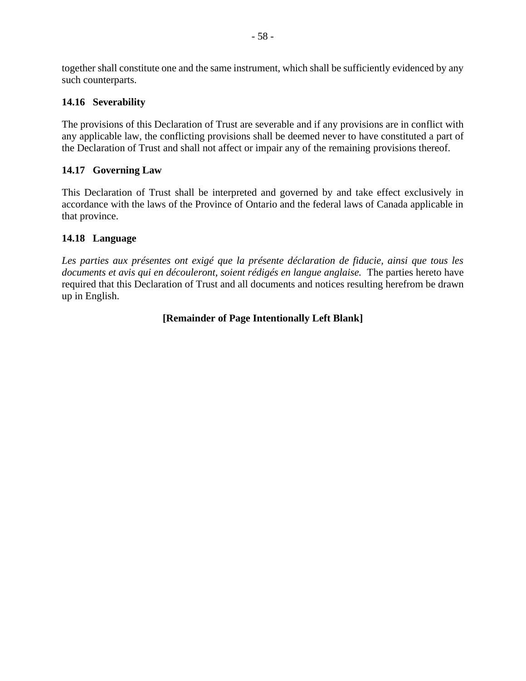together shall constitute one and the same instrument, which shall be sufficiently evidenced by any such counterparts.

### <span id="page-62-0"></span>**14.16 Severability**

The provisions of this Declaration of Trust are severable and if any provisions are in conflict with any applicable law, the conflicting provisions shall be deemed never to have constituted a part of the Declaration of Trust and shall not affect or impair any of the remaining provisions thereof.

### <span id="page-62-1"></span>**14.17 Governing Law**

This Declaration of Trust shall be interpreted and governed by and take effect exclusively in accordance with the laws of the Province of Ontario and the federal laws of Canada applicable in that province.

### <span id="page-62-2"></span>**14.18 Language**

*Les parties aux présentes ont exigé que la présente déclaration de fiducie, ainsi que tous les documents et avis qui en découleront, soient rédigés en langue anglaise.* The parties hereto have required that this Declaration of Trust and all documents and notices resulting herefrom be drawn up in English.

### **[Remainder of Page Intentionally Left Blank]**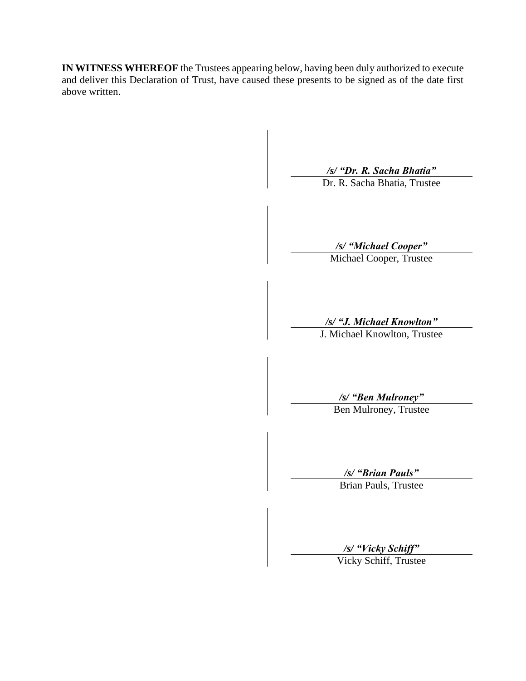**IN WITNESS WHEREOF** the Trustees appearing below, having been duly authorized to execute and deliver this Declaration of Trust, have caused these presents to be signed as of the date first above written.

| /s/ "Dr. R. Sacha Bhatia"                   |
|---------------------------------------------|
| Dr. R. Sacha Bhatia, Trustee                |
|                                             |
| /s/ "Michael Cooper"                        |
| Michael Cooper, Trustee                     |
| /s/ "J. Michael Knowlton"                   |
| J. Michael Knowlton, Trustee                |
| /s/ "Ben Mulroney"                          |
| Ben Mulroney, Trustee                       |
| /s/ "Brian Pauls"                           |
| <b>Brian Pauls</b> , Trustee                |
|                                             |
| /s/ "Vicky Schiff"<br>Vicky Schiff, Trustee |
|                                             |